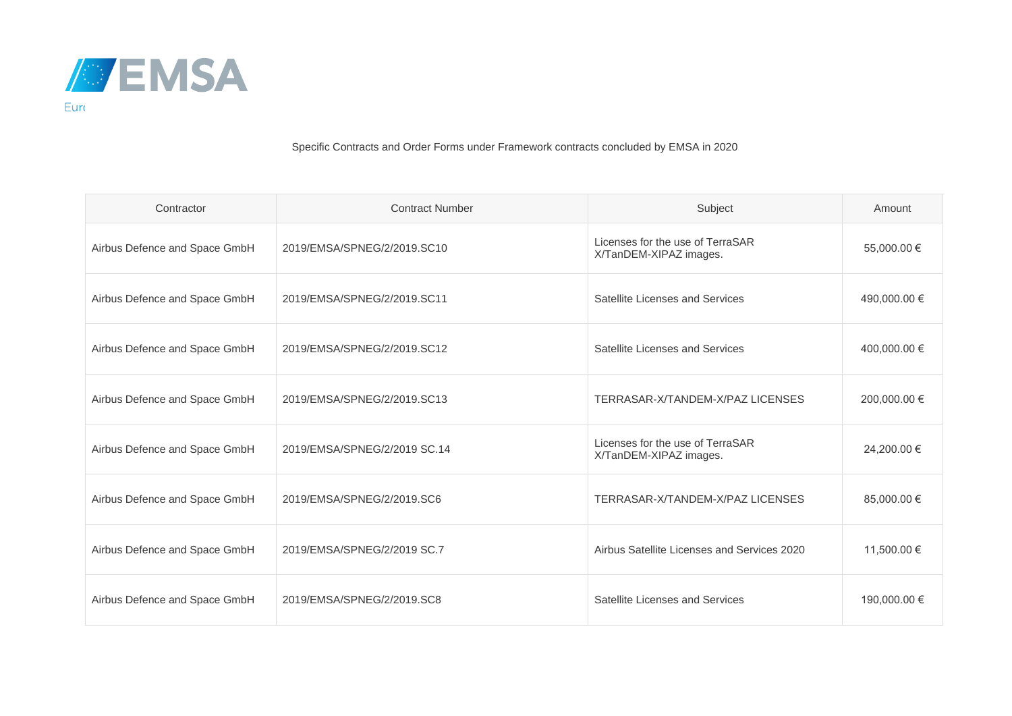

Specific Contracts and Order Forms under Framework contracts concluded by EMSA in 2020

| Contractor                    | <b>Contract Number</b>       | Subject                                                    | Amount       |
|-------------------------------|------------------------------|------------------------------------------------------------|--------------|
| Airbus Defence and Space GmbH | 2019/EMSA/SPNEG/2/2019.SC10  | Licenses for the use of TerraSAR<br>X/TanDEM-XIPAZ images. | 55,000.00 €  |
| Airbus Defence and Space GmbH | 2019/EMSA/SPNEG/2/2019.SC11  | Satellite Licenses and Services                            | 490,000.00 € |
| Airbus Defence and Space GmbH | 2019/EMSA/SPNEG/2/2019.SC12  | Satellite Licenses and Services                            | 400,000.00 € |
| Airbus Defence and Space GmbH | 2019/EMSA/SPNEG/2/2019.SC13  | TERRASAR-X/TANDEM-X/PAZ LICENSES                           | 200,000.00 € |
| Airbus Defence and Space GmbH | 2019/EMSA/SPNEG/2/2019 SC.14 | Licenses for the use of TerraSAR<br>X/TanDEM-XIPAZ images. | 24,200.00 €  |
| Airbus Defence and Space GmbH | 2019/EMSA/SPNEG/2/2019.SC6   | TERRASAR-X/TANDEM-X/PAZ LICENSES                           | 85,000.00 €  |
| Airbus Defence and Space GmbH | 2019/EMSA/SPNEG/2/2019 SC.7  | Airbus Satellite Licenses and Services 2020                | 11,500.00 €  |
| Airbus Defence and Space GmbH | 2019/EMSA/SPNEG/2/2019.SC8   | Satellite Licenses and Services                            | 190,000.00 € |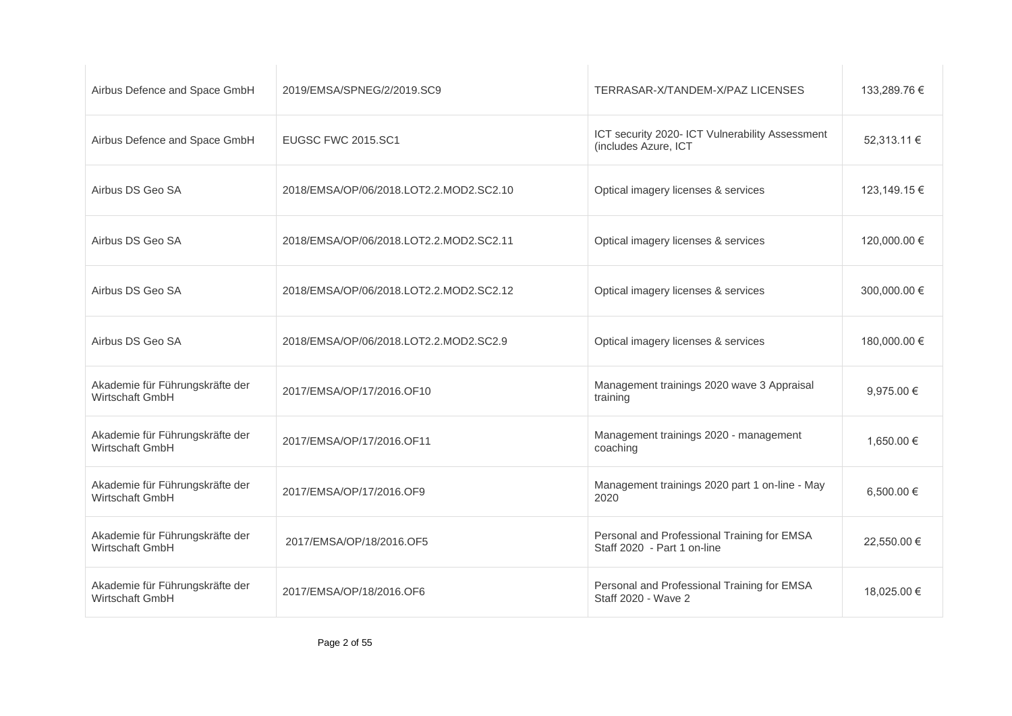| Airbus Defence and Space GmbH                      | 2019/EMSA/SPNEG/2/2019.SC9              | TERRASAR-X/TANDEM-X/PAZ LICENSES                                           | 133,289.76 €   |
|----------------------------------------------------|-----------------------------------------|----------------------------------------------------------------------------|----------------|
| Airbus Defence and Space GmbH                      | <b>EUGSC FWC 2015.SC1</b>               | ICT security 2020- ICT Vulnerability Assessment<br>(includes Azure, ICT    | 52,313.11 €    |
| Airbus DS Geo SA                                   | 2018/EMSA/OP/06/2018.LOT2.2.MOD2.SC2.10 | Optical imagery licenses & services                                        | 123,149.15 €   |
| Airbus DS Geo SA                                   | 2018/EMSA/OP/06/2018.LOT2.2.MOD2.SC2.11 | Optical imagery licenses & services                                        | 120,000.00 €   |
| Airbus DS Geo SA                                   | 2018/EMSA/OP/06/2018.LOT2.2.MOD2.SC2.12 | Optical imagery licenses & services                                        | 300,000,00 €   |
| Airbus DS Geo SA                                   | 2018/EMSA/OP/06/2018.LOT2.2.MOD2.SC2.9  | Optical imagery licenses & services                                        | 180,000.00 €   |
| Akademie für Führungskräfte der<br>Wirtschaft GmbH | 2017/EMSA/OP/17/2016.OF10               | Management trainings 2020 wave 3 Appraisal<br>training                     | 9,975.00 $\in$ |
| Akademie für Führungskräfte der<br>Wirtschaft GmbH | 2017/EMSA/OP/17/2016.OF11               | Management trainings 2020 - management<br>coaching                         | 1,650.00 €     |
| Akademie für Führungskräfte der<br>Wirtschaft GmbH | 2017/EMSA/OP/17/2016.OF9                | Management trainings 2020 part 1 on-line - May<br>2020                     | 6,500.00 €     |
| Akademie für Führungskräfte der<br>Wirtschaft GmbH | 2017/EMSA/OP/18/2016.OF5                | Personal and Professional Training for EMSA<br>Staff 2020 - Part 1 on-line | 22,550.00 €    |
| Akademie für Führungskräfte der<br>Wirtschaft GmbH | 2017/EMSA/OP/18/2016.OF6                | Personal and Professional Training for EMSA<br>Staff 2020 - Wave 2         | 18,025.00 €    |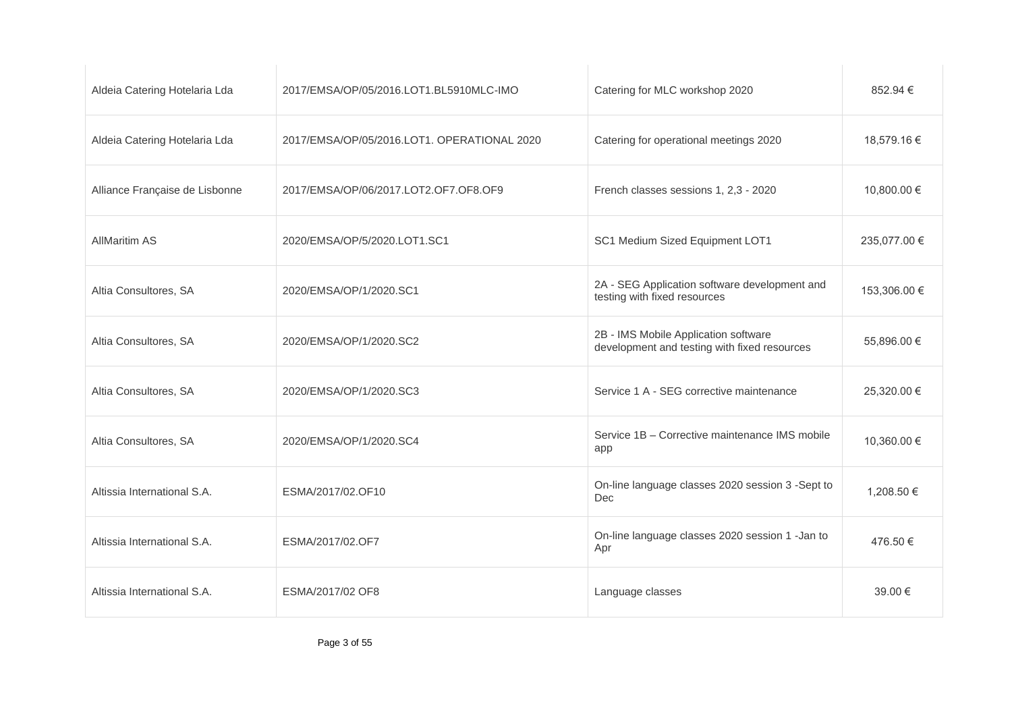| Aldeia Catering Hotelaria Lda  | 2017/EMSA/OP/05/2016.LOT1.BL5910MLC-IMO     | Catering for MLC workshop 2020                                                       | 852.94 €     |
|--------------------------------|---------------------------------------------|--------------------------------------------------------------------------------------|--------------|
| Aldeia Catering Hotelaria Lda  | 2017/EMSA/OP/05/2016.LOT1. OPERATIONAL 2020 | Catering for operational meetings 2020                                               | 18,579.16 €  |
| Alliance Française de Lisbonne | 2017/EMSA/OP/06/2017.LOT2.OF7.OF8.OF9       | French classes sessions 1, 2,3 - 2020                                                | 10.800.00 €  |
| <b>AllMaritim AS</b>           | 2020/EMSA/OP/5/2020.LOT1.SC1                | SC1 Medium Sized Equipment LOT1                                                      | 235,077.00 € |
| Altia Consultores, SA          | 2020/EMSA/OP/1/2020.SC1                     | 2A - SEG Application software development and<br>testing with fixed resources        | 153,306.00 € |
| Altia Consultores, SA          | 2020/EMSA/OP/1/2020.SC2                     | 2B - IMS Mobile Application software<br>development and testing with fixed resources | 55,896.00 €  |
| Altia Consultores, SA          | 2020/EMSA/OP/1/2020.SC3                     | Service 1 A - SEG corrective maintenance                                             | 25,320.00 €  |
| Altia Consultores, SA          | 2020/EMSA/OP/1/2020.SC4                     | Service 1B - Corrective maintenance IMS mobile<br>app                                | 10,360.00 €  |
| Altissia International S.A.    | ESMA/2017/02.OF10                           | On-line language classes 2020 session 3 -Sept to<br><b>Dec</b>                       | 1,208.50 €   |
| Altissia International S.A.    | ESMA/2017/02.OF7                            | On-line language classes 2020 session 1 -Jan to<br>Apr                               | 476.50€      |
| Altissia International S.A.    | ESMA/2017/02 OF8                            | Language classes                                                                     | 39.00 €      |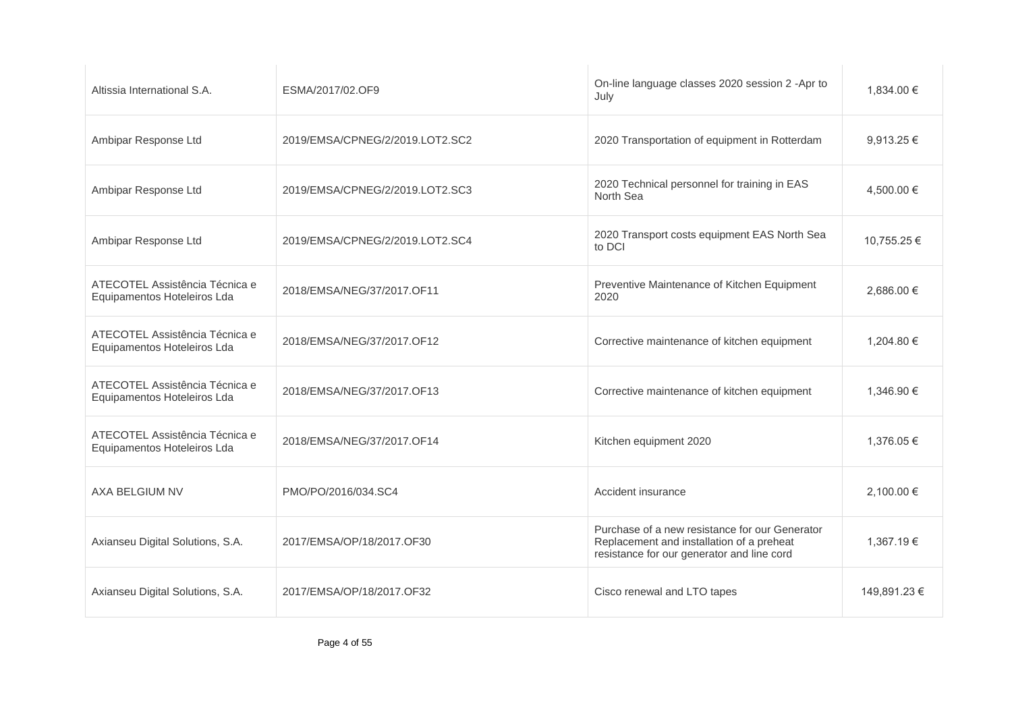| Altissia International S.A.                                   | ESMA/2017/02.OF9                | On-line language classes 2020 session 2 -Apr to<br>July                                                                                   | 1,834.00 €     |
|---------------------------------------------------------------|---------------------------------|-------------------------------------------------------------------------------------------------------------------------------------------|----------------|
| Ambipar Response Ltd                                          | 2019/EMSA/CPNEG/2/2019.LOT2.SC2 | 2020 Transportation of equipment in Rotterdam                                                                                             | 9,913.25€      |
| Ambipar Response Ltd                                          | 2019/EMSA/CPNEG/2/2019.LOT2.SC3 | 2020 Technical personnel for training in EAS<br>North Sea                                                                                 | 4,500.00 €     |
| Ambipar Response Ltd                                          | 2019/EMSA/CPNEG/2/2019.LOT2.SC4 | 2020 Transport costs equipment EAS North Sea<br>to DCI                                                                                    | 10,755.25 €    |
| ATECOTEL Assistência Técnica e<br>Equipamentos Hoteleiros Lda | 2018/EMSA/NEG/37/2017.OF11      | Preventive Maintenance of Kitchen Equipment<br>2020                                                                                       | $2.686.00 \in$ |
| ATECOTEL Assistência Técnica e<br>Equipamentos Hoteleiros Lda | 2018/EMSA/NEG/37/2017.OF12      | Corrective maintenance of kitchen equipment                                                                                               | 1,204.80 €     |
| ATECOTEL Assistência Técnica e<br>Equipamentos Hoteleiros Lda | 2018/EMSA/NEG/37/2017.OF13      | Corrective maintenance of kitchen equipment                                                                                               | 1,346.90 €     |
| ATECOTEL Assistência Técnica e<br>Equipamentos Hoteleiros Lda | 2018/EMSA/NEG/37/2017.OF14      | Kitchen equipment 2020                                                                                                                    | 1,376.05 €     |
| AXA BELGIUM NV                                                | PMO/PO/2016/034.SC4             | Accident insurance                                                                                                                        | 2,100.00 €     |
| Axianseu Digital Solutions, S.A.                              | 2017/EMSA/OP/18/2017.OF30       | Purchase of a new resistance for our Generator<br>Replacement and installation of a preheat<br>resistance for our generator and line cord | 1,367.19€      |
| Axianseu Digital Solutions, S.A.                              | 2017/EMSA/OP/18/2017.OF32       | Cisco renewal and LTO tapes                                                                                                               | 149,891.23 €   |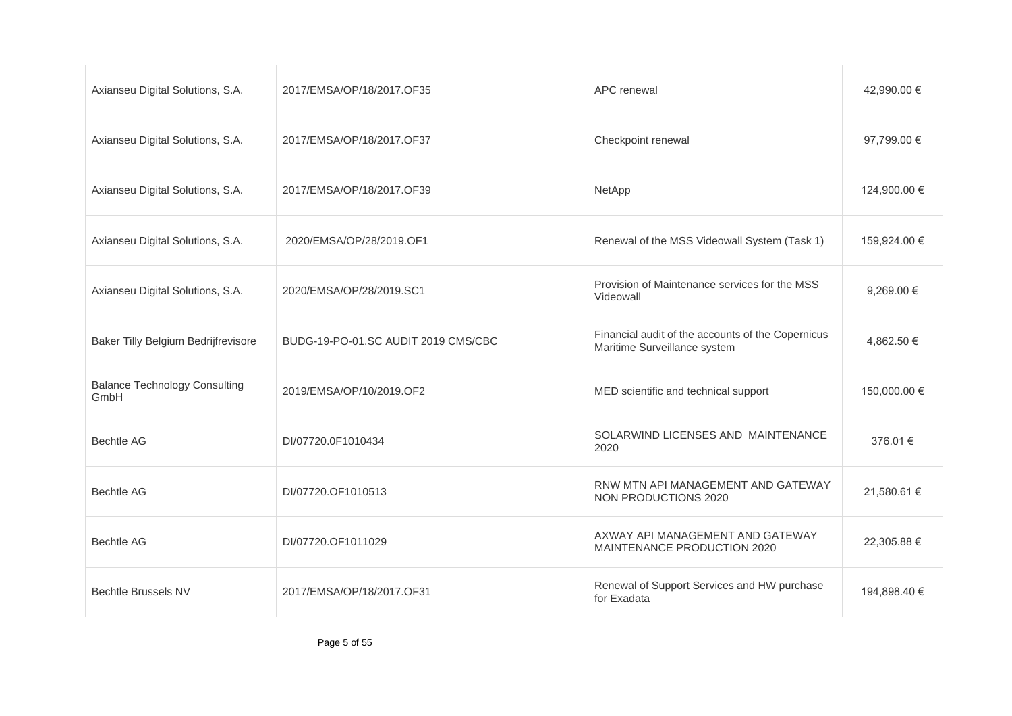| Axianseu Digital Solutions, S.A.             | 2017/EMSA/OP/18/2017.OF35           | APC renewal                                                                       | 42,990.00 €    |
|----------------------------------------------|-------------------------------------|-----------------------------------------------------------------------------------|----------------|
| Axianseu Digital Solutions, S.A.             | 2017/EMSA/OP/18/2017.OF37           | Checkpoint renewal                                                                | 97,799.00 €    |
| Axianseu Digital Solutions, S.A.             | 2017/EMSA/OP/18/2017.OF39           | NetApp                                                                            | 124,900.00 €   |
| Axianseu Digital Solutions, S.A.             | 2020/EMSA/OP/28/2019.OF1            | Renewal of the MSS Videowall System (Task 1)                                      | 159,924.00 €   |
| Axianseu Digital Solutions, S.A.             | 2020/EMSA/OP/28/2019.SC1            | Provision of Maintenance services for the MSS<br>Videowall                        | 9,269.00 $\in$ |
| Baker Tilly Belgium Bedrijfrevisore          | BUDG-19-PO-01.SC AUDIT 2019 CMS/CBC | Financial audit of the accounts of the Copernicus<br>Maritime Surveillance system | 4,862.50 €     |
| <b>Balance Technology Consulting</b><br>GmbH | 2019/EMSA/OP/10/2019.OF2            | MED scientific and technical support                                              | 150,000.00 €   |
| <b>Bechtle AG</b>                            | DI/07720.0F1010434                  | SOLARWIND LICENSES AND MAINTENANCE<br>2020                                        | 376.01 €       |
| <b>Bechtle AG</b>                            | DI/07720.OF1010513                  | RNW MTN API MANAGEMENT AND GATEWAY<br>NON PRODUCTIONS 2020                        | 21,580.61 €    |
| <b>Bechtle AG</b>                            | DI/07720.OF1011029                  | AXWAY API MANAGEMENT AND GATEWAY<br>MAINTENANCE PRODUCTION 2020                   | 22,305.88 €    |
| <b>Bechtle Brussels NV</b>                   | 2017/EMSA/OP/18/2017.OF31           | Renewal of Support Services and HW purchase<br>for Exadata                        | 194,898.40 €   |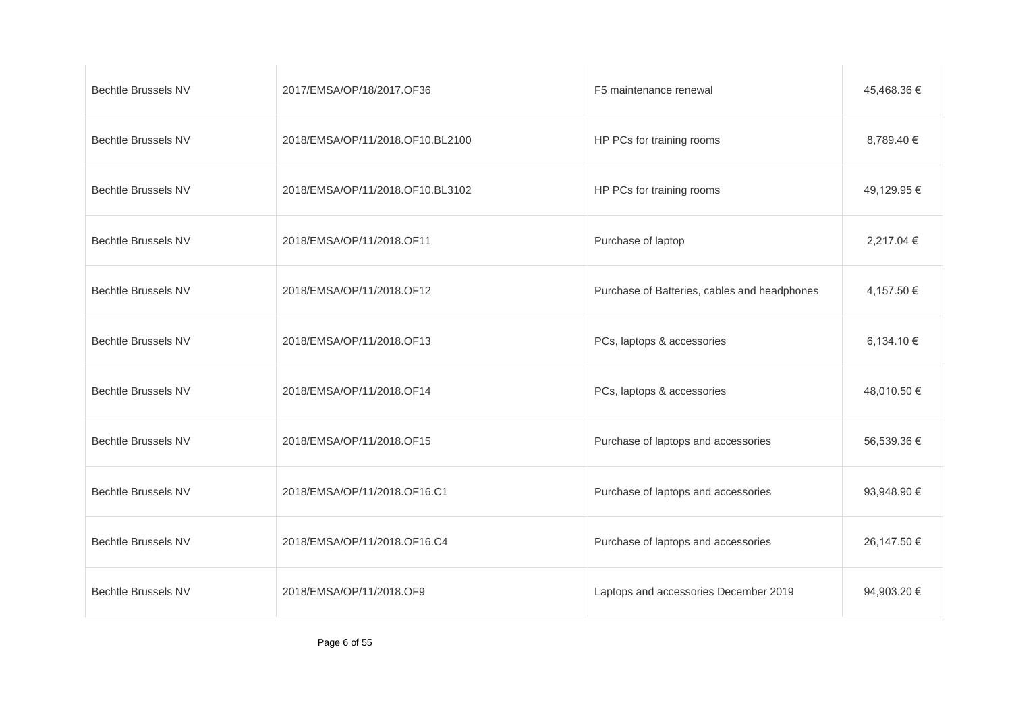| <b>Bechtle Brussels NV</b> | 2017/EMSA/OP/18/2017.OF36        | F5 maintenance renewal                       | 45,468.36 € |
|----------------------------|----------------------------------|----------------------------------------------|-------------|
| <b>Bechtle Brussels NV</b> | 2018/EMSA/OP/11/2018.OF10.BL2100 | HP PCs for training rooms                    | 8,789.40 €  |
| <b>Bechtle Brussels NV</b> | 2018/EMSA/OP/11/2018.OF10.BL3102 | HP PCs for training rooms                    | 49,129.95 € |
| <b>Bechtle Brussels NV</b> | 2018/EMSA/OP/11/2018.OF11        | Purchase of laptop                           | 2,217.04 €  |
| <b>Bechtle Brussels NV</b> | 2018/EMSA/OP/11/2018.OF12        | Purchase of Batteries, cables and headphones | 4,157.50 €  |
| <b>Bechtle Brussels NV</b> | 2018/EMSA/OP/11/2018.OF13        | PCs, laptops & accessories                   | 6,134.10 €  |
| <b>Bechtle Brussels NV</b> | 2018/EMSA/OP/11/2018.OF14        | PCs, laptops & accessories                   | 48,010.50 € |
| <b>Bechtle Brussels NV</b> | 2018/EMSA/OP/11/2018.OF15        | Purchase of laptops and accessories          | 56,539.36 € |
| <b>Bechtle Brussels NV</b> | 2018/EMSA/OP/11/2018.OF16.C1     | Purchase of laptops and accessories          | 93,948.90 € |
| <b>Bechtle Brussels NV</b> | 2018/EMSA/OP/11/2018.OF16.C4     | Purchase of laptops and accessories          | 26,147.50 € |
| <b>Bechtle Brussels NV</b> | 2018/EMSA/OP/11/2018.OF9         | Laptops and accessories December 2019        | 94,903.20 € |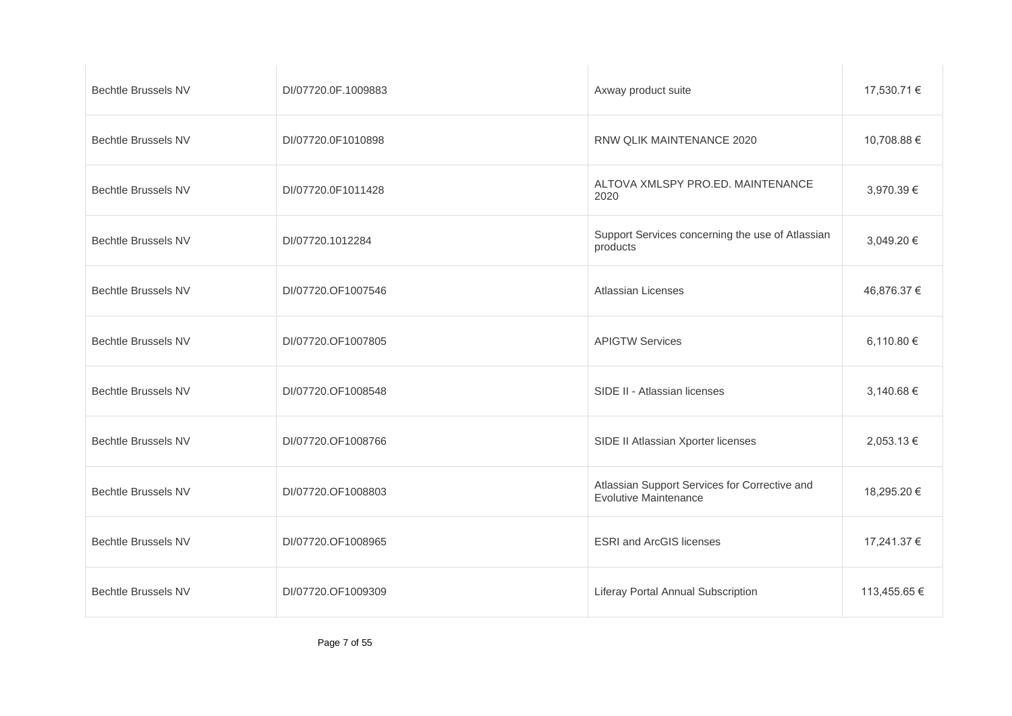| <b>Bechtle Brussels NV</b> | DI/07720.0F.1009883 | Axway product suite                                                           | 17,530.71 €  |
|----------------------------|---------------------|-------------------------------------------------------------------------------|--------------|
| <b>Bechtle Brussels NV</b> | DI/07720.0F1010898  | RNW QLIK MAINTENANCE 2020                                                     | 10,708.88 €  |
| <b>Bechtle Brussels NV</b> | DI/07720.0F1011428  | ALTOVA XMLSPY PRO.ED. MAINTENANCE<br>2020                                     | 3,970.39 €   |
| <b>Bechtle Brussels NV</b> | DI/07720.1012284    | Support Services concerning the use of Atlassian<br>products                  | 3,049.20 €   |
| <b>Bechtle Brussels NV</b> | DI/07720.OF1007546  | <b>Atlassian Licenses</b>                                                     | 46,876.37 €  |
| <b>Bechtle Brussels NV</b> | DI/07720.OF1007805  | <b>APIGTW Services</b>                                                        | 6,110.80 €   |
| <b>Bechtle Brussels NV</b> | DI/07720.OF1008548  | SIDE II - Atlassian licenses                                                  | 3,140.68 €   |
| <b>Bechtle Brussels NV</b> | DI/07720.OF1008766  | SIDE II Atlassian Xporter licenses                                            | 2,053.13 €   |
| <b>Bechtle Brussels NV</b> | DI/07720.OF1008803  | Atlassian Support Services for Corrective and<br><b>Evolutive Maintenance</b> | 18,295.20 €  |
| <b>Bechtle Brussels NV</b> | DI/07720.OF1008965  | <b>ESRI</b> and ArcGIS licenses                                               | 17,241.37 €  |
| <b>Bechtle Brussels NV</b> | DI/07720.OF1009309  | Liferay Portal Annual Subscription                                            | 113,455.65 € |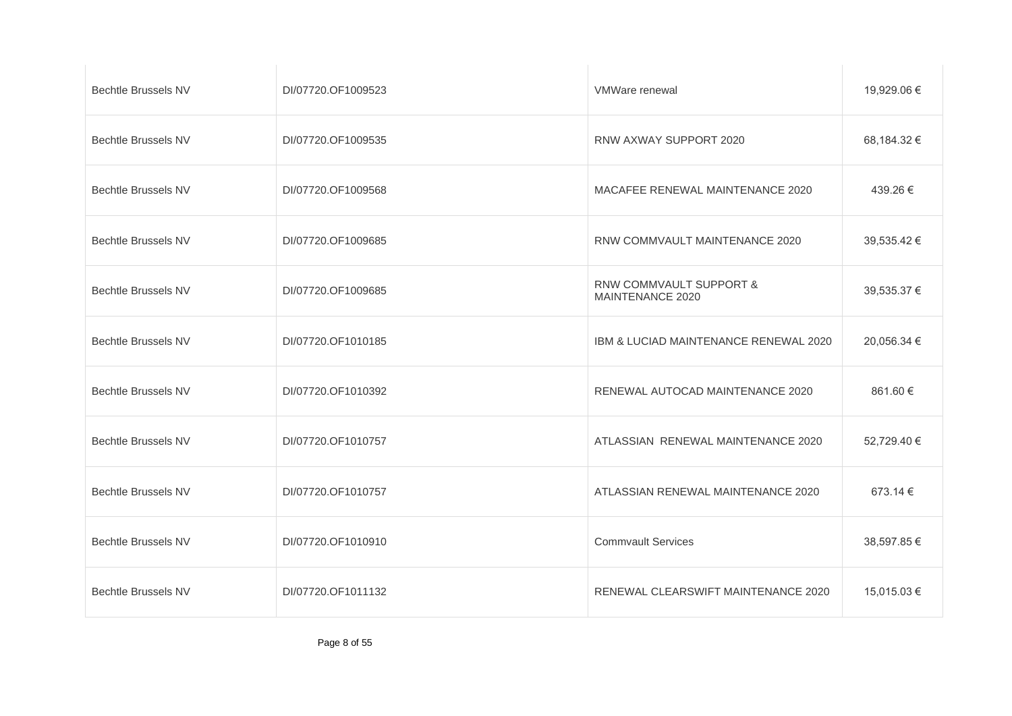| <b>Bechtle Brussels NV</b> | DI/07720.OF1009523 | VMWare renewal                              | 19,929.06 € |
|----------------------------|--------------------|---------------------------------------------|-------------|
| <b>Bechtle Brussels NV</b> | DI/07720.OF1009535 | RNW AXWAY SUPPORT 2020                      | 68,184.32 € |
| <b>Bechtle Brussels NV</b> | DI/07720.OF1009568 | MACAFEE RENEWAL MAINTENANCE 2020            | 439.26 €    |
| <b>Bechtle Brussels NV</b> | DI/07720.OF1009685 | RNW COMMVAULT MAINTENANCE 2020              | 39,535.42 € |
| <b>Bechtle Brussels NV</b> | DI/07720.OF1009685 | RNW COMMVAULT SUPPORT &<br>MAINTENANCE 2020 | 39,535.37 € |
| <b>Bechtle Brussels NV</b> | DI/07720.OF1010185 | IBM & LUCIAD MAINTENANCE RENEWAL 2020       | 20,056.34 € |
| <b>Bechtle Brussels NV</b> | DI/07720.OF1010392 | RENEWAL AUTOCAD MAINTENANCE 2020            | 861.60 €    |
| <b>Bechtle Brussels NV</b> | DI/07720.OF1010757 | ATLASSIAN RENEWAL MAINTENANCE 2020          | 52,729.40 € |
| <b>Bechtle Brussels NV</b> | DI/07720.OF1010757 | ATLASSIAN RENEWAL MAINTENANCE 2020          | 673.14 €    |
| <b>Bechtle Brussels NV</b> | DI/07720.OF1010910 | <b>Commvault Services</b>                   | 38,597.85 € |
| <b>Bechtle Brussels NV</b> | DI/07720.OF1011132 | RENEWAL CLEARSWIFT MAINTENANCE 2020         | 15,015.03 € |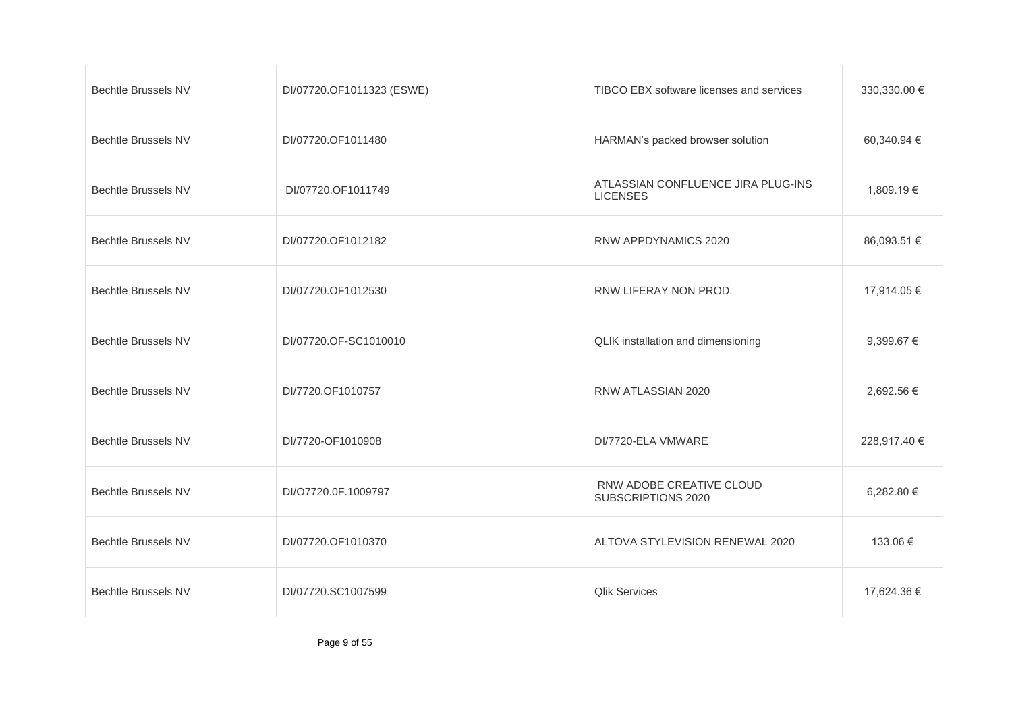| <b>Bechtle Brussels NV</b> | DI/07720.OF1011323 (ESWE) | TIBCO EBX software licenses and services              | 330,330.00 € |
|----------------------------|---------------------------|-------------------------------------------------------|--------------|
| <b>Bechtle Brussels NV</b> | DI/07720.OF1011480        | HARMAN's packed browser solution                      | 60,340.94 €  |
| <b>Bechtle Brussels NV</b> | DI/07720.OF1011749        | ATLASSIAN CONFLUENCE JIRA PLUG-INS<br><b>LICENSES</b> | 1,809.19€    |
| <b>Bechtle Brussels NV</b> | DI/07720.OF1012182        | RNW APPDYNAMICS 2020                                  | 86,093.51 €  |
| <b>Bechtle Brussels NV</b> | DI/07720.OF1012530        | RNW LIFERAY NON PROD.                                 | 17,914.05 €  |
| <b>Bechtle Brussels NV</b> | DI/07720.OF-SC1010010     | QLIK installation and dimensioning                    | 9,399.67 €   |
| <b>Bechtle Brussels NV</b> | DI/7720.OF1010757         | RNW ATLASSIAN 2020                                    | 2,692.56 €   |
| <b>Bechtle Brussels NV</b> | DI/7720-OF1010908         | DI/7720-ELA VMWARE                                    | 228,917.40 € |
| <b>Bechtle Brussels NV</b> | DI/O7720.0F.1009797       | RNW ADOBE CREATIVE CLOUD<br>SUBSCRIPTIONS 2020        | 6,282.80 €   |
| <b>Bechtle Brussels NV</b> | DI/07720.OF1010370        | ALTOVA STYLEVISION RENEWAL 2020                       | 133.06 €     |
| <b>Bechtle Brussels NV</b> | DI/07720.SC1007599        | <b>Qlik Services</b>                                  | 17,624.36 €  |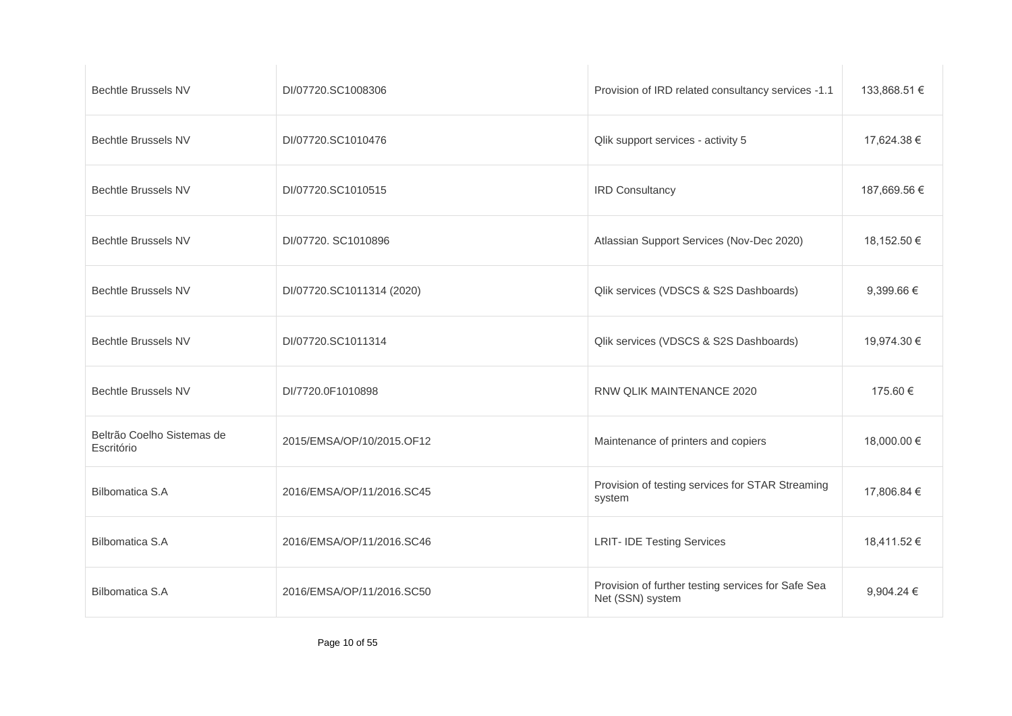| <b>Bechtle Brussels NV</b>               | DI/07720.SC1008306        | Provision of IRD related consultancy services -1.1                     | 133,868.51 €   |
|------------------------------------------|---------------------------|------------------------------------------------------------------------|----------------|
| <b>Bechtle Brussels NV</b>               | DI/07720.SC1010476        | Qlik support services - activity 5                                     | 17,624.38 €    |
| <b>Bechtle Brussels NV</b>               | DI/07720.SC1010515        | <b>IRD Consultancy</b>                                                 | 187,669.56 €   |
| <b>Bechtle Brussels NV</b>               | DI/07720. SC1010896       | Atlassian Support Services (Nov-Dec 2020)                              | 18,152.50 €    |
| <b>Bechtle Brussels NV</b>               | DI/07720.SC1011314 (2020) | Qlik services (VDSCS & S2S Dashboards)                                 | 9,399.66 $\in$ |
| <b>Bechtle Brussels NV</b>               | DI/07720.SC1011314        | Qlik services (VDSCS & S2S Dashboards)                                 | 19,974.30 €    |
| <b>Bechtle Brussels NV</b>               | DI/7720.0F1010898         | RNW QLIK MAINTENANCE 2020                                              | 175.60 €       |
| Beltrão Coelho Sistemas de<br>Escritório | 2015/EMSA/OP/10/2015.OF12 | Maintenance of printers and copiers                                    | 18,000.00 €    |
| <b>Bilbomatica S.A</b>                   | 2016/EMSA/OP/11/2016.SC45 | Provision of testing services for STAR Streaming<br>system             | 17,806.84 €    |
| <b>Bilbomatica S.A</b>                   | 2016/EMSA/OP/11/2016.SC46 | <b>LRIT- IDE Testing Services</b>                                      | 18,411.52 €    |
| <b>Bilbomatica S.A</b>                   | 2016/EMSA/OP/11/2016.SC50 | Provision of further testing services for Safe Sea<br>Net (SSN) system | 9,904.24 €     |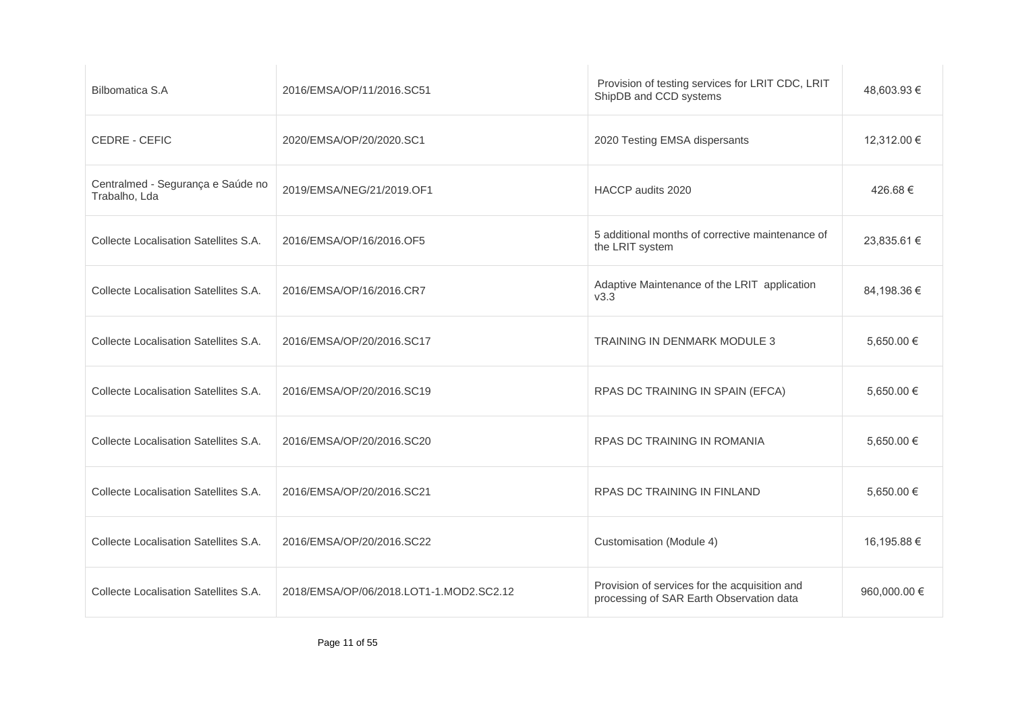| <b>Bilbomatica S.A</b>                             | 2016/EMSA/OP/11/2016.SC51               | Provision of testing services for LRIT CDC, LRIT<br>ShipDB and CCD systems                | 48,603.93 €  |
|----------------------------------------------------|-----------------------------------------|-------------------------------------------------------------------------------------------|--------------|
| CEDRE - CEFIC                                      | 2020/EMSA/OP/20/2020.SC1                | 2020 Testing EMSA dispersants                                                             | 12,312.00 €  |
| Centralmed - Segurança e Saúde no<br>Trabalho, Lda | 2019/EMSA/NEG/21/2019.OF1               | HACCP audits 2020                                                                         | 426.68€      |
| Collecte Localisation Satellites S.A.              | 2016/EMSA/OP/16/2016.OF5                | 5 additional months of corrective maintenance of<br>the LRIT system                       | 23,835.61 €  |
| Collecte Localisation Satellites S.A.              | 2016/EMSA/OP/16/2016.CR7                | Adaptive Maintenance of the LRIT application<br>V3.3                                      | 84,198.36 €  |
| Collecte Localisation Satellites S.A.              | 2016/EMSA/OP/20/2016.SC17               | TRAINING IN DENMARK MODULE 3                                                              | 5,650.00 €   |
| Collecte Localisation Satellites S.A.              | 2016/EMSA/OP/20/2016.SC19               | RPAS DC TRAINING IN SPAIN (EFCA)                                                          | 5,650.00 €   |
| Collecte Localisation Satellites S.A.              | 2016/EMSA/OP/20/2016.SC20               | RPAS DC TRAINING IN ROMANIA                                                               | 5,650.00 €   |
| Collecte Localisation Satellites S.A.              | 2016/EMSA/OP/20/2016.SC21               | RPAS DC TRAINING IN FINLAND                                                               | 5,650.00 €   |
| Collecte Localisation Satellites S.A.              | 2016/EMSA/OP/20/2016.SC22               | Customisation (Module 4)                                                                  | 16,195.88 €  |
| Collecte Localisation Satellites S.A.              | 2018/EMSA/OP/06/2018.LOT1-1.MOD2.SC2.12 | Provision of services for the acquisition and<br>processing of SAR Earth Observation data | 960,000.00 € |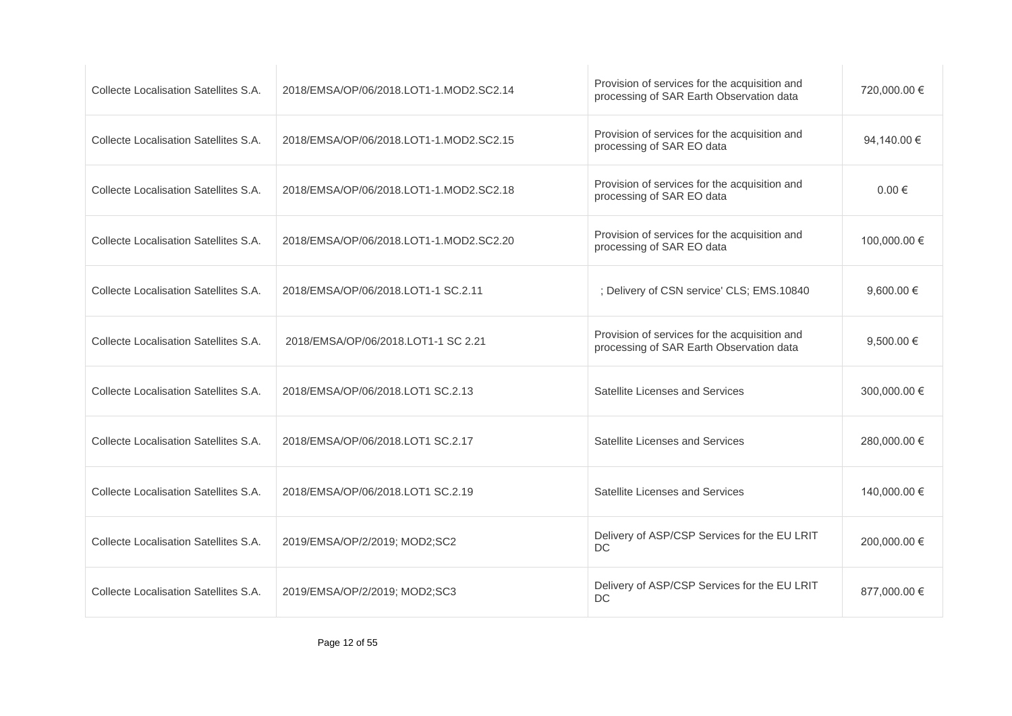| Collecte Localisation Satellites S.A. | 2018/EMSA/OP/06/2018.LOT1-1.MOD2.SC2.14 | Provision of services for the acquisition and<br>processing of SAR Earth Observation data | 720,000.00 €   |
|---------------------------------------|-----------------------------------------|-------------------------------------------------------------------------------------------|----------------|
| Collecte Localisation Satellites S.A. | 2018/EMSA/OP/06/2018.LOT1-1.MOD2.SC2.15 | Provision of services for the acquisition and<br>processing of SAR EO data                | 94,140.00 €    |
| Collecte Localisation Satellites S.A. | 2018/EMSA/OP/06/2018.LOT1-1.MOD2.SC2.18 | Provision of services for the acquisition and<br>processing of SAR EO data                | $0.00 \in$     |
| Collecte Localisation Satellites S.A. | 2018/EMSA/OP/06/2018.LOT1-1.MOD2.SC2.20 | Provision of services for the acquisition and<br>processing of SAR EO data                | 100,000.00 €   |
| Collecte Localisation Satellites S.A. | 2018/EMSA/OP/06/2018.LOT1-1 SC.2.11     | ; Delivery of CSN service' CLS; EMS.10840                                                 | 9.600.00 $\in$ |
| Collecte Localisation Satellites S.A. | 2018/EMSA/OP/06/2018.LOT1-1 SC 2.21     | Provision of services for the acquisition and<br>processing of SAR Earth Observation data | 9,500.00 $\in$ |
| Collecte Localisation Satellites S.A. | 2018/EMSA/OP/06/2018.LOT1 SC.2.13       | Satellite Licenses and Services                                                           | 300,000.00 €   |
| Collecte Localisation Satellites S.A. | 2018/EMSA/OP/06/2018.LOT1 SC.2.17       | Satellite Licenses and Services                                                           | 280,000.00 €   |
| Collecte Localisation Satellites S.A. | 2018/EMSA/OP/06/2018.LOT1 SC.2.19       | Satellite Licenses and Services                                                           | 140,000.00 €   |
| Collecte Localisation Satellites S.A. | 2019/EMSA/OP/2/2019; MOD2;SC2           | Delivery of ASP/CSP Services for the EU LRIT<br><b>DC</b>                                 | 200,000.00 €   |
| Collecte Localisation Satellites S.A. | 2019/EMSA/OP/2/2019; MOD2;SC3           | Delivery of ASP/CSP Services for the EU LRIT<br>DC                                        | 877,000.00 €   |
|                                       |                                         |                                                                                           |                |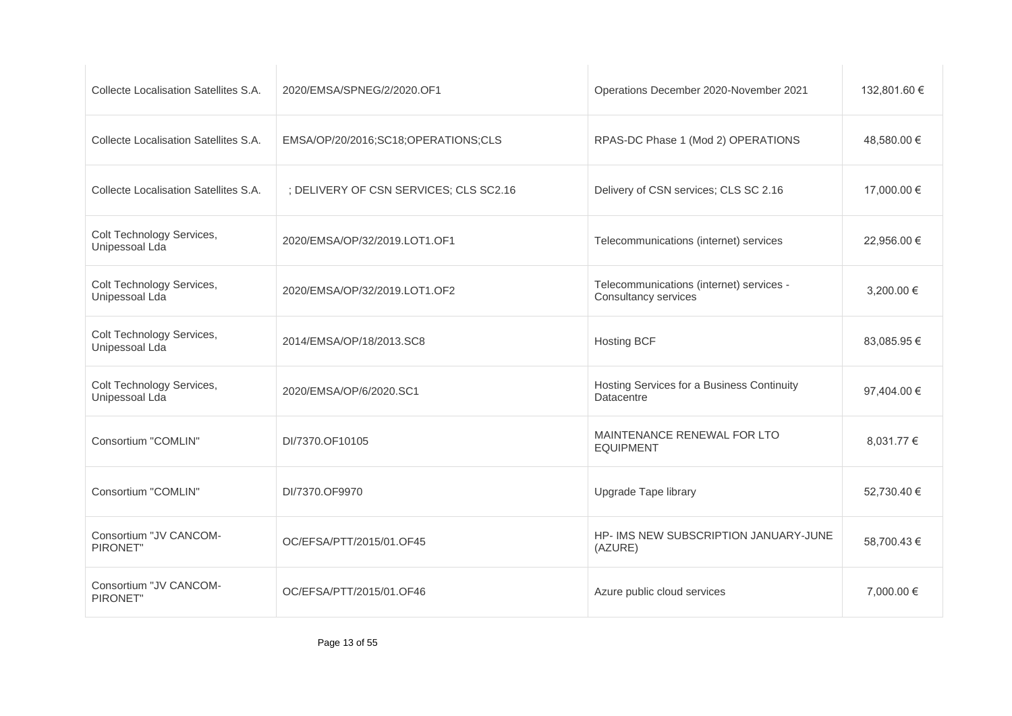| Collecte Localisation Satellites S.A.       | 2020/EMSA/SPNEG/2/2020.OF1             | Operations December 2020-November 2021                           | 132,801.60 € |
|---------------------------------------------|----------------------------------------|------------------------------------------------------------------|--------------|
| Collecte Localisation Satellites S.A.       | EMSA/OP/20/2016;SC18;OPERATIONS;CLS    | RPAS-DC Phase 1 (Mod 2) OPERATIONS                               | 48,580.00 €  |
| Collecte Localisation Satellites S.A.       | ; DELIVERY OF CSN SERVICES; CLS SC2.16 | Delivery of CSN services; CLS SC 2.16                            | 17,000.00 €  |
| Colt Technology Services,<br>Unipessoal Lda | 2020/EMSA/OP/32/2019.LOT1.OF1          | Telecommunications (internet) services                           | 22,956.00 €  |
| Colt Technology Services,<br>Unipessoal Lda | 2020/EMSA/OP/32/2019.LOT1.OF2          | Telecommunications (internet) services -<br>Consultancy services | 3,200.00 €   |
| Colt Technology Services,<br>Unipessoal Lda | 2014/EMSA/OP/18/2013.SC8               | <b>Hosting BCF</b>                                               | 83,085.95 €  |
| Colt Technology Services,<br>Unipessoal Lda | 2020/EMSA/OP/6/2020.SC1                | Hosting Services for a Business Continuity<br><b>Datacentre</b>  | 97,404.00 €  |
| Consortium "COMLIN"                         | DI/7370.OF10105                        | MAINTENANCE RENEWAL FOR LTO<br><b>EQUIPMENT</b>                  | 8,031.77 €   |
| Consortium "COMLIN"                         | DI/7370.OF9970                         | Upgrade Tape library                                             | 52,730.40 €  |
| Consortium "JV CANCOM-<br>PIRONET"          | OC/EFSA/PTT/2015/01.OF45               | HP- IMS NEW SUBSCRIPTION JANUARY-JUNE<br>(AZURE)                 | 58,700.43 €  |
| Consortium "JV CANCOM-<br>PIRONET"          | OC/EFSA/PTT/2015/01.OF46               | Azure public cloud services                                      | 7,000.00 €   |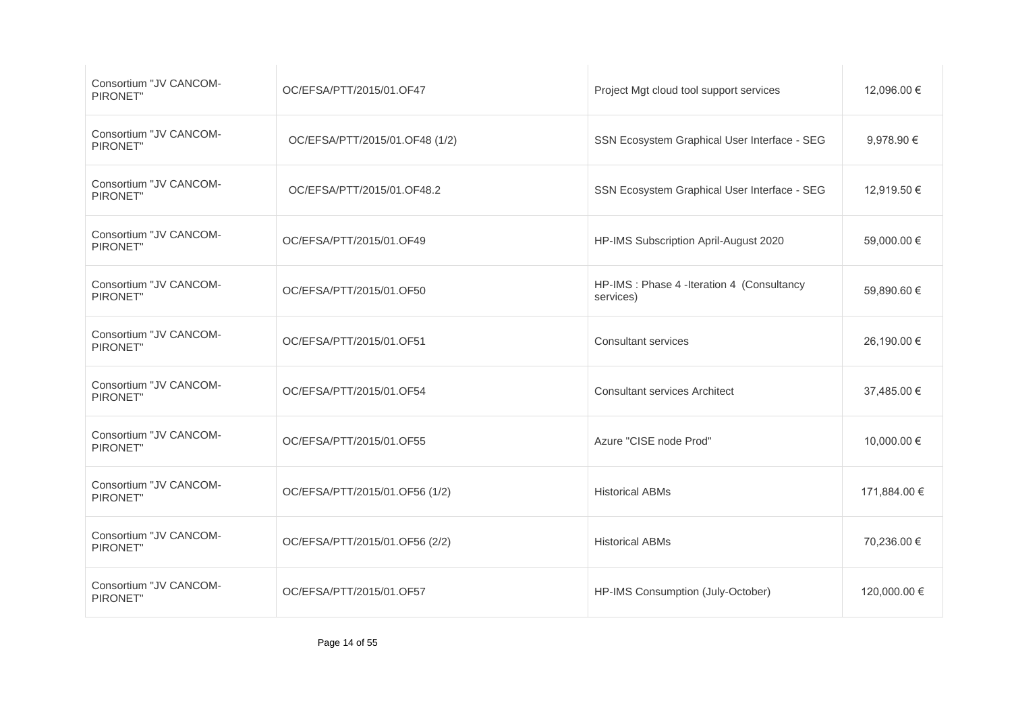| Consortium "JV CANCOM-<br>PIRONET" | OC/EFSA/PTT/2015/01.OF47       | Project Mgt cloud tool support services                 | 12,096.00 €  |
|------------------------------------|--------------------------------|---------------------------------------------------------|--------------|
| Consortium "JV CANCOM-<br>PIRONET" | OC/EFSA/PTT/2015/01.OF48 (1/2) | SSN Ecosystem Graphical User Interface - SEG            | 9,978.90 €   |
| Consortium "JV CANCOM-<br>PIRONET" | OC/EFSA/PTT/2015/01.OF48.2     | SSN Ecosystem Graphical User Interface - SEG            | 12,919.50 €  |
| Consortium "JV CANCOM-<br>PIRONET" | OC/EFSA/PTT/2015/01.OF49       | HP-IMS Subscription April-August 2020                   | 59,000.00 €  |
| Consortium "JV CANCOM-<br>PIRONET" | OC/EFSA/PTT/2015/01.OF50       | HP-IMS : Phase 4 -Iteration 4 (Consultancy<br>services) | 59,890.60 €  |
| Consortium "JV CANCOM-<br>PIRONET" | OC/EFSA/PTT/2015/01.OF51       | <b>Consultant services</b>                              | 26,190.00 €  |
| Consortium "JV CANCOM-<br>PIRONET" | OC/EFSA/PTT/2015/01.OF54       | <b>Consultant services Architect</b>                    | 37,485.00 €  |
| Consortium "JV CANCOM-<br>PIRONET" | OC/EFSA/PTT/2015/01.OF55       | Azure "CISE node Prod"                                  | 10,000.00 €  |
| Consortium "JV CANCOM-<br>PIRONET" | OC/EFSA/PTT/2015/01.OF56 (1/2) | <b>Historical ABMs</b>                                  | 171,884.00 € |
| Consortium "JV CANCOM-<br>PIRONET" | OC/EFSA/PTT/2015/01.OF56 (2/2) | <b>Historical ABMs</b>                                  | 70,236.00 €  |
| Consortium "JV CANCOM-<br>PIRONET" | OC/EFSA/PTT/2015/01.OF57       | HP-IMS Consumption (July-October)                       | 120,000.00 € |
|                                    |                                |                                                         |              |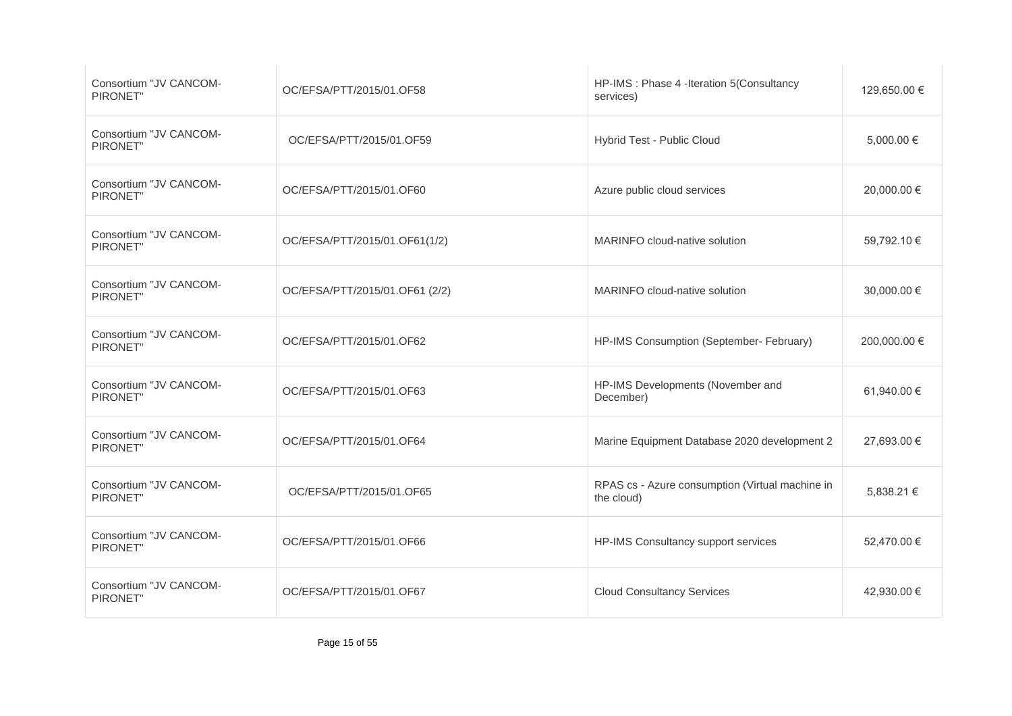| Consortium "JV CANCOM-<br>PIRONET" | OC/EFSA/PTT/2015/01.OF58       | HP-IMS : Phase 4 -Iteration 5(Consultancy<br>services)        | 129,650.00 € |
|------------------------------------|--------------------------------|---------------------------------------------------------------|--------------|
| Consortium "JV CANCOM-<br>PIRONET" | OC/EFSA/PTT/2015/01.OF59       | Hybrid Test - Public Cloud                                    | 5,000.00 €   |
| Consortium "JV CANCOM-<br>PIRONET" | OC/EFSA/PTT/2015/01.OF60       | Azure public cloud services                                   | 20,000.00 €  |
| Consortium "JV CANCOM-<br>PIRONET" | OC/EFSA/PTT/2015/01.OF61(1/2)  | MARINFO cloud-native solution                                 | 59,792.10 €  |
| Consortium "JV CANCOM-<br>PIRONET" | OC/EFSA/PTT/2015/01.OF61 (2/2) | MARINFO cloud-native solution                                 | 30,000.00 €  |
| Consortium "JV CANCOM-<br>PIRONET" | OC/EFSA/PTT/2015/01.OF62       | HP-IMS Consumption (September- February)                      | 200,000.00 € |
| Consortium "JV CANCOM-<br>PIRONET" | OC/EFSA/PTT/2015/01.OF63       | HP-IMS Developments (November and<br>December)                | 61,940.00 €  |
| Consortium "JV CANCOM-<br>PIRONET" | OC/EFSA/PTT/2015/01.OF64       | Marine Equipment Database 2020 development 2                  | 27,693.00 €  |
| Consortium "JV CANCOM-<br>PIRONET" | OC/EFSA/PTT/2015/01.OF65       | RPAS cs - Azure consumption (Virtual machine in<br>the cloud) | 5,838.21 €   |
| Consortium "JV CANCOM-<br>PIRONET" | OC/EFSA/PTT/2015/01.OF66       | HP-IMS Consultancy support services                           | 52,470.00 €  |
| Consortium "JV CANCOM-<br>PIRONET" | OC/EFSA/PTT/2015/01.OF67       | <b>Cloud Consultancy Services</b>                             | 42,930.00 €  |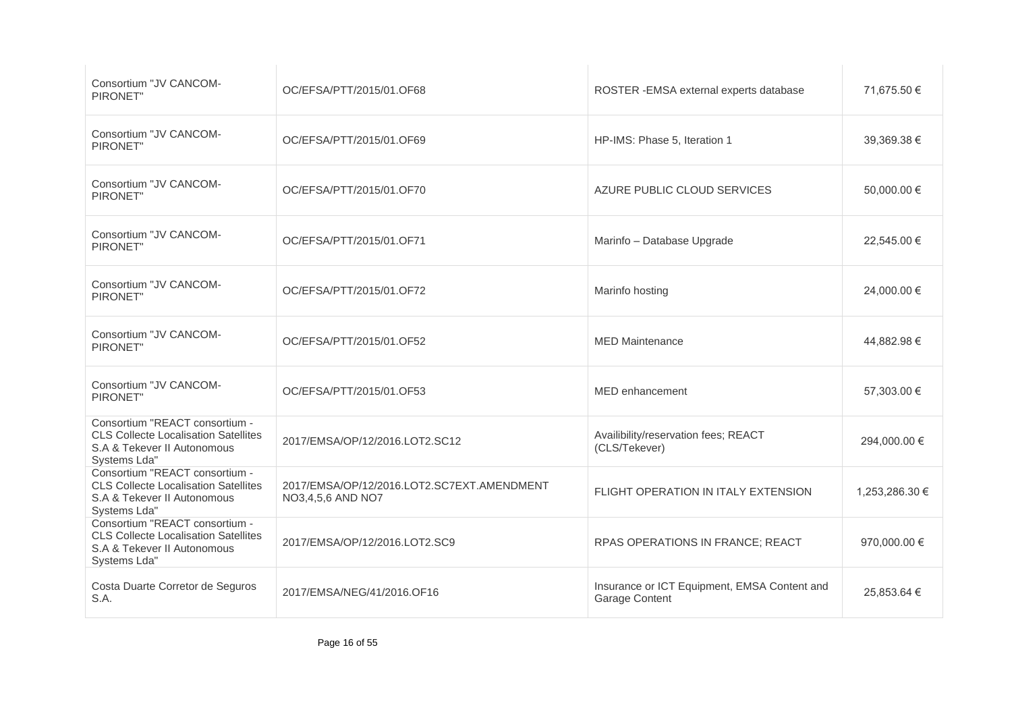| Consortium "JV CANCOM-<br>PIRONET"                                                                                           | OC/EFSA/PTT/2015/01.OF68                                        | ROSTER - EMSA external experts database                        | 71,675.50 €    |
|------------------------------------------------------------------------------------------------------------------------------|-----------------------------------------------------------------|----------------------------------------------------------------|----------------|
|                                                                                                                              |                                                                 |                                                                |                |
| Consortium "JV CANCOM-<br>PIRONET"                                                                                           | OC/EFSA/PTT/2015/01.OF69                                        | HP-IMS: Phase 5, Iteration 1                                   | 39,369.38 €    |
| Consortium "JV CANCOM-<br>PIRONET"                                                                                           | OC/EFSA/PTT/2015/01.OF70                                        | AZURE PUBLIC CLOUD SERVICES                                    | 50,000.00 €    |
| Consortium "JV CANCOM-<br>PIRONET"                                                                                           | OC/EFSA/PTT/2015/01.OF71                                        | Marinfo - Database Upgrade                                     | 22,545.00 €    |
| Consortium "JV CANCOM-<br>PIRONET"                                                                                           | OC/EFSA/PTT/2015/01.OF72                                        | Marinfo hosting                                                | 24.000.00 €    |
| Consortium "JV CANCOM-<br>PIRONET"                                                                                           | OC/EFSA/PTT/2015/01.OF52                                        | <b>MED Maintenance</b>                                         | 44,882.98 €    |
| Consortium "JV CANCOM-<br>PIRONET"                                                                                           | OC/EFSA/PTT/2015/01.OF53                                        | MED enhancement                                                | 57,303.00 €    |
| Consortium "REACT consortium -<br><b>CLS Collecte Localisation Satellites</b><br>S.A & Tekever II Autonomous<br>Systems Lda" | 2017/EMSA/OP/12/2016.LOT2.SC12                                  | Availibility/reservation fees; REACT<br>(CLS/Tekever)          | 294,000.00 €   |
| Consortium "REACT consortium -<br><b>CLS Collecte Localisation Satellites</b><br>S.A & Tekever II Autonomous<br>Systems Lda" | 2017/EMSA/OP/12/2016.LOT2.SC7EXT.AMENDMENT<br>NO3,4,5,6 AND NO7 | FLIGHT OPERATION IN ITALY EXTENSION                            | 1,253,286.30 € |
| Consortium "REACT consortium -<br><b>CLS Collecte Localisation Satellites</b><br>S.A & Tekever II Autonomous<br>Systems Lda" | 2017/EMSA/OP/12/2016.LOT2.SC9                                   | RPAS OPERATIONS IN FRANCE; REACT                               | 970,000.00 €   |
| Costa Duarte Corretor de Seguros<br>S.A.                                                                                     | 2017/EMSA/NEG/41/2016.OF16                                      | Insurance or ICT Equipment, EMSA Content and<br>Garage Content | 25,853.64 €    |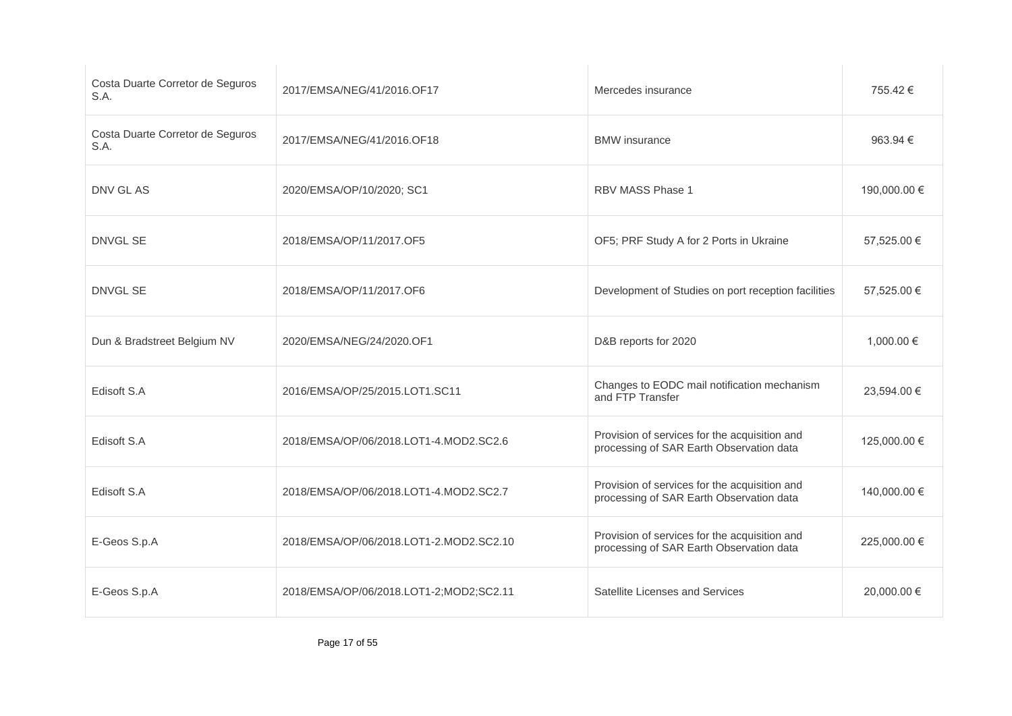| Costa Duarte Corretor de Seguros<br>S.A. | 2017/EMSA/NEG/41/2016.OF17              | Mercedes insurance                                                                        | 755.42 €     |
|------------------------------------------|-----------------------------------------|-------------------------------------------------------------------------------------------|--------------|
| Costa Duarte Corretor de Seguros<br>S.A. | 2017/EMSA/NEG/41/2016.OF18              | <b>BMW</b> insurance                                                                      | 963.94 €     |
| DNV GL AS                                | 2020/EMSA/OP/10/2020; SC1               | RBV MASS Phase 1                                                                          | 190,000.00 € |
| <b>DNVGL SE</b>                          | 2018/EMSA/OP/11/2017.OF5                | OF5; PRF Study A for 2 Ports in Ukraine                                                   | 57,525.00 €  |
| <b>DNVGL SE</b>                          | 2018/EMSA/OP/11/2017.OF6                | Development of Studies on port reception facilities                                       | 57,525.00 €  |
| Dun & Bradstreet Belgium NV              | 2020/EMSA/NEG/24/2020.OF1               | D&B reports for 2020                                                                      | 1,000.00 €   |
| Edisoft S.A                              | 2016/EMSA/OP/25/2015.LOT1.SC11          | Changes to EODC mail notification mechanism<br>and FTP Transfer                           | 23,594.00 €  |
| Edisoft S.A                              | 2018/EMSA/OP/06/2018.LOT1-4.MOD2.SC2.6  | Provision of services for the acquisition and<br>processing of SAR Earth Observation data | 125,000.00 € |
| Edisoft S.A                              | 2018/EMSA/OP/06/2018.LOT1-4.MOD2.SC2.7  | Provision of services for the acquisition and<br>processing of SAR Earth Observation data | 140,000.00 € |
| E-Geos S.p.A                             | 2018/EMSA/OP/06/2018.LOT1-2.MOD2.SC2.10 | Provision of services for the acquisition and<br>processing of SAR Earth Observation data | 225,000.00 € |
| E-Geos S.p.A                             | 2018/EMSA/OP/06/2018.LOT1-2;MOD2;SC2.11 | Satellite Licenses and Services                                                           | 20,000.00 €  |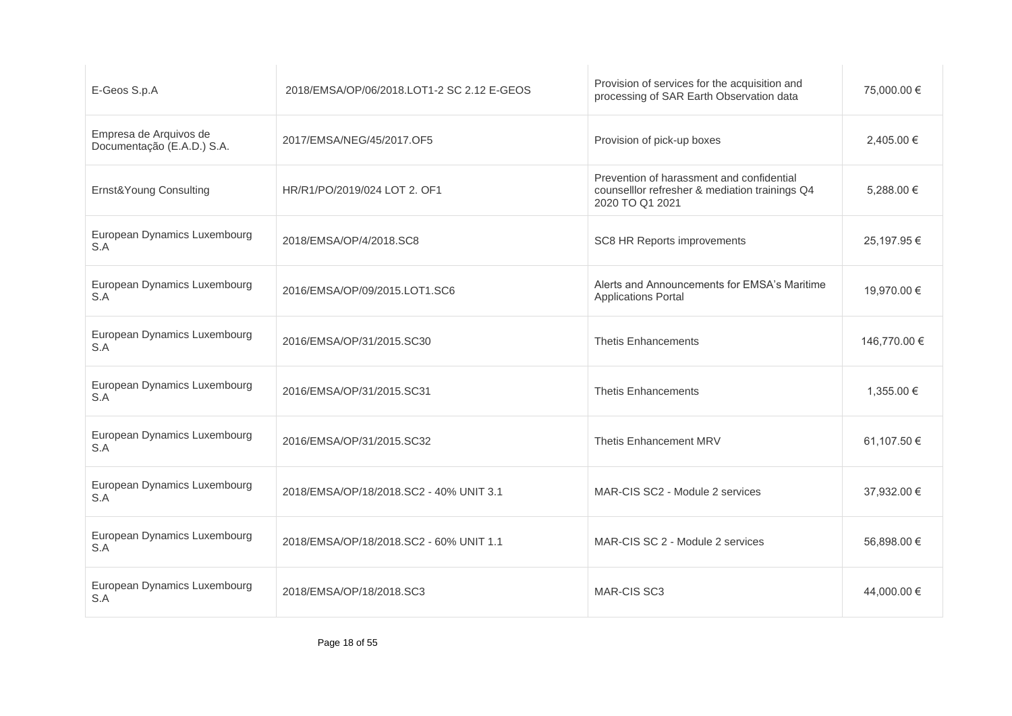| E-Geos S.p.A                                         | 2018/EMSA/OP/06/2018.LOT1-2 SC 2.12 E-GEOS | Provision of services for the acquisition and<br>processing of SAR Earth Observation data                      | 75,000.00 €  |
|------------------------------------------------------|--------------------------------------------|----------------------------------------------------------------------------------------------------------------|--------------|
| Empresa de Arquivos de<br>Documentação (E.A.D.) S.A. | 2017/EMSA/NEG/45/2017.OF5                  | Provision of pick-up boxes                                                                                     | 2,405.00 €   |
| Ernst&Young Consulting                               | HR/R1/PO/2019/024 LOT 2, OF1               | Prevention of harassment and confidential<br>counselllor refresher & mediation trainings Q4<br>2020 TO Q1 2021 | 5.288.00 €   |
| European Dynamics Luxembourg<br>S.A                  | 2018/EMSA/OP/4/2018.SC8                    | SC8 HR Reports improvements                                                                                    | 25,197.95 €  |
| European Dynamics Luxembourg<br>S.A                  | 2016/EMSA/OP/09/2015.LOT1.SC6              | Alerts and Announcements for EMSA's Maritime<br><b>Applications Portal</b>                                     | 19,970.00 €  |
| European Dynamics Luxembourg<br>S.A                  | 2016/EMSA/OP/31/2015.SC30                  | <b>Thetis Enhancements</b>                                                                                     | 146,770.00 € |
| European Dynamics Luxembourg<br>S.A                  | 2016/EMSA/OP/31/2015.SC31                  | <b>Thetis Enhancements</b>                                                                                     | 1.355.00 €   |
| European Dynamics Luxembourg<br>S.A                  | 2016/EMSA/OP/31/2015.SC32                  | Thetis Enhancement MRV                                                                                         | 61,107.50 €  |
| European Dynamics Luxembourg<br>S.A                  | 2018/EMSA/OP/18/2018.SC2 - 40% UNIT 3.1    | MAR-CIS SC2 - Module 2 services                                                                                | 37,932.00 €  |
| European Dynamics Luxembourg<br>S.A                  | 2018/EMSA/OP/18/2018.SC2 - 60% UNIT 1.1    | MAR-CIS SC 2 - Module 2 services                                                                               | 56,898.00 €  |
| European Dynamics Luxembourg<br>S.A                  | 2018/EMSA/OP/18/2018.SC3                   | <b>MAR-CIS SC3</b>                                                                                             | 44,000.00 €  |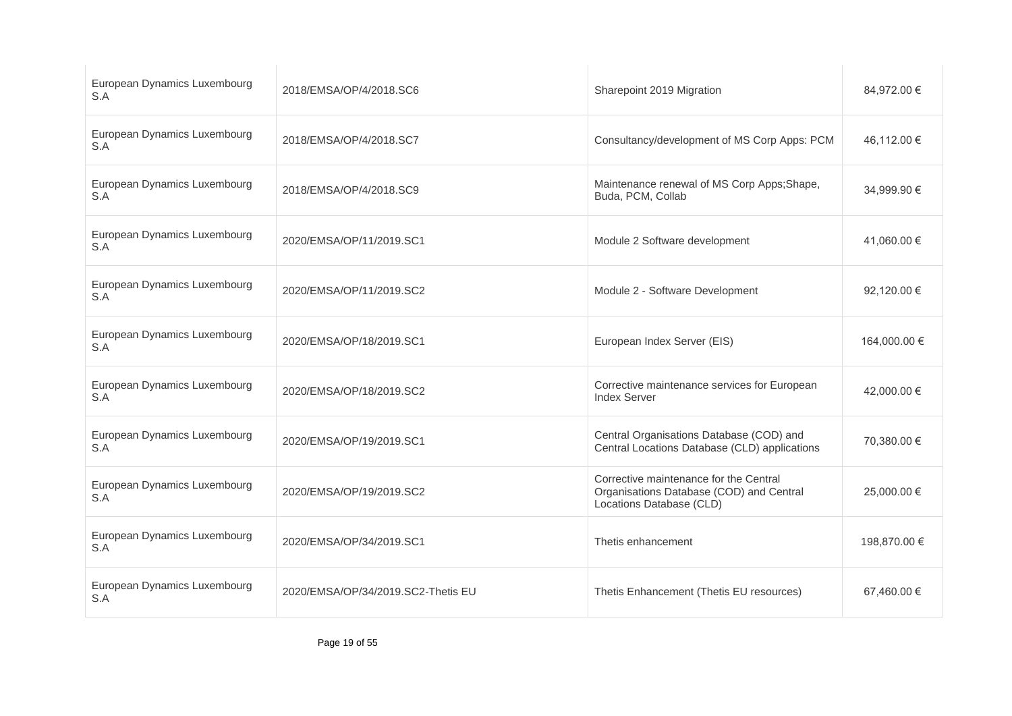| European Dynamics Luxembourg<br>S.A | 2018/EMSA/OP/4/2018.SC6            | Sharepoint 2019 Migration                                                                                      | 84,972.00 €  |
|-------------------------------------|------------------------------------|----------------------------------------------------------------------------------------------------------------|--------------|
| European Dynamics Luxembourg<br>S.A | 2018/EMSA/OP/4/2018.SC7            | Consultancy/development of MS Corp Apps: PCM                                                                   | 46,112.00 €  |
| European Dynamics Luxembourg<br>S.A | 2018/EMSA/OP/4/2018.SC9            | Maintenance renewal of MS Corp Apps; Shape,<br>Buda, PCM, Collab                                               | 34,999.90 €  |
| European Dynamics Luxembourg<br>S.A | 2020/EMSA/OP/11/2019.SC1           | Module 2 Software development                                                                                  | 41,060.00 €  |
| European Dynamics Luxembourg<br>S.A | 2020/EMSA/OP/11/2019.SC2           | Module 2 - Software Development                                                                                | 92.120.00 €  |
| European Dynamics Luxembourg<br>S.A | 2020/EMSA/OP/18/2019.SC1           | European Index Server (EIS)                                                                                    | 164,000.00 € |
| European Dynamics Luxembourg<br>S.A | 2020/EMSA/OP/18/2019.SC2           | Corrective maintenance services for European<br><b>Index Server</b>                                            | 42,000.00 €  |
| European Dynamics Luxembourg<br>S.A | 2020/EMSA/OP/19/2019.SC1           | Central Organisations Database (COD) and<br>Central Locations Database (CLD) applications                      | 70,380.00 €  |
| European Dynamics Luxembourg<br>S.A | 2020/EMSA/OP/19/2019.SC2           | Corrective maintenance for the Central<br>Organisations Database (COD) and Central<br>Locations Database (CLD) | 25,000.00 €  |
| European Dynamics Luxembourg<br>S.A | 2020/EMSA/OP/34/2019.SC1           | Thetis enhancement                                                                                             | 198.870.00 € |
| European Dynamics Luxembourg<br>S.A | 2020/EMSA/OP/34/2019.SC2-Thetis EU | Thetis Enhancement (Thetis EU resources)                                                                       | 67,460.00 €  |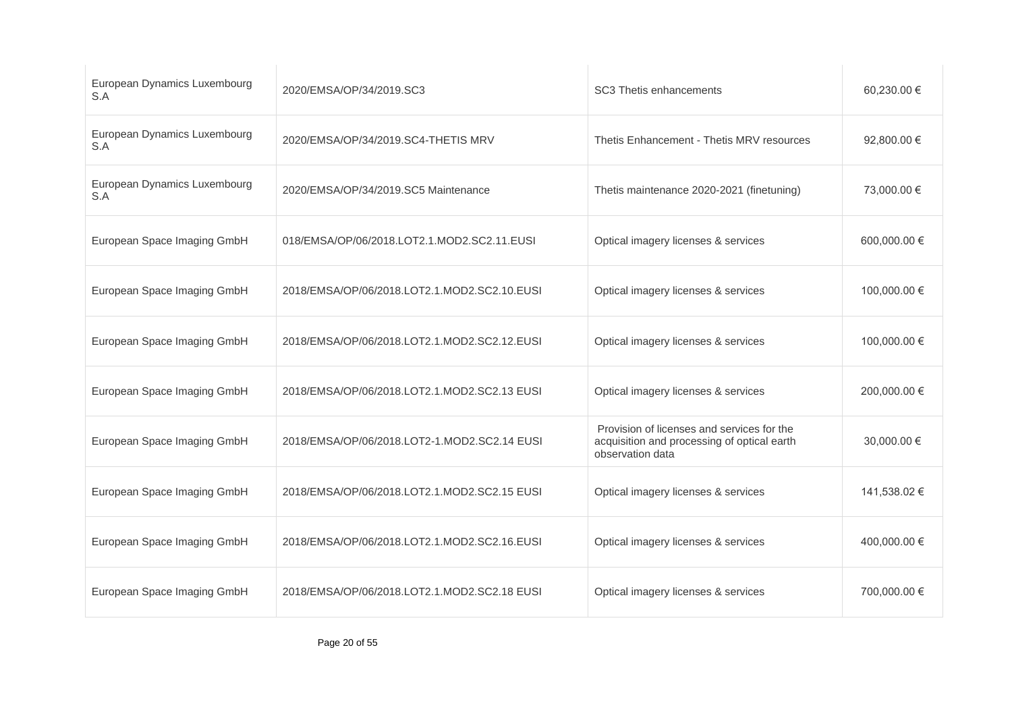| European Dynamics Luxembourg<br>S.A | 2020/EMSA/OP/34/2019.SC3                     | SC3 Thetis enhancements                                                                                       | 60,230.00 €  |
|-------------------------------------|----------------------------------------------|---------------------------------------------------------------------------------------------------------------|--------------|
| European Dynamics Luxembourg<br>S.A | 2020/EMSA/OP/34/2019.SC4-THETIS MRV          | Thetis Enhancement - Thetis MRV resources                                                                     | 92,800.00 €  |
| European Dynamics Luxembourg<br>S.A | 2020/EMSA/OP/34/2019.SC5 Maintenance         | Thetis maintenance 2020-2021 (finetuning)                                                                     | 73,000.00 €  |
| European Space Imaging GmbH         | 018/EMSA/OP/06/2018.LOT2.1.MOD2.SC2.11.EUSI  | Optical imagery licenses & services                                                                           | 600,000.00 € |
| European Space Imaging GmbH         | 2018/EMSA/OP/06/2018.LOT2.1.MOD2.SC2.10.EUSI | Optical imagery licenses & services                                                                           | 100,000.00 € |
| European Space Imaging GmbH         | 2018/EMSA/OP/06/2018.LOT2.1.MOD2.SC2.12.EUSI | Optical imagery licenses & services                                                                           | 100,000.00 € |
| European Space Imaging GmbH         | 2018/EMSA/OP/06/2018.LOT2.1.MOD2.SC2.13 EUSI | Optical imagery licenses & services                                                                           | 200,000.00 € |
| European Space Imaging GmbH         | 2018/EMSA/OP/06/2018.LOT2-1.MOD2.SC2.14 EUSI | Provision of licenses and services for the<br>acquisition and processing of optical earth<br>observation data | 30,000.00 €  |
| European Space Imaging GmbH         | 2018/EMSA/OP/06/2018.LOT2.1.MOD2.SC2.15 EUSI | Optical imagery licenses & services                                                                           | 141,538.02 € |
| European Space Imaging GmbH         | 2018/EMSA/OP/06/2018.LOT2.1.MOD2.SC2.16.EUSI | Optical imagery licenses & services                                                                           | 400,000.00 € |
| European Space Imaging GmbH         | 2018/EMSA/OP/06/2018.LOT2.1.MOD2.SC2.18 EUSI | Optical imagery licenses & services                                                                           | 700,000.00 € |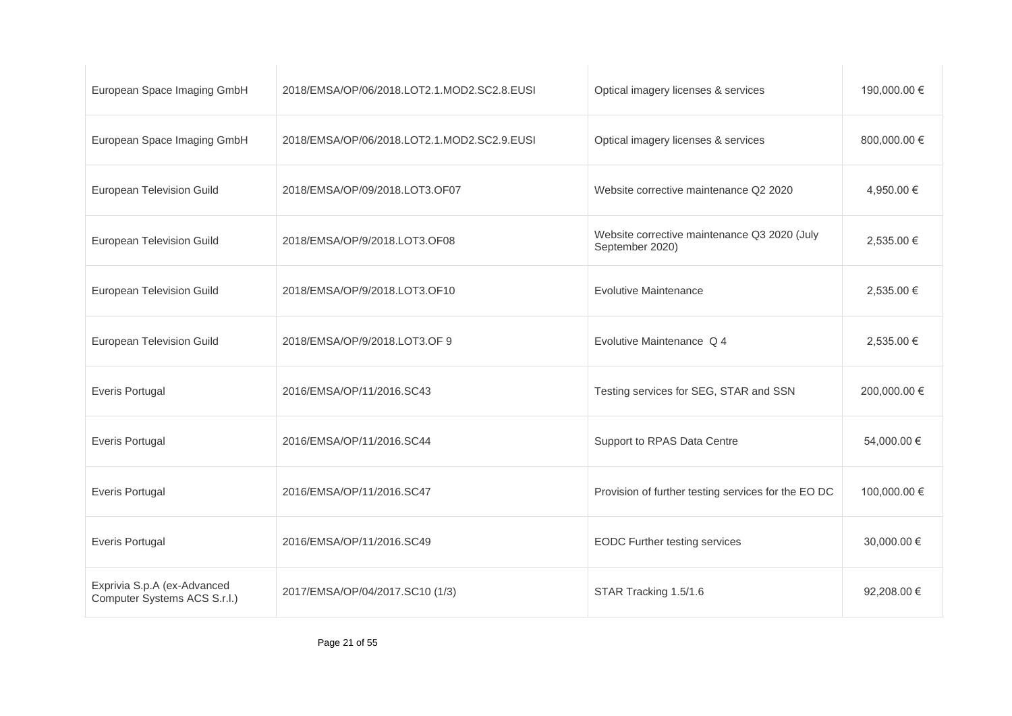| European Space Imaging GmbH                                 | 2018/EMSA/OP/06/2018.LOT2.1.MOD2.SC2.8.EUSI | Optical imagery licenses & services                             | 190,000.00 € |
|-------------------------------------------------------------|---------------------------------------------|-----------------------------------------------------------------|--------------|
| European Space Imaging GmbH                                 | 2018/EMSA/OP/06/2018.LOT2.1.MOD2.SC2.9.EUSI | Optical imagery licenses & services                             | 800,000.00 € |
| European Television Guild                                   | 2018/EMSA/OP/09/2018.LOT3.OF07              | Website corrective maintenance Q2 2020                          | 4,950.00 €   |
| European Television Guild                                   | 2018/EMSA/OP/9/2018.LOT3.OF08               | Website corrective maintenance Q3 2020 (July<br>September 2020) | 2,535.00 €   |
| European Television Guild                                   | 2018/EMSA/OP/9/2018.LOT3.OF10               | <b>Evolutive Maintenance</b>                                    | 2,535.00 €   |
| European Television Guild                                   | 2018/EMSA/OP/9/2018.LOT3.OF 9               | Evolutive Maintenance Q 4                                       | 2,535.00 €   |
| <b>Everis Portugal</b>                                      | 2016/EMSA/OP/11/2016.SC43                   | Testing services for SEG, STAR and SSN                          | 200,000.00 € |
| <b>Everis Portugal</b>                                      | 2016/EMSA/OP/11/2016.SC44                   | Support to RPAS Data Centre                                     | 54,000.00 €  |
| <b>Everis Portugal</b>                                      | 2016/EMSA/OP/11/2016.SC47                   | Provision of further testing services for the EO DC             | 100,000.00 € |
| <b>Everis Portugal</b>                                      | 2016/EMSA/OP/11/2016.SC49                   | <b>EODC Further testing services</b>                            | 30,000.00 €  |
| Exprivia S.p.A (ex-Advanced<br>Computer Systems ACS S.r.l.) | 2017/EMSA/OP/04/2017.SC10 (1/3)             | STAR Tracking 1.5/1.6                                           | 92,208.00 €  |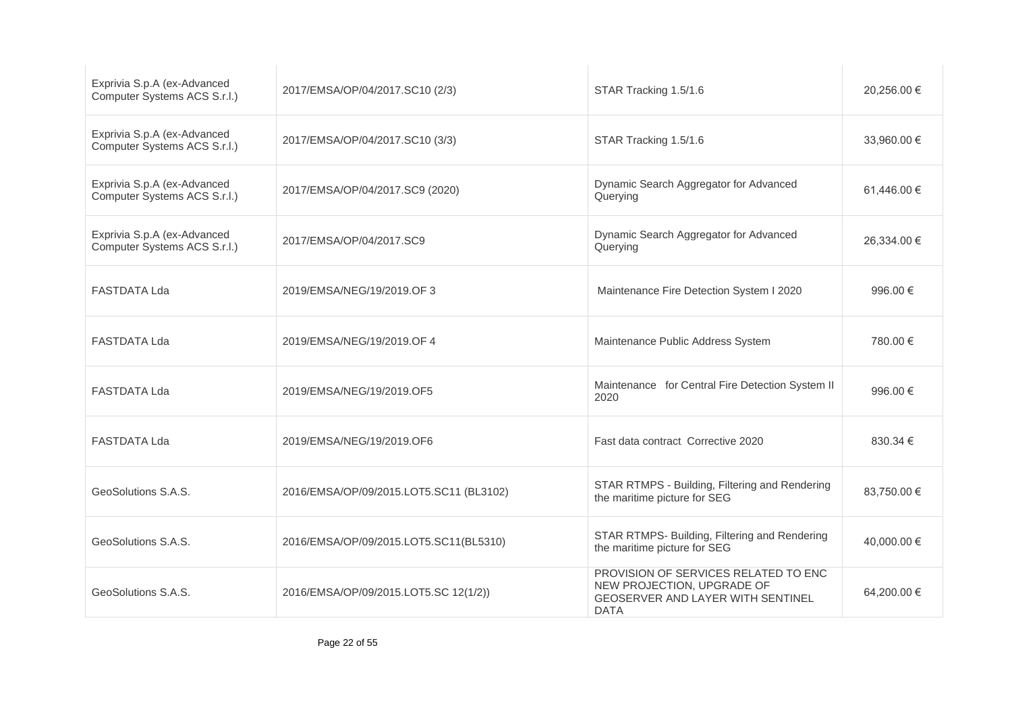| Exprivia S.p.A (ex-Advanced<br>Computer Systems ACS S.r.l.) | 2017/EMSA/OP/04/2017.SC10 (2/3)         | STAR Tracking 1.5/1.6                                                                                                  | 20,256.00 € |
|-------------------------------------------------------------|-----------------------------------------|------------------------------------------------------------------------------------------------------------------------|-------------|
| Exprivia S.p.A (ex-Advanced<br>Computer Systems ACS S.r.l.) | 2017/EMSA/OP/04/2017.SC10 (3/3)         | STAR Tracking 1.5/1.6                                                                                                  | 33,960,00 € |
| Exprivia S.p.A (ex-Advanced<br>Computer Systems ACS S.r.l.) | 2017/EMSA/OP/04/2017.SC9 (2020)         | Dynamic Search Aggregator for Advanced<br>Querying                                                                     | 61,446.00 € |
| Exprivia S.p.A (ex-Advanced<br>Computer Systems ACS S.r.l.) | 2017/EMSA/OP/04/2017.SC9                | Dynamic Search Aggregator for Advanced<br>Querying                                                                     | 26,334.00 € |
| <b>FASTDATA Lda</b>                                         | 2019/EMSA/NEG/19/2019.OF 3              | Maintenance Fire Detection System I 2020                                                                               | 996.00 €    |
| <b>FASTDATA Lda</b>                                         | 2019/EMSA/NEG/19/2019.OF 4              | Maintenance Public Address System                                                                                      | 780.00 €    |
| <b>FASTDATA Lda</b>                                         | 2019/EMSA/NEG/19/2019.OF5               | Maintenance for Central Fire Detection System II<br>2020                                                               | 996.00 €    |
| <b>FASTDATA Lda</b>                                         | 2019/EMSA/NEG/19/2019.OF6               | Fast data contract Corrective 2020                                                                                     | 830.34 €    |
| GeoSolutions S.A.S.                                         | 2016/EMSA/OP/09/2015.LOT5.SC11 (BL3102) | STAR RTMPS - Building, Filtering and Rendering<br>the maritime picture for SEG                                         | 83.750.00 € |
| GeoSolutions S.A.S.                                         | 2016/EMSA/OP/09/2015.LOT5.SC11(BL5310)  | STAR RTMPS- Building, Filtering and Rendering<br>the maritime picture for SEG                                          | 40,000.00 € |
| GeoSolutions S.A.S.                                         | 2016/EMSA/OP/09/2015.LOT5.SC 12(1/2))   | PROVISION OF SERVICES RELATED TO ENC<br>NEW PROJECTION, UPGRADE OF<br>GEOSERVER AND LAYER WITH SENTINEL<br><b>DATA</b> | 64,200.00 € |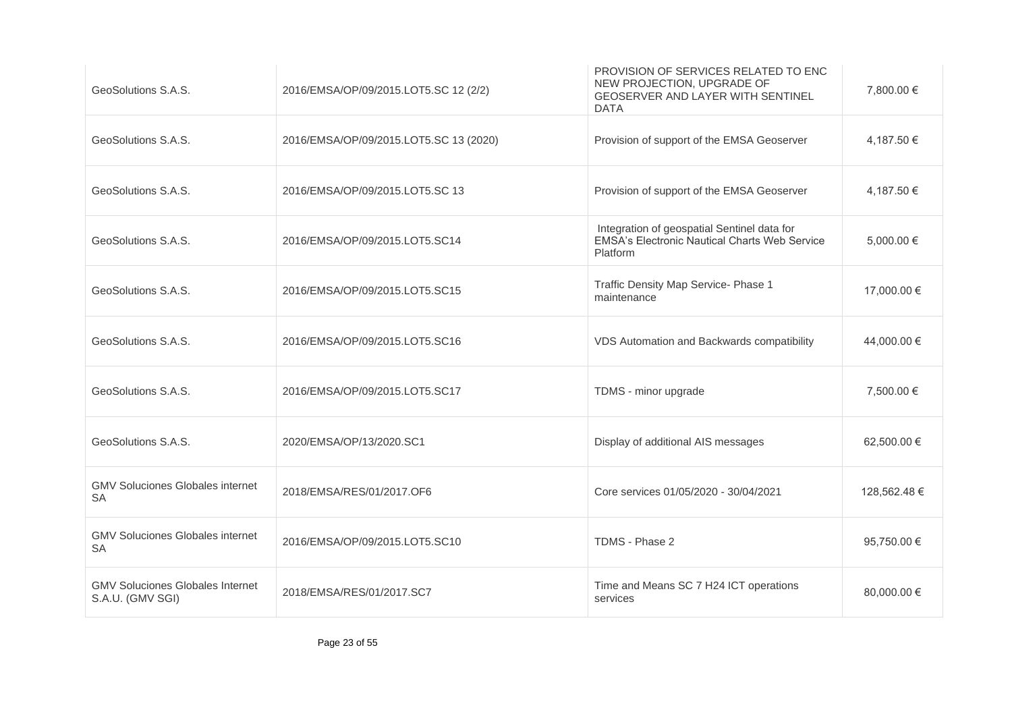| GeoSolutions S.A.S.                                         | 2016/EMSA/OP/09/2015.LOT5.SC 12 (2/2)  | PROVISION OF SERVICES RELATED TO ENC<br>NEW PROJECTION, UPGRADE OF<br><b>GEOSERVER AND LAYER WITH SENTINEL</b><br><b>DATA</b> | 7,800.00 €   |
|-------------------------------------------------------------|----------------------------------------|-------------------------------------------------------------------------------------------------------------------------------|--------------|
| GeoSolutions S.A.S.                                         | 2016/EMSA/OP/09/2015.LOT5.SC 13 (2020) | Provision of support of the EMSA Geoserver                                                                                    | 4,187.50 €   |
| GeoSolutions S.A.S.                                         | 2016/EMSA/OP/09/2015.LOT5.SC 13        | Provision of support of the EMSA Geoserver                                                                                    | 4.187.50 €   |
| GeoSolutions S.A.S.                                         | 2016/EMSA/OP/09/2015.LOT5.SC14         | Integration of geospatial Sentinel data for<br><b>EMSA's Electronic Nautical Charts Web Service</b><br>Platform               | 5,000.00 €   |
| GeoSolutions S.A.S.                                         | 2016/EMSA/OP/09/2015.LOT5.SC15         | Traffic Density Map Service- Phase 1<br>maintenance                                                                           | 17,000.00 €  |
| GeoSolutions S.A.S.                                         | 2016/EMSA/OP/09/2015.LOT5.SC16         | VDS Automation and Backwards compatibility                                                                                    | 44,000.00 €  |
| GeoSolutions S.A.S.                                         | 2016/EMSA/OP/09/2015.LOT5.SC17         | TDMS - minor upgrade                                                                                                          | 7,500.00 €   |
| GeoSolutions S.A.S.                                         | 2020/EMSA/OP/13/2020.SC1               | Display of additional AIS messages                                                                                            | 62,500.00 €  |
| <b>GMV Soluciones Globales internet</b><br>SA               | 2018/EMSA/RES/01/2017.OF6              | Core services 01/05/2020 - 30/04/2021                                                                                         | 128,562.48 € |
| <b>GMV Soluciones Globales internet</b><br><b>SA</b>        | 2016/EMSA/OP/09/2015.LOT5.SC10         | TDMS - Phase 2                                                                                                                | 95,750.00 €  |
| <b>GMV Soluciones Globales Internet</b><br>S.A.U. (GMV SGI) | 2018/EMSA/RES/01/2017.SC7              | Time and Means SC 7 H24 ICT operations<br>services                                                                            | 80,000.00 €  |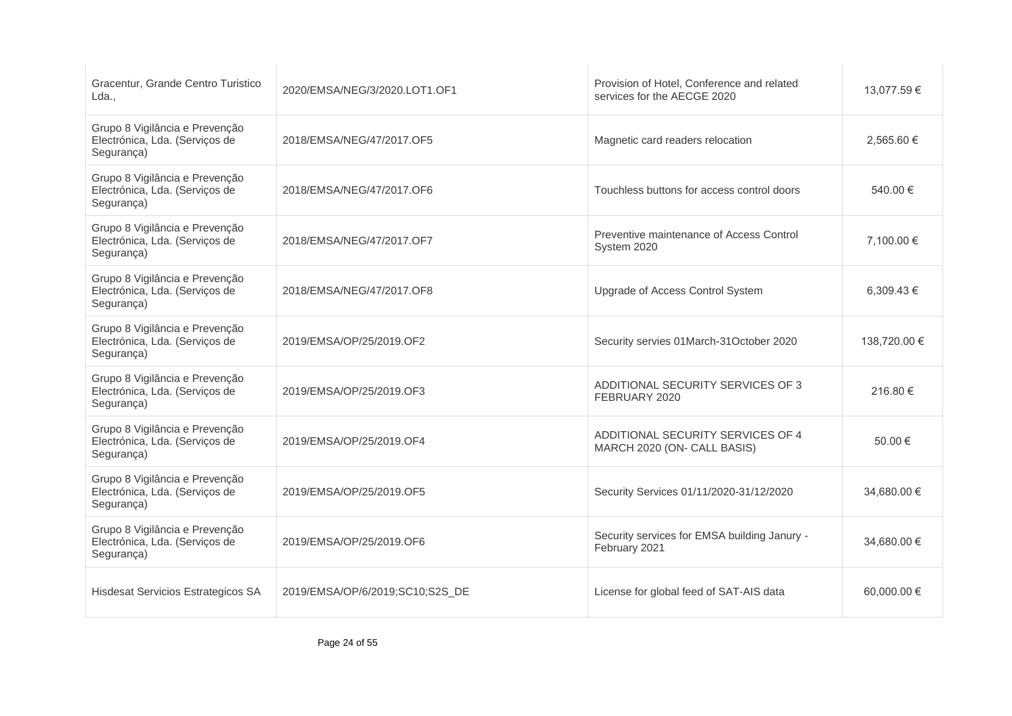| Gracentur, Grande Centro Turistico<br>Lda.,                                    | 2020/EMSA/NEG/3/2020.LOT1.OF1   | Provision of Hotel, Conference and related<br>services for the AECGE 2020 | 13.077.59 €  |
|--------------------------------------------------------------------------------|---------------------------------|---------------------------------------------------------------------------|--------------|
| Grupo 8 Vigilância e Prevenção<br>Electrónica, Lda. (Serviços de<br>Segurança) | 2018/EMSA/NEG/47/2017.OF5       | Magnetic card readers relocation                                          | 2.565.60 €   |
| Grupo 8 Vigilância e Prevenção<br>Electrónica, Lda. (Serviços de<br>Segurança) | 2018/EMSA/NEG/47/2017.OF6       | Touchless buttons for access control doors                                | 540.00 €     |
| Grupo 8 Vigilância e Prevenção<br>Electrónica, Lda. (Serviços de<br>Segurança) | 2018/EMSA/NEG/47/2017.OF7       | Preventive maintenance of Access Control<br>System 2020                   | 7,100.00 €   |
| Grupo 8 Vigilância e Prevenção<br>Electrónica, Lda. (Serviços de<br>Segurança) | 2018/EMSA/NEG/47/2017.OF8       | Upgrade of Access Control System                                          | 6.309.43 €   |
| Grupo 8 Vigilância e Prevenção<br>Electrónica, Lda. (Serviços de<br>Segurança) | 2019/EMSA/OP/25/2019.OF2        | Security servies 01March-31October 2020                                   | 138,720.00 € |
| Grupo 8 Vigilância e Prevenção<br>Electrónica, Lda. (Serviços de<br>Segurança) | 2019/EMSA/OP/25/2019.OF3        | ADDITIONAL SECURITY SERVICES OF 3<br>FEBRUARY 2020                        | 216.80 €     |
| Grupo 8 Vigilância e Prevenção<br>Electrónica, Lda. (Serviços de<br>Segurança) | 2019/EMSA/OP/25/2019.OF4        | ADDITIONAL SECURITY SERVICES OF 4<br>MARCH 2020 (ON- CALL BASIS)          | 50.00 €      |
| Grupo 8 Vigilância e Prevenção<br>Electrónica, Lda. (Serviços de<br>Segurança) | 2019/EMSA/OP/25/2019.OF5        | Security Services 01/11/2020-31/12/2020                                   | 34,680.00 €  |
| Grupo 8 Vigilância e Prevenção<br>Electrónica, Lda. (Serviços de<br>Segurança) | 2019/EMSA/OP/25/2019.OF6        | Security services for EMSA building Janury -<br>February 2021             | 34,680.00 €  |
| Hisdesat Servicios Estrategicos SA                                             | 2019/EMSA/OP/6/2019;SC10;S2S_DE | License for global feed of SAT-AIS data                                   | 60.000.00 €  |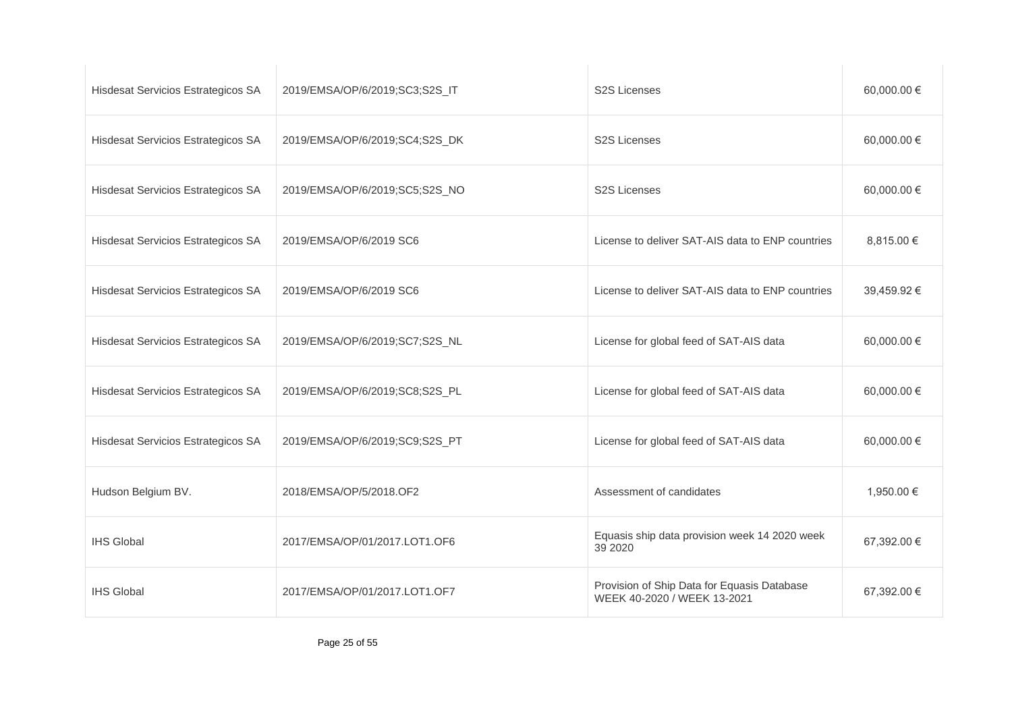| Hisdesat Servicios Estrategicos SA | 2019/EMSA/OP/6/2019;SC3;S2S_IT | <b>S2S Licenses</b>                                                        | 60,000.00 € |
|------------------------------------|--------------------------------|----------------------------------------------------------------------------|-------------|
| Hisdesat Servicios Estrategicos SA | 2019/EMSA/OP/6/2019;SC4;S2S_DK | <b>S2S Licenses</b>                                                        | 60,000.00 € |
| Hisdesat Servicios Estrategicos SA | 2019/EMSA/OP/6/2019;SC5;S2S_NO | <b>S2S Licenses</b>                                                        | 60,000.00 € |
| Hisdesat Servicios Estrategicos SA | 2019/EMSA/OP/6/2019 SC6        | License to deliver SAT-AIS data to ENP countries                           | 8,815.00 €  |
| Hisdesat Servicios Estrategicos SA | 2019/EMSA/OP/6/2019 SC6        | License to deliver SAT-AIS data to ENP countries                           | 39,459.92 € |
| Hisdesat Servicios Estrategicos SA | 2019/EMSA/OP/6/2019;SC7;S2S_NL | License for global feed of SAT-AIS data                                    | 60,000.00 € |
| Hisdesat Servicios Estrategicos SA | 2019/EMSA/OP/6/2019;SC8;S2S_PL | License for global feed of SAT-AIS data                                    | 60,000.00 € |
| Hisdesat Servicios Estrategicos SA | 2019/EMSA/OP/6/2019;SC9;S2S_PT | License for global feed of SAT-AIS data                                    | 60,000.00 € |
| Hudson Belgium BV.                 | 2018/EMSA/OP/5/2018.OF2        | Assessment of candidates                                                   | 1,950.00 €  |
| <b>IHS Global</b>                  | 2017/EMSA/OP/01/2017.LOT1.OF6  | Equasis ship data provision week 14 2020 week<br>39 2020                   | 67,392.00 € |
| <b>IHS Global</b>                  | 2017/EMSA/OP/01/2017.LOT1.OF7  | Provision of Ship Data for Equasis Database<br>WEEK 40-2020 / WEEK 13-2021 | 67,392.00 € |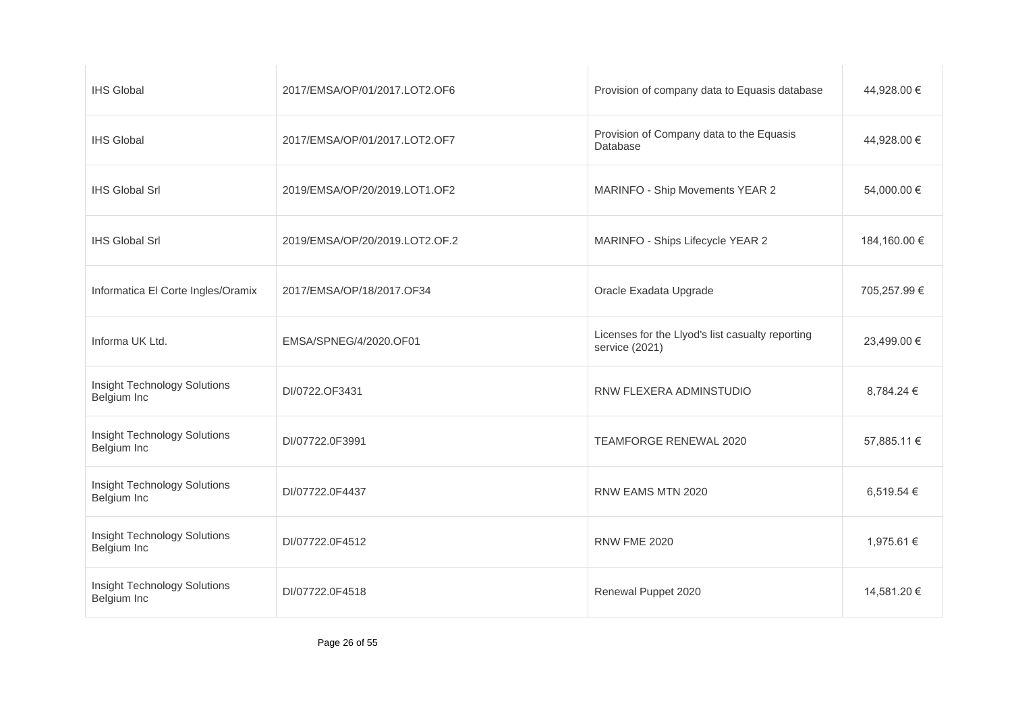| <b>IHS Global</b>                                  | 2017/EMSA/OP/01/2017.LOT2.OF6  | Provision of company data to Equasis database                      | 44,928.00 €  |
|----------------------------------------------------|--------------------------------|--------------------------------------------------------------------|--------------|
| <b>IHS Global</b>                                  | 2017/EMSA/OP/01/2017.LOT2.OF7  | Provision of Company data to the Equasis<br>Database               | 44,928.00 €  |
| <b>IHS Global Srl</b>                              | 2019/EMSA/OP/20/2019.LOT1.OF2  | MARINFO - Ship Movements YEAR 2                                    | 54,000.00 €  |
| <b>IHS Global Srl</b>                              | 2019/EMSA/OP/20/2019.LOT2.OF.2 | MARINFO - Ships Lifecycle YEAR 2                                   | 184,160.00 € |
| Informatica El Corte Ingles/Oramix                 | 2017/EMSA/OP/18/2017.OF34      | Oracle Exadata Upgrade                                             | 705,257.99 € |
| Informa UK Ltd.                                    | EMSA/SPNEG/4/2020.OF01         | Licenses for the Llyod's list casualty reporting<br>service (2021) | 23,499.00 €  |
| Insight Technology Solutions<br>Belgium Inc        | DI/0722.OF3431                 | RNW FLEXERA ADMINSTUDIO                                            | 8,784.24 €   |
| <b>Insight Technology Solutions</b><br>Belgium Inc | DI/07722.0F3991                | TEAMFORGE RENEWAL 2020                                             | 57,885.11 €  |
| <b>Insight Technology Solutions</b><br>Belgium Inc | DI/07722.0F4437                | RNW EAMS MTN 2020                                                  | 6,519.54 €   |
| Insight Technology Solutions<br>Belgium Inc        | DI/07722.0F4512                | <b>RNW FME 2020</b>                                                | 1,975.61 €   |
| Insight Technology Solutions<br>Belgium Inc        | DI/07722.0F4518                | Renewal Puppet 2020                                                | 14,581.20 €  |
|                                                    |                                |                                                                    |              |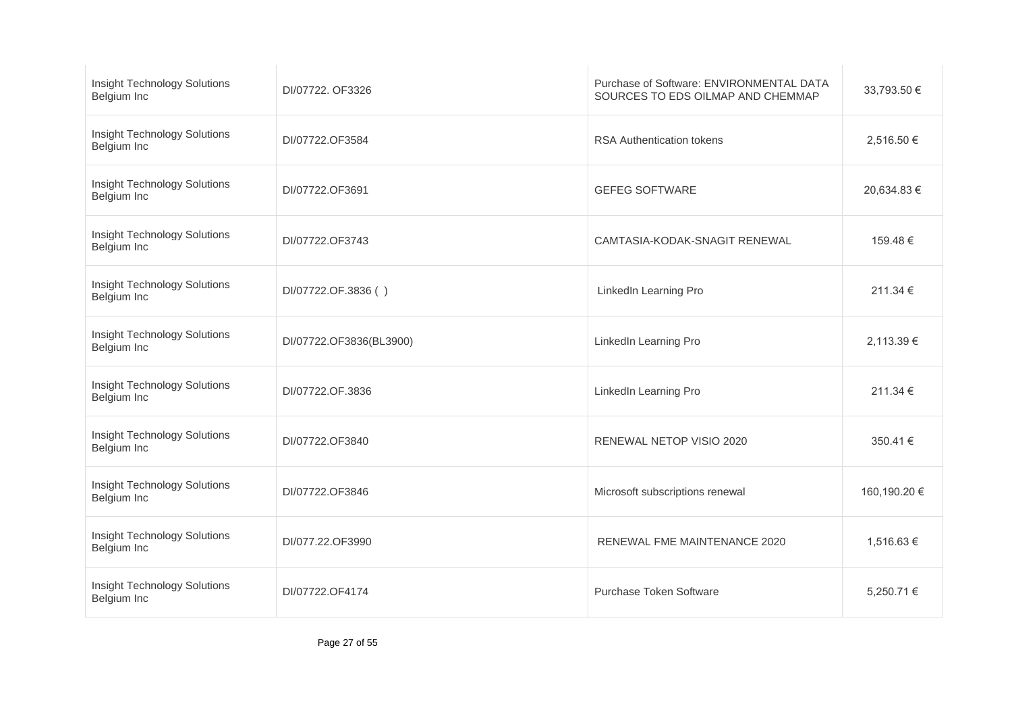| <b>Insight Technology Solutions</b><br>Belgium Inc | DI/07722, OF3326        | Purchase of Software: ENVIRONMENTAL DATA<br>SOURCES TO EDS OILMAP AND CHEMMAP | 33,793.50 €  |
|----------------------------------------------------|-------------------------|-------------------------------------------------------------------------------|--------------|
| <b>Insight Technology Solutions</b><br>Belgium Inc | DI/07722.OF3584         | <b>RSA Authentication tokens</b>                                              | 2,516.50 €   |
| <b>Insight Technology Solutions</b><br>Belgium Inc | DI/07722.OF3691         | <b>GEFEG SOFTWARE</b>                                                         | 20,634.83 €  |
| <b>Insight Technology Solutions</b><br>Belgium Inc | DI/07722.OF3743         | CAMTASIA-KODAK-SNAGIT RENEWAL                                                 | 159.48 €     |
| <b>Insight Technology Solutions</b><br>Belgium Inc | DI/07722.OF.3836()      | LinkedIn Learning Pro                                                         | 211.34 €     |
| <b>Insight Technology Solutions</b><br>Belgium Inc | DI/07722.OF3836(BL3900) | LinkedIn Learning Pro                                                         | 2,113.39 €   |
| <b>Insight Technology Solutions</b><br>Belgium Inc | DI/07722.OF.3836        | LinkedIn Learning Pro                                                         | 211.34 €     |
| <b>Insight Technology Solutions</b><br>Belgium Inc | DI/07722.OF3840         | RENEWAL NETOP VISIO 2020                                                      | 350.41 €     |
| <b>Insight Technology Solutions</b><br>Belgium Inc | DI/07722.OF3846         | Microsoft subscriptions renewal                                               | 160,190.20 € |
| <b>Insight Technology Solutions</b><br>Belgium Inc | DI/077.22.OF3990        | RENEWAL FME MAINTENANCE 2020                                                  | 1,516.63 €   |
| <b>Insight Technology Solutions</b><br>Belgium Inc | DI/07722.OF4174         | Purchase Token Software                                                       | 5,250.71 €   |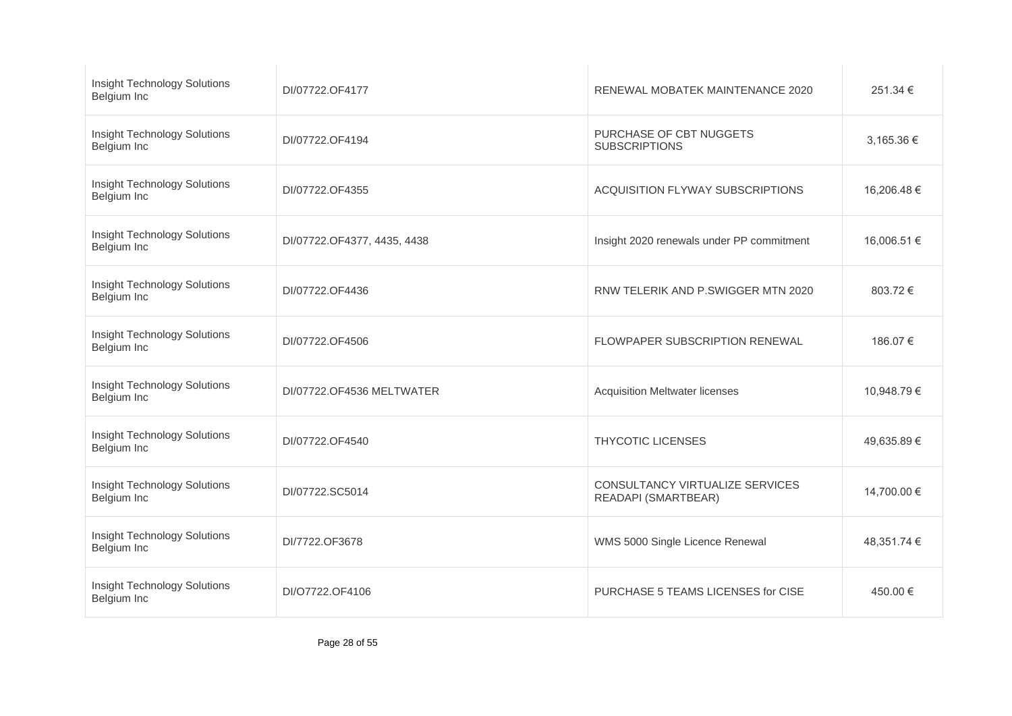| <b>Insight Technology Solutions</b><br>Belgium Inc | DI/07722.OF4177             | RENEWAL MOBATEK MAINTENANCE 2020                       | 251.34 €    |
|----------------------------------------------------|-----------------------------|--------------------------------------------------------|-------------|
| <b>Insight Technology Solutions</b><br>Belgium Inc | DI/07722.OF4194             | PURCHASE OF CBT NUGGETS<br><b>SUBSCRIPTIONS</b>        | 3,165.36 €  |
| <b>Insight Technology Solutions</b><br>Belgium Inc | DI/07722.OF4355             | ACQUISITION FLYWAY SUBSCRIPTIONS                       | 16,206.48 € |
| <b>Insight Technology Solutions</b><br>Belgium Inc | DI/07722.OF4377, 4435, 4438 | Insight 2020 renewals under PP commitment              | 16,006.51 € |
| <b>Insight Technology Solutions</b><br>Belgium Inc | DI/07722.OF4436             | RNW TELERIK AND P.SWIGGER MTN 2020                     | 803.72€     |
| <b>Insight Technology Solutions</b><br>Belgium Inc | DI/07722.OF4506             | FLOWPAPER SUBSCRIPTION RENEWAL                         | 186.07 €    |
| <b>Insight Technology Solutions</b><br>Belgium Inc | DI/07722.OF4536 MELTWATER   | <b>Acquisition Meltwater licenses</b>                  | 10,948.79 € |
| <b>Insight Technology Solutions</b><br>Belgium Inc | DI/07722.OF4540             | <b>THYCOTIC LICENSES</b>                               | 49,635.89 € |
| <b>Insight Technology Solutions</b><br>Belgium Inc | DI/07722.SC5014             | CONSULTANCY VIRTUALIZE SERVICES<br>READAPI (SMARTBEAR) | 14,700.00 € |
| Insight Technology Solutions<br>Belgium Inc        | DI/7722.OF3678              | WMS 5000 Single Licence Renewal                        | 48,351.74 € |
| <b>Insight Technology Solutions</b><br>Belgium Inc | DI/O7722.OF4106             | PURCHASE 5 TEAMS LICENSES for CISE                     | 450.00 €    |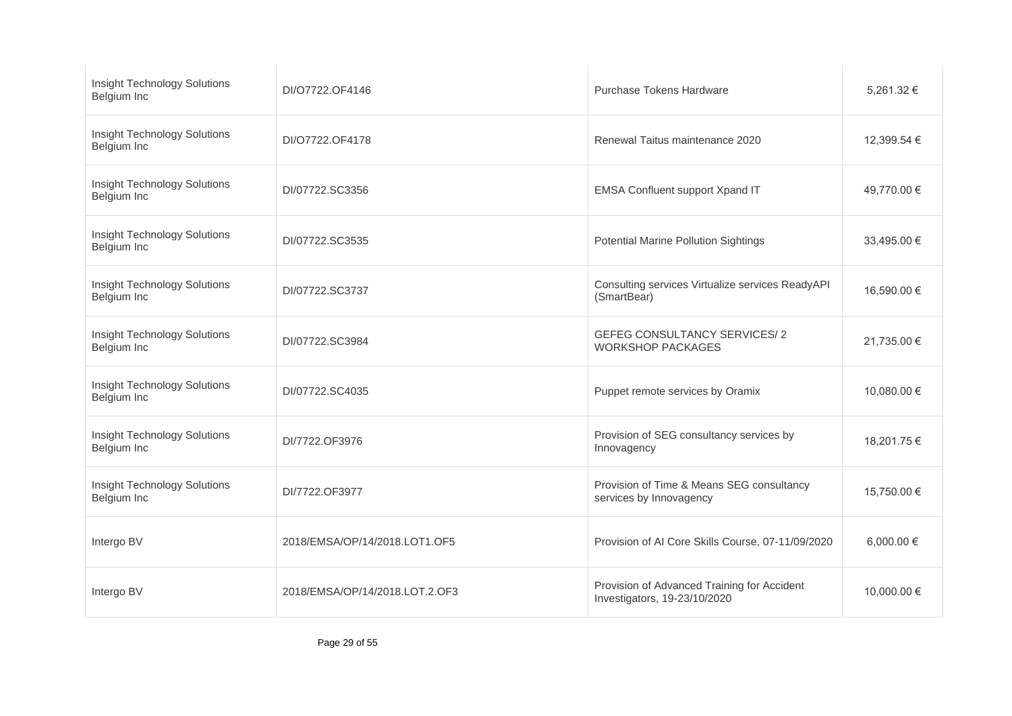| <b>Insight Technology Solutions</b><br>Belgium Inc | DI/O7722.OF4146                | Purchase Tokens Hardware                                                    | 5,261.32 €  |
|----------------------------------------------------|--------------------------------|-----------------------------------------------------------------------------|-------------|
| <b>Insight Technology Solutions</b><br>Belgium Inc | DI/O7722.OF4178                | Renewal Taitus maintenance 2020                                             | 12,399.54 € |
| <b>Insight Technology Solutions</b><br>Belgium Inc | DI/07722.SC3356                | EMSA Confluent support Xpand IT                                             | 49,770.00 € |
| <b>Insight Technology Solutions</b><br>Belgium Inc | DI/07722.SC3535                | Potential Marine Pollution Sightings                                        | 33,495.00 € |
| <b>Insight Technology Solutions</b><br>Belgium Inc | DI/07722.SC3737                | Consulting services Virtualize services ReadyAPI<br>(SmartBear)             | 16,590.00 € |
| <b>Insight Technology Solutions</b><br>Belgium Inc | DI/07722.SC3984                | <b>GEFEG CONSULTANCY SERVICES/2</b><br><b>WORKSHOP PACKAGES</b>             | 21,735.00 € |
| <b>Insight Technology Solutions</b><br>Belgium Inc | DI/07722.SC4035                | Puppet remote services by Oramix                                            | 10,080.00 € |
| <b>Insight Technology Solutions</b><br>Belgium Inc | DI/7722.OF3976                 | Provision of SEG consultancy services by<br>Innovagency                     | 18,201.75 € |
| <b>Insight Technology Solutions</b><br>Belgium Inc | DI/7722.OF3977                 | Provision of Time & Means SEG consultancy<br>services by Innovagency        | 15,750.00 € |
| Intergo BV                                         | 2018/EMSA/OP/14/2018.LOT1.OF5  | Provision of AI Core Skills Course, 07-11/09/2020                           | 6,000.00 €  |
| Intergo BV                                         | 2018/EMSA/OP/14/2018.LOT.2.OF3 | Provision of Advanced Training for Accident<br>Investigators, 19-23/10/2020 | 10,000.00 € |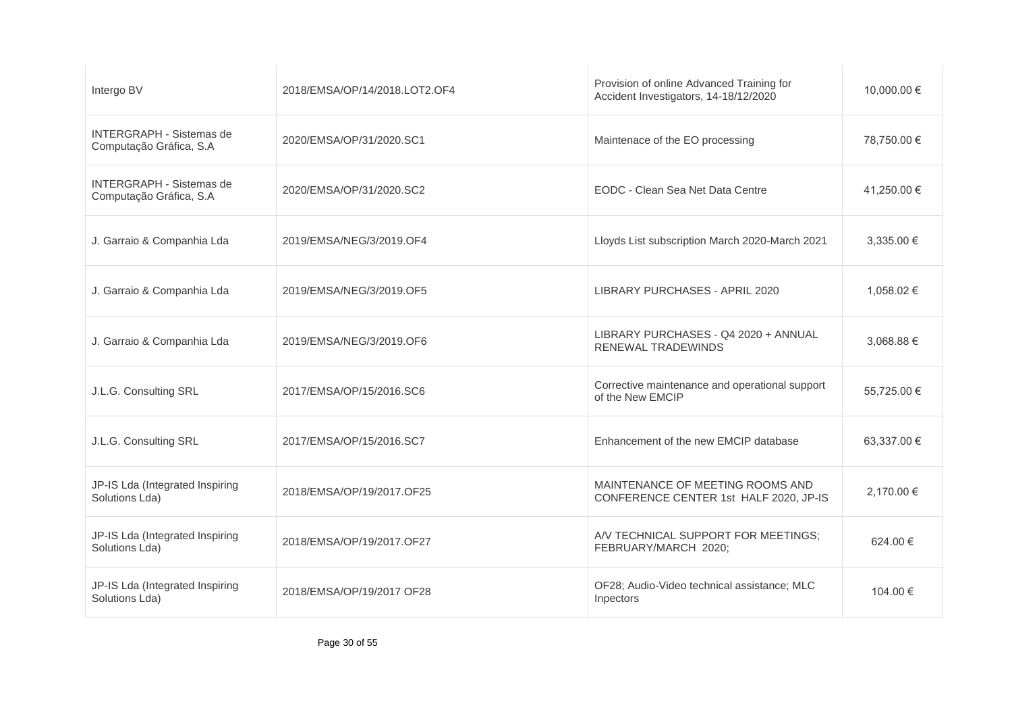| Intergo BV                                                 | 2018/EMSA/OP/14/2018.LOT2.OF4 | Provision of online Advanced Training for<br>Accident Investigators, 14-18/12/2020 | 10,000.00 € |
|------------------------------------------------------------|-------------------------------|------------------------------------------------------------------------------------|-------------|
| <b>INTERGRAPH - Sistemas de</b><br>Computação Gráfica, S.A | 2020/EMSA/OP/31/2020.SC1      | Maintenace of the EO processing                                                    | 78,750.00 € |
| <b>INTERGRAPH - Sistemas de</b><br>Computação Gráfica, S.A | 2020/EMSA/OP/31/2020.SC2      | EODC - Clean Sea Net Data Centre                                                   | 41,250.00 € |
| J. Garraio & Companhia Lda                                 | 2019/EMSA/NEG/3/2019.OF4      | Lloyds List subscription March 2020-March 2021                                     | 3,335.00 €  |
| J. Garraio & Companhia Lda                                 | 2019/EMSA/NEG/3/2019.OF5      | LIBRARY PURCHASES - APRIL 2020                                                     | 1.058.02 €  |
| J. Garraio & Companhia Lda                                 | 2019/EMSA/NEG/3/2019.OF6      | LIBRARY PURCHASES - Q4 2020 + ANNUAL<br>RENEWAL TRADEWINDS                         | 3,068.88 €  |
| J.L.G. Consulting SRL                                      | 2017/EMSA/OP/15/2016.SC6      | Corrective maintenance and operational support<br>of the New EMCIP                 | 55,725.00 € |
| J.L.G. Consulting SRL                                      | 2017/EMSA/OP/15/2016.SC7      | Enhancement of the new EMCIP database                                              | 63,337.00 € |
| JP-IS Lda (Integrated Inspiring<br>Solutions Lda)          | 2018/EMSA/OP/19/2017.OF25     | MAINTENANCE OF MEETING ROOMS AND<br>CONFERENCE CENTER 1st HALF 2020, JP-IS         | 2,170.00 €  |
| JP-IS Lda (Integrated Inspiring<br>Solutions Lda)          | 2018/EMSA/OP/19/2017.OF27     | A/V TECHNICAL SUPPORT FOR MEETINGS;<br>FEBRUARY/MARCH 2020;                        | 624.00 €    |
| JP-IS Lda (Integrated Inspiring<br>Solutions Lda)          | 2018/EMSA/OP/19/2017 OF28     | OF28; Audio-Video technical assistance; MLC<br>Inpectors                           | 104.00 €    |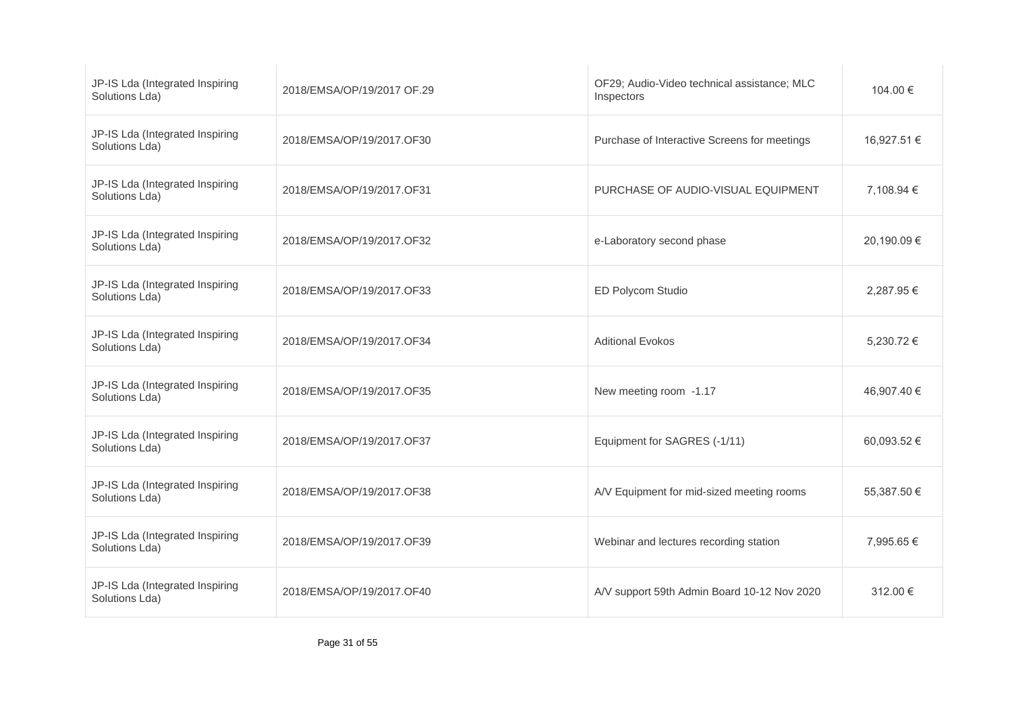| JP-IS Lda (Integrated Inspiring<br>Solutions Lda) | 2018/EMSA/OP/19/2017 OF.29 | OF29; Audio-Video technical assistance; MLC<br>Inspectors | 104.00 €    |
|---------------------------------------------------|----------------------------|-----------------------------------------------------------|-------------|
| JP-IS Lda (Integrated Inspiring<br>Solutions Lda) | 2018/EMSA/OP/19/2017.OF30  | Purchase of Interactive Screens for meetings              | 16,927.51 € |
| JP-IS Lda (Integrated Inspiring<br>Solutions Lda) | 2018/EMSA/OP/19/2017.OF31  | PURCHASE OF AUDIO-VISUAL EQUIPMENT                        | 7,108.94 €  |
| JP-IS Lda (Integrated Inspiring<br>Solutions Lda) | 2018/EMSA/OP/19/2017.OF32  | e-Laboratory second phase                                 | 20,190.09€  |
| JP-IS Lda (Integrated Inspiring<br>Solutions Lda) | 2018/EMSA/OP/19/2017.OF33  | ED Polycom Studio                                         | 2,287.95 €  |
| JP-IS Lda (Integrated Inspiring<br>Solutions Lda) | 2018/EMSA/OP/19/2017.OF34  | <b>Aditional Evokos</b>                                   | 5,230.72 €  |
| JP-IS Lda (Integrated Inspiring<br>Solutions Lda) | 2018/EMSA/OP/19/2017.OF35  | New meeting room -1.17                                    | 46,907.40 € |
| JP-IS Lda (Integrated Inspiring<br>Solutions Lda) | 2018/EMSA/OP/19/2017.OF37  | Equipment for SAGRES (-1/11)                              | 60,093.52 € |
| JP-IS Lda (Integrated Inspiring<br>Solutions Lda) | 2018/EMSA/OP/19/2017.OF38  | A/V Equipment for mid-sized meeting rooms                 | 55,387.50 € |
| JP-IS Lda (Integrated Inspiring<br>Solutions Lda) | 2018/EMSA/OP/19/2017.OF39  | Webinar and lectures recording station                    | 7.995.65 €  |
| JP-IS Lda (Integrated Inspiring<br>Solutions Lda) | 2018/EMSA/OP/19/2017.OF40  | A/V support 59th Admin Board 10-12 Nov 2020               | 312.00 €    |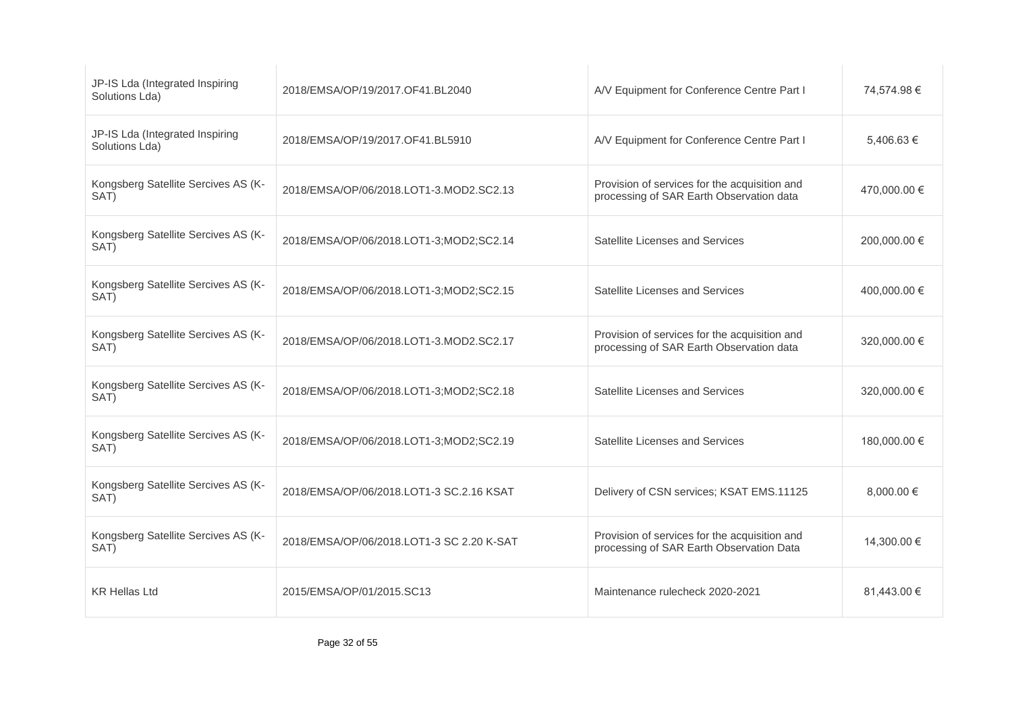| JP-IS Lda (Integrated Inspiring<br>Solutions Lda) | 2018/EMSA/OP/19/2017.OF41.BL2040          | A/V Equipment for Conference Centre Part I                                                | 74,574.98 €  |
|---------------------------------------------------|-------------------------------------------|-------------------------------------------------------------------------------------------|--------------|
| JP-IS Lda (Integrated Inspiring<br>Solutions Lda) | 2018/EMSA/OP/19/2017.OF41.BL5910          | A/V Equipment for Conference Centre Part I                                                | 5,406.63 €   |
| Kongsberg Satellite Sercives AS (K-<br>SAT)       | 2018/EMSA/OP/06/2018.LOT1-3.MOD2.SC2.13   | Provision of services for the acquisition and<br>processing of SAR Earth Observation data | 470,000.00 € |
| Kongsberg Satellite Sercives AS (K-<br>SAT)       | 2018/EMSA/OP/06/2018.LOT1-3;MOD2;SC2.14   | Satellite Licenses and Services                                                           | 200,000.00 € |
| Kongsberg Satellite Sercives AS (K-<br>SAT)       | 2018/EMSA/OP/06/2018.LOT1-3;MOD2;SC2.15   | Satellite Licenses and Services                                                           | 400.000.00 € |
| Kongsberg Satellite Sercives AS (K-<br>SAT)       | 2018/EMSA/OP/06/2018.LOT1-3.MOD2.SC2.17   | Provision of services for the acquisition and<br>processing of SAR Earth Observation data | 320,000.00 € |
| Kongsberg Satellite Sercives AS (K-<br>SAT)       | 2018/EMSA/OP/06/2018.LOT1-3;MOD2;SC2.18   | Satellite Licenses and Services                                                           | 320,000.00 € |
| Kongsberg Satellite Sercives AS (K-<br>SAT)       | 2018/EMSA/OP/06/2018.LOT1-3;MOD2;SC2.19   | Satellite Licenses and Services                                                           | 180,000.00 € |
| Kongsberg Satellite Sercives AS (K-<br>SAT)       | 2018/EMSA/OP/06/2018.LOT1-3 SC.2.16 KSAT  | Delivery of CSN services; KSAT EMS.11125                                                  | 8.000.00 €   |
| Kongsberg Satellite Sercives AS (K-<br>SAT)       | 2018/EMSA/OP/06/2018.LOT1-3 SC 2.20 K-SAT | Provision of services for the acquisition and<br>processing of SAR Earth Observation Data | 14,300.00 €  |
| <b>KR Hellas Ltd</b>                              | 2015/EMSA/OP/01/2015.SC13                 | Maintenance rulecheck 2020-2021                                                           | 81,443.00 €  |
|                                                   |                                           |                                                                                           |              |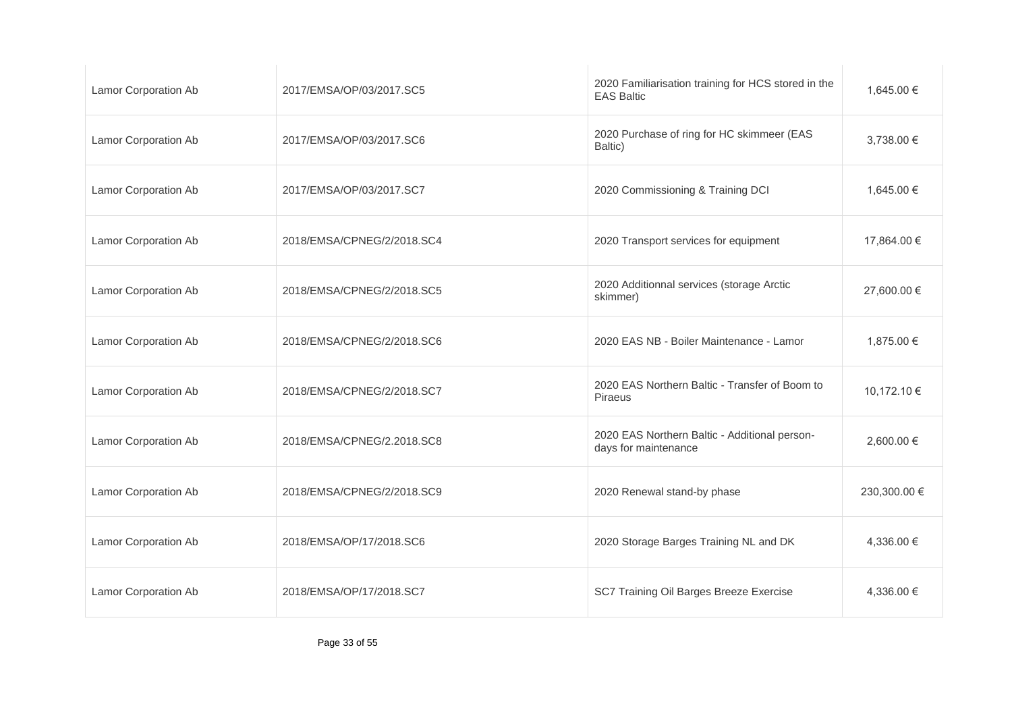| Lamor Corporation Ab        | 2017/EMSA/OP/03/2017.SC5   | 2020 Familiarisation training for HCS stored in the<br><b>EAS Baltic</b> | 1,645.00 €   |
|-----------------------------|----------------------------|--------------------------------------------------------------------------|--------------|
| <b>Lamor Corporation Ab</b> | 2017/EMSA/OP/03/2017.SC6   | 2020 Purchase of ring for HC skimmeer (EAS<br>Baltic)                    | 3,738.00 €   |
| Lamor Corporation Ab        | 2017/EMSA/OP/03/2017.SC7   | 2020 Commissioning & Training DCI                                        | 1,645.00 €   |
| <b>Lamor Corporation Ab</b> | 2018/EMSA/CPNEG/2/2018.SC4 | 2020 Transport services for equipment                                    | 17,864.00 €  |
| <b>Lamor Corporation Ab</b> | 2018/EMSA/CPNEG/2/2018.SC5 | 2020 Additionnal services (storage Arctic<br>skimmer)                    | 27,600.00 €  |
| <b>Lamor Corporation Ab</b> | 2018/EMSA/CPNEG/2/2018.SC6 | 2020 EAS NB - Boiler Maintenance - Lamor                                 | 1,875.00 €   |
| <b>Lamor Corporation Ab</b> | 2018/EMSA/CPNEG/2/2018.SC7 | 2020 EAS Northern Baltic - Transfer of Boom to<br>Piraeus                | 10,172.10 €  |
| Lamor Corporation Ab        | 2018/EMSA/CPNEG/2.2018.SC8 | 2020 EAS Northern Baltic - Additional person-<br>days for maintenance    | 2,600.00 €   |
| Lamor Corporation Ab        | 2018/EMSA/CPNEG/2/2018.SC9 | 2020 Renewal stand-by phase                                              | 230,300.00 € |
| <b>Lamor Corporation Ab</b> | 2018/EMSA/OP/17/2018.SC6   | 2020 Storage Barges Training NL and DK                                   | 4,336.00 €   |
| Lamor Corporation Ab        | 2018/EMSA/OP/17/2018.SC7   | SC7 Training Oil Barges Breeze Exercise                                  | 4,336.00 €   |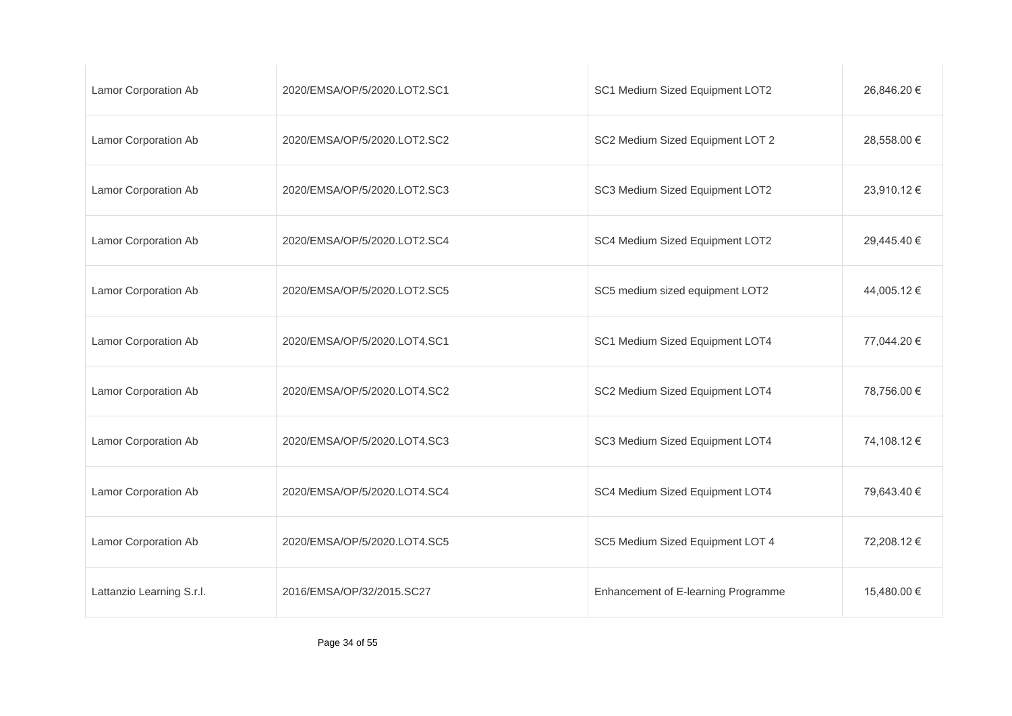| Lamor Corporation Ab        | 2020/EMSA/OP/5/2020.LOT2.SC1 | SC1 Medium Sized Equipment LOT2     | 26,846.20 € |
|-----------------------------|------------------------------|-------------------------------------|-------------|
| <b>Lamor Corporation Ab</b> | 2020/EMSA/OP/5/2020.LOT2.SC2 | SC2 Medium Sized Equipment LOT 2    | 28,558.00 € |
| <b>Lamor Corporation Ab</b> | 2020/EMSA/OP/5/2020.LOT2.SC3 | SC3 Medium Sized Equipment LOT2     | 23,910.12 € |
| <b>Lamor Corporation Ab</b> | 2020/EMSA/OP/5/2020.LOT2.SC4 | SC4 Medium Sized Equipment LOT2     | 29,445.40 € |
| <b>Lamor Corporation Ab</b> | 2020/EMSA/OP/5/2020.LOT2.SC5 | SC5 medium sized equipment LOT2     | 44,005.12 € |
| Lamor Corporation Ab        | 2020/EMSA/OP/5/2020.LOT4.SC1 | SC1 Medium Sized Equipment LOT4     | 77,044.20 € |
| <b>Lamor Corporation Ab</b> | 2020/EMSA/OP/5/2020.LOT4.SC2 | SC2 Medium Sized Equipment LOT4     | 78,756.00 € |
| <b>Lamor Corporation Ab</b> | 2020/EMSA/OP/5/2020.LOT4.SC3 | SC3 Medium Sized Equipment LOT4     | 74,108.12 € |
| Lamor Corporation Ab        | 2020/EMSA/OP/5/2020.LOT4.SC4 | SC4 Medium Sized Equipment LOT4     | 79,643.40 € |
| Lamor Corporation Ab        | 2020/EMSA/OP/5/2020.LOT4.SC5 | SC5 Medium Sized Equipment LOT 4    | 72,208.12 € |
| Lattanzio Learning S.r.l.   | 2016/EMSA/OP/32/2015.SC27    | Enhancement of E-learning Programme | 15,480.00 € |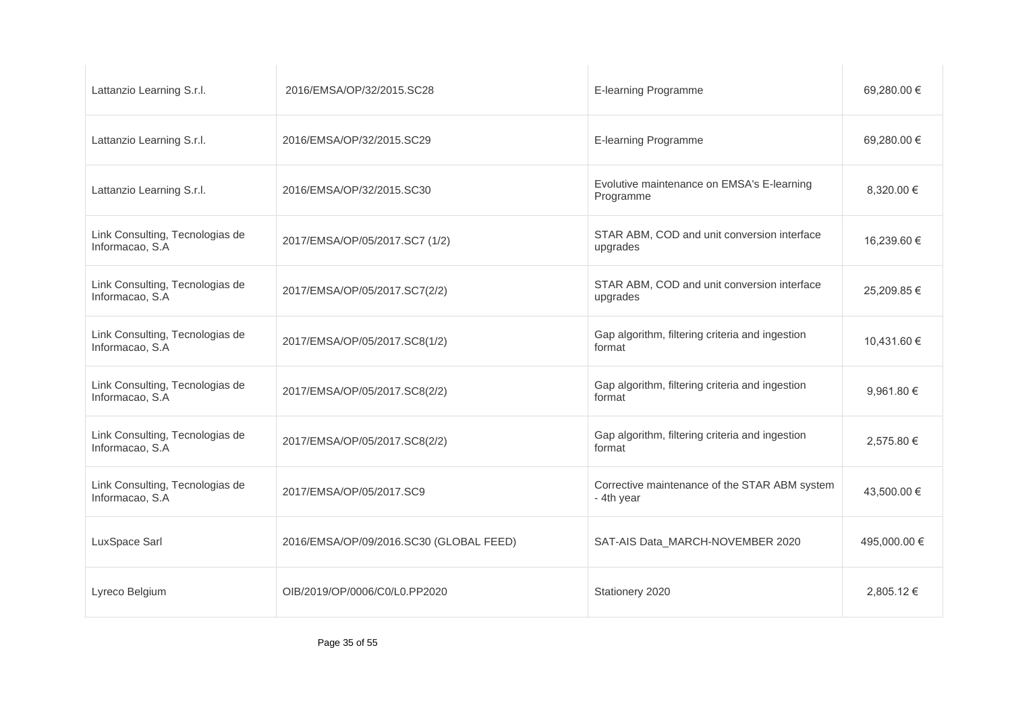| Lattanzio Learning S.r.l.                          | 2016/EMSA/OP/32/2015.SC28               | E-learning Programme                                        | 69,280.00 €  |
|----------------------------------------------------|-----------------------------------------|-------------------------------------------------------------|--------------|
| Lattanzio Learning S.r.l.                          | 2016/EMSA/OP/32/2015.SC29               | E-learning Programme                                        | 69,280.00 €  |
| Lattanzio Learning S.r.l.                          | 2016/EMSA/OP/32/2015.SC30               | Evolutive maintenance on EMSA's E-learning<br>Programme     | 8,320.00 €   |
| Link Consulting, Tecnologias de<br>Informacao, S.A | 2017/EMSA/OP/05/2017.SC7 (1/2)          | STAR ABM, COD and unit conversion interface<br>upgrades     | 16,239.60 €  |
| Link Consulting, Tecnologias de<br>Informacao, S.A | 2017/EMSA/OP/05/2017.SC7(2/2)           | STAR ABM, COD and unit conversion interface<br>upgrades     | 25,209.85 €  |
| Link Consulting, Tecnologias de<br>Informacao, S.A | 2017/EMSA/OP/05/2017.SC8(1/2)           | Gap algorithm, filtering criteria and ingestion<br>format   | 10,431.60 €  |
| Link Consulting, Tecnologias de<br>Informacao, S.A | 2017/EMSA/OP/05/2017.SC8(2/2)           | Gap algorithm, filtering criteria and ingestion<br>format   | 9,961.80 €   |
| Link Consulting, Tecnologias de<br>Informacao, S.A | 2017/EMSA/OP/05/2017.SC8(2/2)           | Gap algorithm, filtering criteria and ingestion<br>format   | 2,575.80 €   |
| Link Consulting, Tecnologias de<br>Informacao, S.A | 2017/EMSA/OP/05/2017.SC9                | Corrective maintenance of the STAR ABM system<br>- 4th year | 43,500.00 €  |
| LuxSpace Sarl                                      | 2016/EMSA/OP/09/2016.SC30 (GLOBAL FEED) | SAT-AIS Data_MARCH-NOVEMBER 2020                            | 495,000.00 € |
| Lyreco Belgium                                     | OIB/2019/OP/0006/C0/L0.PP2020           | Stationery 2020                                             | 2,805.12 €   |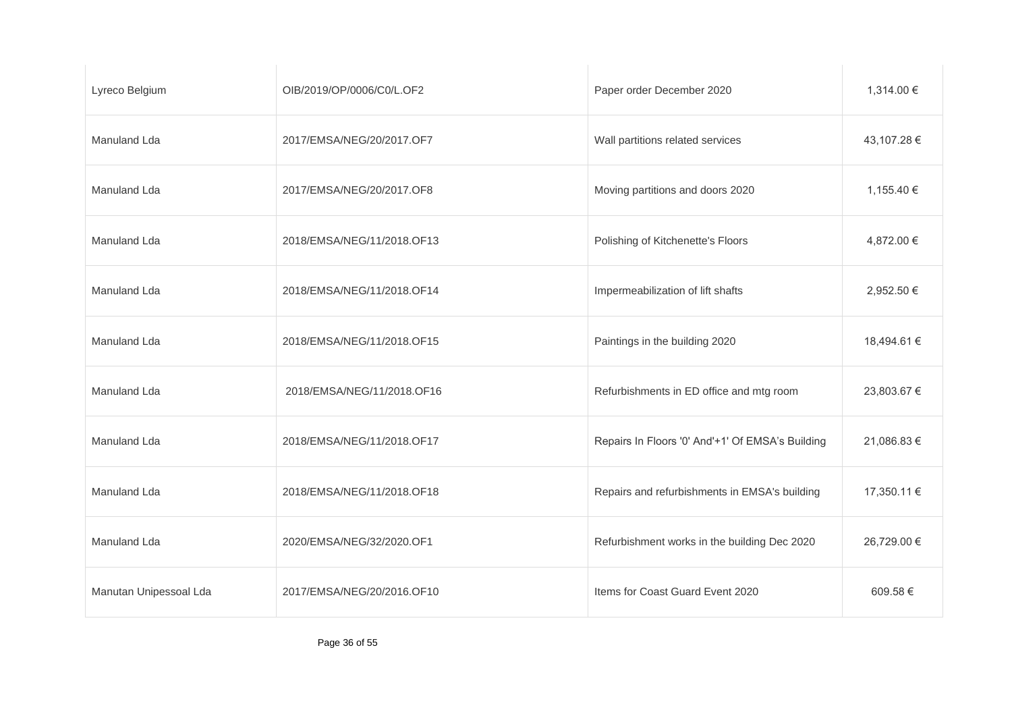| Lyreco Belgium         | OIB/2019/OP/0006/C0/L.OF2  | Paper order December 2020                        | 1,314.00 €  |
|------------------------|----------------------------|--------------------------------------------------|-------------|
| Manuland Lda           | 2017/EMSA/NEG/20/2017.OF7  | Wall partitions related services                 | 43,107.28 € |
| Manuland Lda           | 2017/EMSA/NEG/20/2017.OF8  | Moving partitions and doors 2020                 | 1,155.40 €  |
| Manuland Lda           | 2018/EMSA/NEG/11/2018.OF13 | Polishing of Kitchenette's Floors                | 4,872.00 €  |
| Manuland Lda           | 2018/EMSA/NEG/11/2018.OF14 | Impermeabilization of lift shafts                | 2,952.50 €  |
| Manuland Lda           | 2018/EMSA/NEG/11/2018.OF15 | Paintings in the building 2020                   | 18,494.61 € |
| <b>Manuland Lda</b>    | 2018/EMSA/NEG/11/2018.OF16 | Refurbishments in ED office and mtg room         | 23,803.67 € |
| Manuland Lda           | 2018/EMSA/NEG/11/2018.OF17 | Repairs In Floors '0' And'+1' Of EMSA's Building | 21,086.83 € |
| Manuland Lda           | 2018/EMSA/NEG/11/2018.OF18 | Repairs and refurbishments in EMSA's building    | 17,350.11 € |
| Manuland Lda           | 2020/EMSA/NEG/32/2020.OF1  | Refurbishment works in the building Dec 2020     | 26,729.00 € |
| Manutan Unipessoal Lda | 2017/EMSA/NEG/20/2016.OF10 | Items for Coast Guard Event 2020                 | 609.58€     |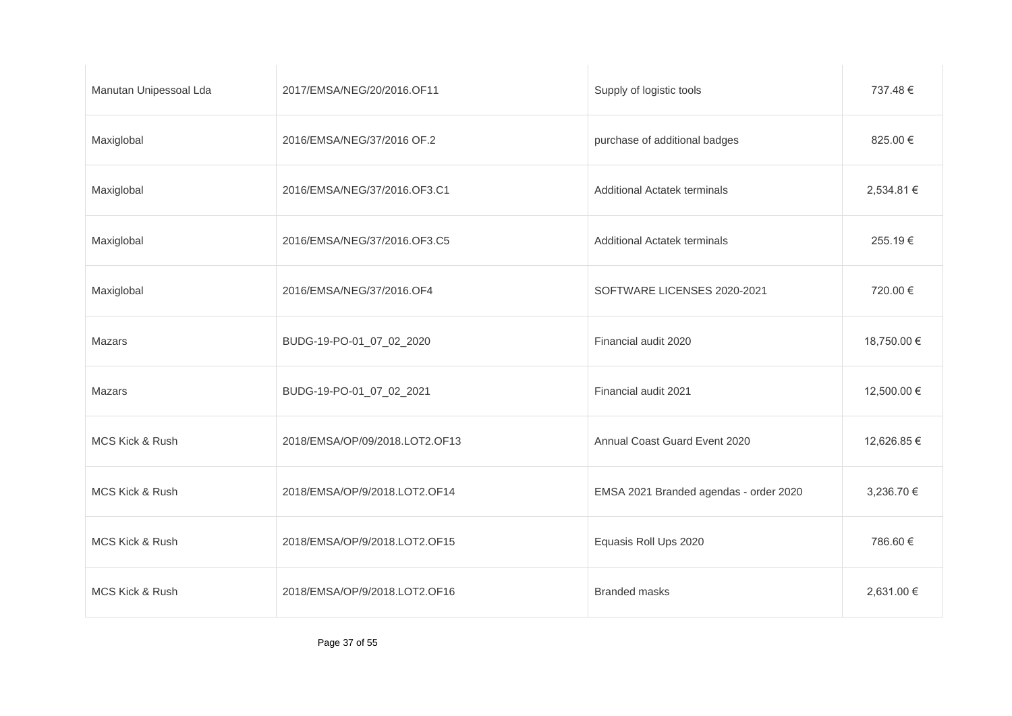| Manutan Unipessoal Lda | 2017/EMSA/NEG/20/2016.OF11     | Supply of logistic tools               | 737.48 €    |
|------------------------|--------------------------------|----------------------------------------|-------------|
| Maxiglobal             | 2016/EMSA/NEG/37/2016 OF.2     | purchase of additional badges          | 825.00 €    |
| Maxiglobal             | 2016/EMSA/NEG/37/2016.OF3.C1   | <b>Additional Actatek terminals</b>    | 2,534.81 €  |
| Maxiglobal             | 2016/EMSA/NEG/37/2016.OF3.C5   | <b>Additional Actatek terminals</b>    | 255.19€     |
| Maxiglobal             | 2016/EMSA/NEG/37/2016.OF4      | SOFTWARE LICENSES 2020-2021            | 720.00 €    |
| Mazars                 | BUDG-19-PO-01_07_02_2020       | Financial audit 2020                   | 18,750.00 € |
| Mazars                 | BUDG-19-PO-01_07_02_2021       | Financial audit 2021                   | 12,500.00 € |
| MCS Kick & Rush        | 2018/EMSA/OP/09/2018.LOT2.OF13 | Annual Coast Guard Event 2020          | 12,626.85 € |
| MCS Kick & Rush        | 2018/EMSA/OP/9/2018.LOT2.OF14  | EMSA 2021 Branded agendas - order 2020 | 3,236.70 €  |
| MCS Kick & Rush        | 2018/EMSA/OP/9/2018.LOT2.OF15  | Equasis Roll Ups 2020                  | 786.60 €    |
| MCS Kick & Rush        | 2018/EMSA/OP/9/2018.LOT2.OF16  | <b>Branded masks</b>                   | 2,631.00 €  |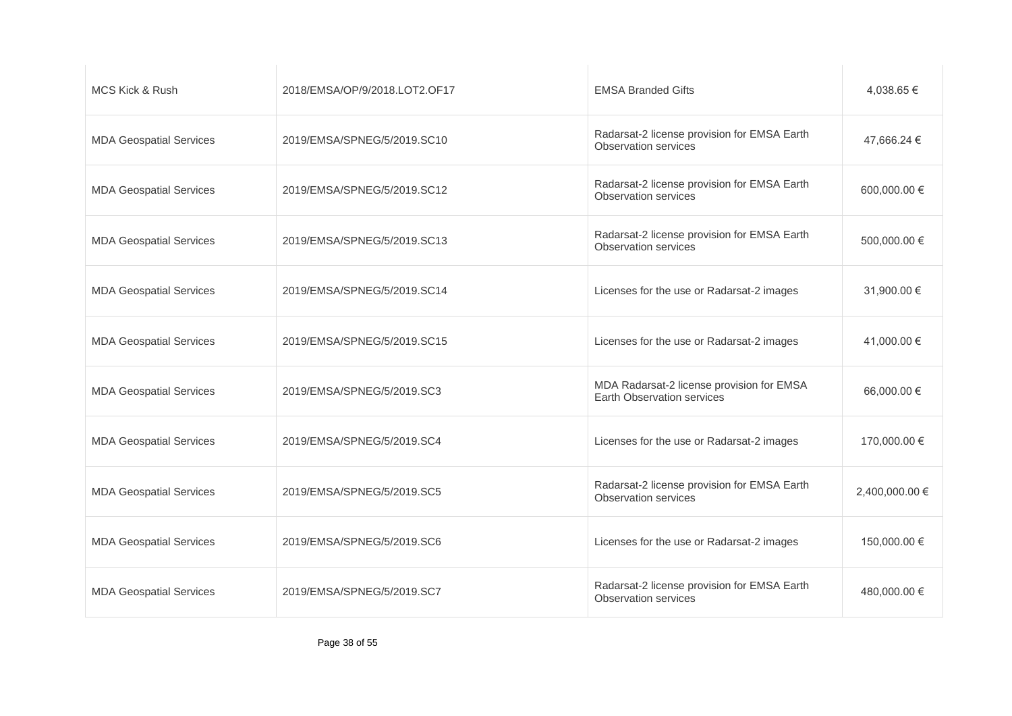| MCS Kick & Rush                | 2018/EMSA/OP/9/2018.LOT2.OF17 | <b>EMSA Branded Gifts</b>                                                  | 4,038.65 €     |
|--------------------------------|-------------------------------|----------------------------------------------------------------------------|----------------|
| <b>MDA Geospatial Services</b> | 2019/EMSA/SPNEG/5/2019.SC10   | Radarsat-2 license provision for EMSA Earth<br>Observation services        | 47,666.24 €    |
| <b>MDA Geospatial Services</b> | 2019/EMSA/SPNEG/5/2019.SC12   | Radarsat-2 license provision for EMSA Earth<br><b>Observation services</b> | 600,000.00 €   |
| <b>MDA Geospatial Services</b> | 2019/EMSA/SPNEG/5/2019.SC13   | Radarsat-2 license provision for EMSA Earth<br><b>Observation services</b> | 500,000.00 €   |
| <b>MDA Geospatial Services</b> | 2019/EMSA/SPNEG/5/2019.SC14   | Licenses for the use or Radarsat-2 images                                  | 31.900.00 €    |
| <b>MDA Geospatial Services</b> | 2019/EMSA/SPNEG/5/2019.SC15   | Licenses for the use or Radarsat-2 images                                  | 41,000.00 €    |
| <b>MDA Geospatial Services</b> | 2019/EMSA/SPNEG/5/2019.SC3    | MDA Radarsat-2 license provision for EMSA<br>Earth Observation services    | 66,000.00 €    |
| <b>MDA Geospatial Services</b> | 2019/EMSA/SPNEG/5/2019.SC4    | Licenses for the use or Radarsat-2 images                                  | 170,000.00 €   |
| <b>MDA Geospatial Services</b> | 2019/EMSA/SPNEG/5/2019.SC5    | Radarsat-2 license provision for EMSA Earth<br><b>Observation services</b> | 2,400,000.00 € |
| <b>MDA Geospatial Services</b> | 2019/EMSA/SPNEG/5/2019.SC6    | Licenses for the use or Radarsat-2 images                                  | 150,000.00 €   |
| <b>MDA Geospatial Services</b> | 2019/EMSA/SPNEG/5/2019.SC7    | Radarsat-2 license provision for EMSA Earth<br><b>Observation services</b> | 480,000.00 €   |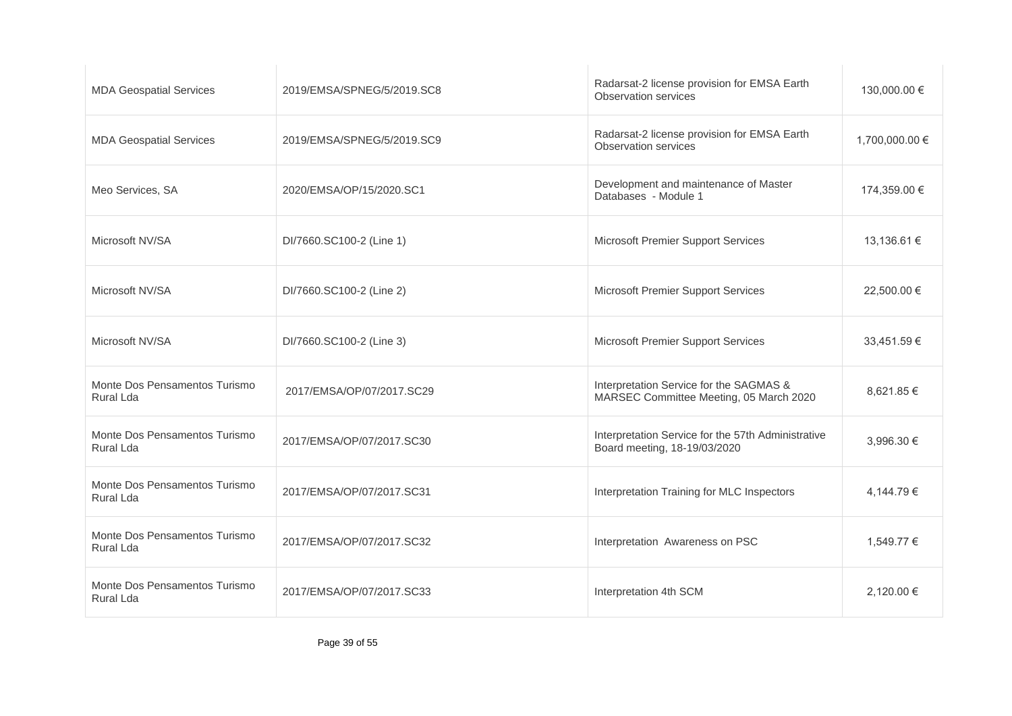| <b>MDA Geospatial Services</b>             | 2019/EMSA/SPNEG/5/2019.SC8 | Radarsat-2 license provision for EMSA Earth<br><b>Observation services</b>         | 130,000.00 €   |
|--------------------------------------------|----------------------------|------------------------------------------------------------------------------------|----------------|
| <b>MDA Geospatial Services</b>             | 2019/EMSA/SPNEG/5/2019.SC9 | Radarsat-2 license provision for EMSA Earth<br><b>Observation services</b>         | 1,700,000.00 € |
| Meo Services, SA                           | 2020/EMSA/OP/15/2020.SC1   | Development and maintenance of Master<br>Databases - Module 1                      | 174,359.00 €   |
| Microsoft NV/SA                            | DI/7660.SC100-2 (Line 1)   | Microsoft Premier Support Services                                                 | 13,136.61 €    |
| Microsoft NV/SA                            | DI/7660.SC100-2 (Line 2)   | Microsoft Premier Support Services                                                 | 22,500.00 €    |
| Microsoft NV/SA                            | DI/7660.SC100-2 (Line 3)   | Microsoft Premier Support Services                                                 | 33,451.59 €    |
| Monte Dos Pensamentos Turismo<br>Rural Lda | 2017/EMSA/OP/07/2017.SC29  | Interpretation Service for the SAGMAS &<br>MARSEC Committee Meeting, 05 March 2020 | 8.621.85 €     |
| Monte Dos Pensamentos Turismo<br>Rural Lda | 2017/EMSA/OP/07/2017.SC30  | Interpretation Service for the 57th Administrative<br>Board meeting, 18-19/03/2020 | 3,996.30 €     |
| Monte Dos Pensamentos Turismo<br>Rural Lda | 2017/EMSA/OP/07/2017.SC31  | Interpretation Training for MLC Inspectors                                         | 4,144.79 €     |
| Monte Dos Pensamentos Turismo<br>Rural Lda | 2017/EMSA/OP/07/2017.SC32  | Interpretation Awareness on PSC                                                    | 1.549.77 €     |
| Monte Dos Pensamentos Turismo<br>Rural Lda | 2017/EMSA/OP/07/2017.SC33  | Interpretation 4th SCM                                                             | 2,120.00 €     |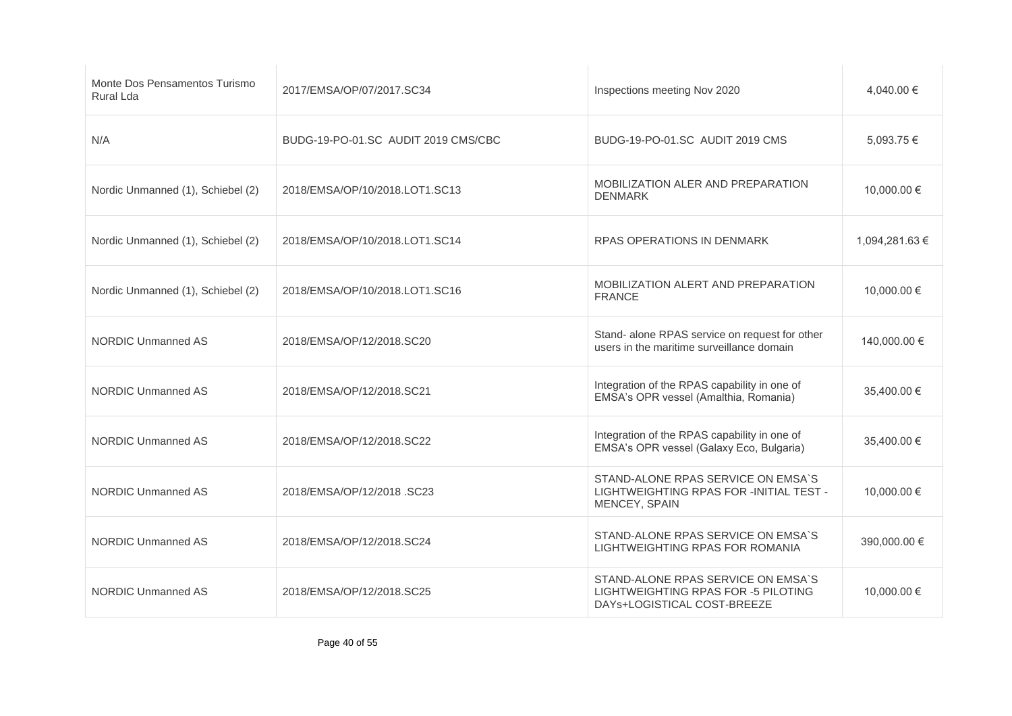| Monte Dos Pensamentos Turismo<br>Rural Lda | 2017/EMSA/OP/07/2017.SC34           | Inspections meeting Nov 2020                                                                             | 4.040.00 €     |
|--------------------------------------------|-------------------------------------|----------------------------------------------------------------------------------------------------------|----------------|
| N/A                                        | BUDG-19-PO-01.SC AUDIT 2019 CMS/CBC | BUDG-19-PO-01.SC AUDIT 2019 CMS                                                                          | $5.093.75 \in$ |
| Nordic Unmanned (1), Schiebel (2)          | 2018/EMSA/OP/10/2018.LOT1.SC13      | MOBILIZATION ALER AND PREPARATION<br><b>DENMARK</b>                                                      | 10,000.00 €    |
| Nordic Unmanned (1), Schiebel (2)          | 2018/EMSA/OP/10/2018.LOT1.SC14      | <b>RPAS OPERATIONS IN DENMARK</b>                                                                        | 1,094,281.63 € |
| Nordic Unmanned (1), Schiebel (2)          | 2018/EMSA/OP/10/2018.LOT1.SC16      | MOBILIZATION ALERT AND PREPARATION<br><b>FRANCE</b>                                                      | 10,000.00 €    |
| <b>NORDIC Unmanned AS</b>                  | 2018/EMSA/OP/12/2018.SC20           | Stand- alone RPAS service on request for other<br>users in the maritime surveillance domain              | 140,000.00 €   |
| <b>NORDIC Unmanned AS</b>                  | 2018/EMSA/OP/12/2018.SC21           | Integration of the RPAS capability in one of<br>EMSA's OPR vessel (Amalthia, Romania)                    | 35,400.00 €    |
| <b>NORDIC Unmanned AS</b>                  | 2018/EMSA/OP/12/2018.SC22           | Integration of the RPAS capability in one of<br>EMSA's OPR vessel (Galaxy Eco, Bulgaria)                 | 35,400.00 €    |
| <b>NORDIC Unmanned AS</b>                  | 2018/EMSA/OP/12/2018 .SC23          | STAND-ALONE RPAS SERVICE ON EMSA'S<br>LIGHTWEIGHTING RPAS FOR -INITIAL TEST -<br>MENCEY, SPAIN           | 10,000.00 €    |
| <b>NORDIC Unmanned AS</b>                  | 2018/EMSA/OP/12/2018.SC24           | STAND-ALONE RPAS SERVICE ON EMSA'S<br>LIGHTWEIGHTING RPAS FOR ROMANIA                                    | 390,000.00 €   |
| NORDIC Unmanned AS                         | 2018/EMSA/OP/12/2018.SC25           | STAND-ALONE RPAS SERVICE ON EMSA'S<br>LIGHTWEIGHTING RPAS FOR -5 PILOTING<br>DAYs+LOGISTICAL COST-BREEZE | 10,000.00 €    |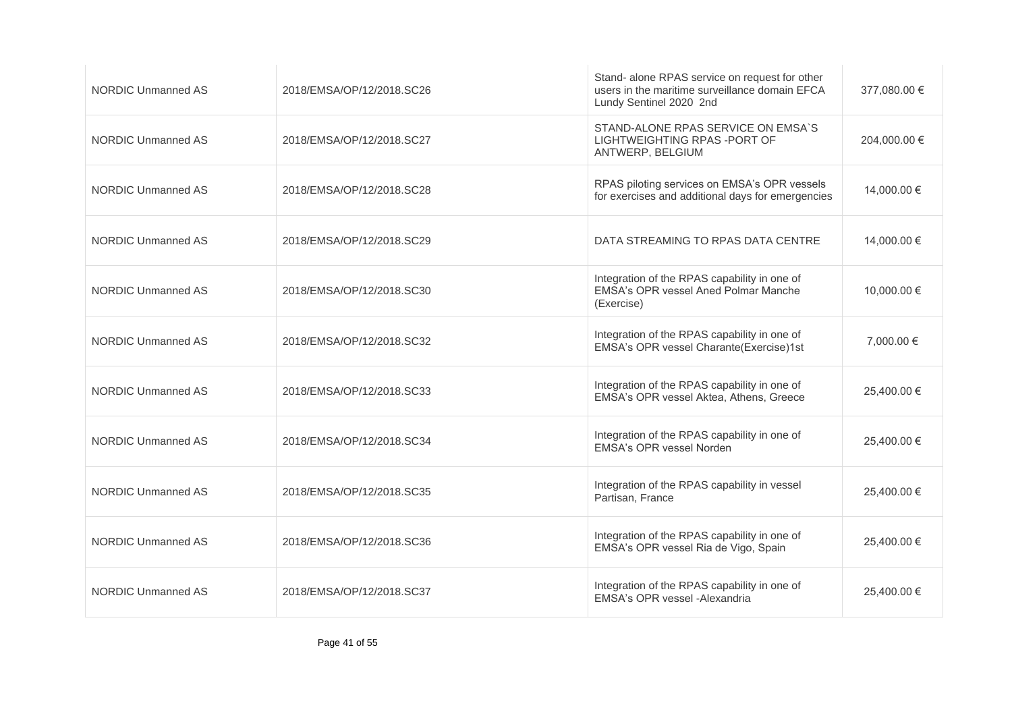| <b>NORDIC Unmanned AS</b> | 2018/EMSA/OP/12/2018.SC26 | Stand- alone RPAS service on request for other<br>users in the maritime surveillance domain EFCA<br>Lundy Sentinel 2020 2nd | 377,080.00 € |
|---------------------------|---------------------------|-----------------------------------------------------------------------------------------------------------------------------|--------------|
| <b>NORDIC Unmanned AS</b> | 2018/EMSA/OP/12/2018.SC27 | STAND-ALONE RPAS SERVICE ON EMSA'S<br>LIGHTWEIGHTING RPAS-PORT OF<br>ANTWERP, BELGIUM                                       | 204,000.00 € |
| <b>NORDIC Unmanned AS</b> | 2018/EMSA/OP/12/2018.SC28 | RPAS piloting services on EMSA's OPR vessels<br>for exercises and additional days for emergencies                           | 14,000.00 €  |
| <b>NORDIC Unmanned AS</b> | 2018/EMSA/OP/12/2018.SC29 | DATA STREAMING TO RPAS DATA CENTRE                                                                                          | 14.000.00 €  |
| <b>NORDIC Unmanned AS</b> | 2018/EMSA/OP/12/2018.SC30 | Integration of the RPAS capability in one of<br>EMSA's OPR vessel Aned Polmar Manche<br>(Exercise)                          | 10.000.00 €  |
| <b>NORDIC Unmanned AS</b> | 2018/EMSA/OP/12/2018.SC32 | Integration of the RPAS capability in one of<br>EMSA's OPR vessel Charante(Exercise)1st                                     | 7,000.00 €   |
| <b>NORDIC Unmanned AS</b> | 2018/EMSA/OP/12/2018.SC33 | Integration of the RPAS capability in one of<br>EMSA's OPR vessel Aktea, Athens, Greece                                     | 25,400.00 €  |
| <b>NORDIC Unmanned AS</b> | 2018/EMSA/OP/12/2018.SC34 | Integration of the RPAS capability in one of<br>EMSA's OPR vessel Norden                                                    | 25,400.00 €  |
| <b>NORDIC Unmanned AS</b> | 2018/EMSA/OP/12/2018.SC35 | Integration of the RPAS capability in vessel<br>Partisan, France                                                            | 25,400.00 €  |
| <b>NORDIC Unmanned AS</b> | 2018/EMSA/OP/12/2018.SC36 | Integration of the RPAS capability in one of<br>EMSA's OPR vessel Ria de Vigo, Spain                                        | 25,400.00 €  |
| NORDIC Unmanned AS        | 2018/EMSA/OP/12/2018.SC37 | Integration of the RPAS capability in one of<br>EMSA's OPR vessel -Alexandria                                               | 25,400.00 €  |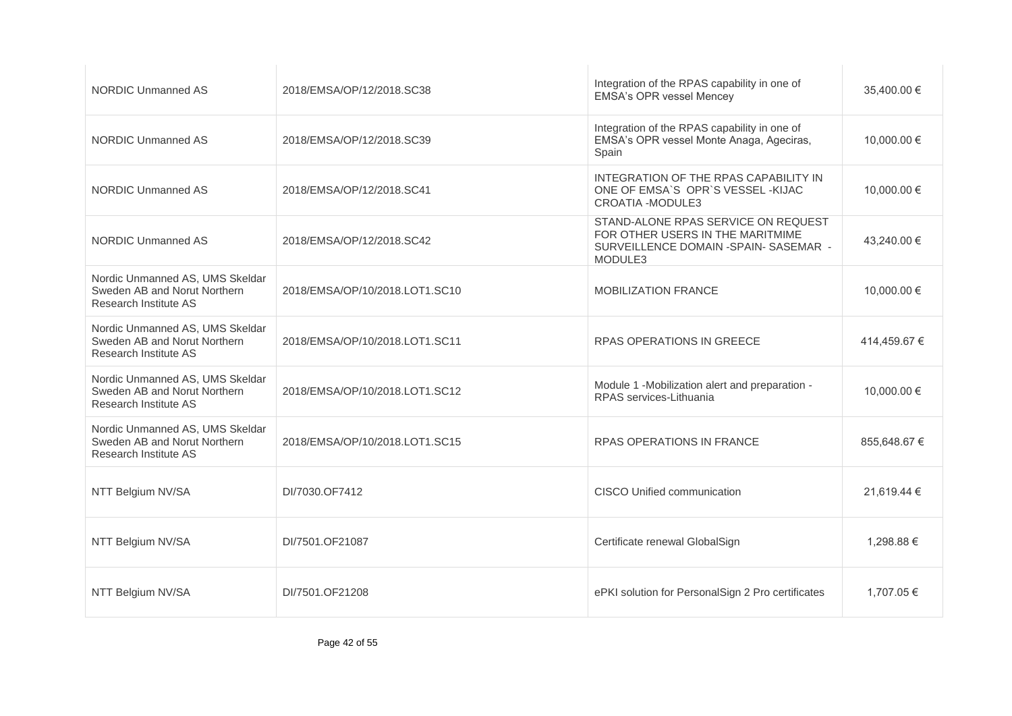| <b>NORDIC Unmanned AS</b>                                                                | 2018/EMSA/OP/12/2018.SC38      | Integration of the RPAS capability in one of<br><b>EMSA's OPR vessel Mencey</b>                                              | 35,400.00 €  |
|------------------------------------------------------------------------------------------|--------------------------------|------------------------------------------------------------------------------------------------------------------------------|--------------|
| <b>NORDIC Unmanned AS</b>                                                                | 2018/EMSA/OP/12/2018.SC39      | Integration of the RPAS capability in one of<br>EMSA's OPR vessel Monte Anaga, Ageciras,<br>Spain                            | 10,000.00 €  |
| <b>NORDIC Unmanned AS</b>                                                                | 2018/EMSA/OP/12/2018.SC41      | INTEGRATION OF THE RPAS CAPABILITY IN<br>ONE OF EMSA'S OPR'S VESSEL-KIJAC<br><b>CROATIA -MODULE3</b>                         | 10,000.00 €  |
| NORDIC Unmanned AS                                                                       | 2018/EMSA/OP/12/2018.SC42      | STAND-ALONE RPAS SERVICE ON REQUEST<br>FOR OTHER USERS IN THE MARITMIME<br>SURVEILLENCE DOMAIN - SPAIN- SASEMAR -<br>MODULE3 | 43,240.00 €  |
| Nordic Unmanned AS, UMS Skeldar<br>Sweden AB and Norut Northern<br>Research Institute AS | 2018/EMSA/OP/10/2018.LOT1.SC10 | <b>MOBILIZATION FRANCE</b>                                                                                                   | 10,000.00 €  |
| Nordic Unmanned AS, UMS Skeldar<br>Sweden AB and Norut Northern<br>Research Institute AS | 2018/EMSA/OP/10/2018.LOT1.SC11 | <b>RPAS OPERATIONS IN GREECE</b>                                                                                             | 414,459.67 € |
| Nordic Unmanned AS, UMS Skeldar<br>Sweden AB and Norut Northern<br>Research Institute AS | 2018/EMSA/OP/10/2018.LOT1.SC12 | Module 1 -Mobilization alert and preparation -<br>RPAS services-Lithuania                                                    | 10,000.00 €  |
| Nordic Unmanned AS, UMS Skeldar<br>Sweden AB and Norut Northern<br>Research Institute AS | 2018/EMSA/OP/10/2018.LOT1.SC15 | RPAS OPERATIONS IN FRANCE                                                                                                    | 855,648.67 € |
| NTT Belgium NV/SA                                                                        | DI/7030.OF7412                 | CISCO Unified communication                                                                                                  | 21,619.44 €  |
| NTT Belgium NV/SA                                                                        | DI/7501.OF21087                | Certificate renewal GlobalSign                                                                                               | 1,298.88 €   |
| NTT Belgium NV/SA                                                                        | DI/7501.OF21208                | ePKI solution for PersonalSign 2 Pro certificates                                                                            | 1,707.05 €   |
|                                                                                          |                                |                                                                                                                              |              |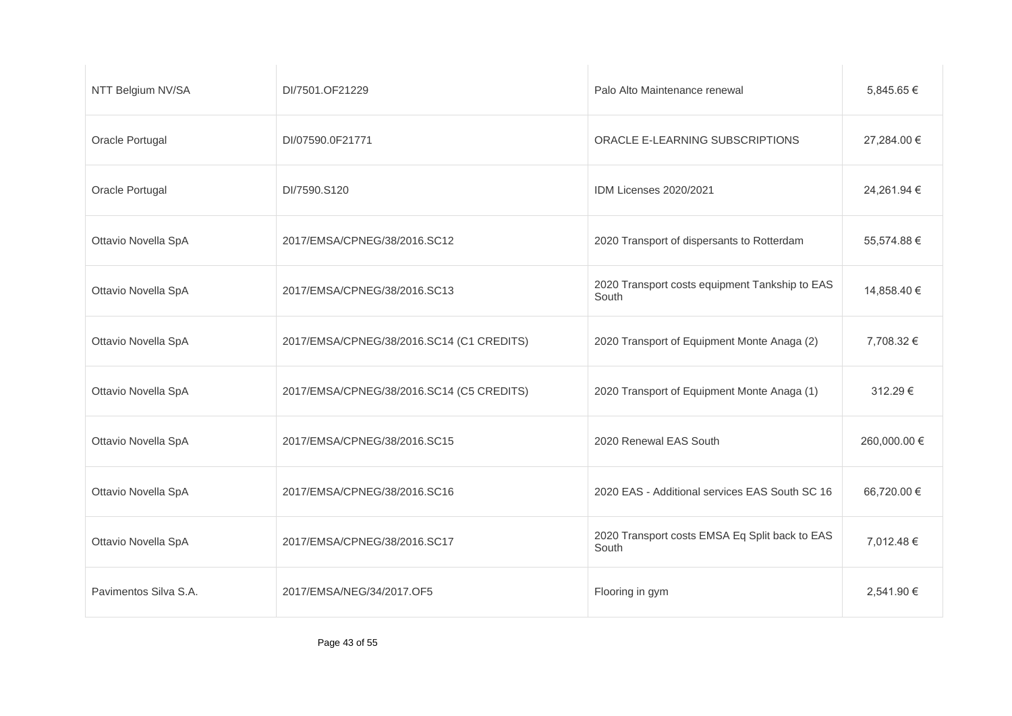| NTT Belgium NV/SA     | DI/7501.OF21229                           | Palo Alto Maintenance renewal                           | 5,845.65 €   |
|-----------------------|-------------------------------------------|---------------------------------------------------------|--------------|
| Oracle Portugal       | DI/07590.0F21771                          | ORACLE E-LEARNING SUBSCRIPTIONS                         | 27,284.00 €  |
| Oracle Portugal       | DI/7590.S120                              | IDM Licenses 2020/2021                                  | 24,261.94 €  |
| Ottavio Novella SpA   | 2017/EMSA/CPNEG/38/2016.SC12              | 2020 Transport of dispersants to Rotterdam              | 55,574.88 €  |
| Ottavio Novella SpA   | 2017/EMSA/CPNEG/38/2016.SC13              | 2020 Transport costs equipment Tankship to EAS<br>South | 14,858.40 €  |
| Ottavio Novella SpA   | 2017/EMSA/CPNEG/38/2016.SC14 (C1 CREDITS) | 2020 Transport of Equipment Monte Anaga (2)             | 7,708.32 €   |
| Ottavio Novella SpA   | 2017/EMSA/CPNEG/38/2016.SC14 (C5 CREDITS) | 2020 Transport of Equipment Monte Anaga (1)             | 312.29€      |
| Ottavio Novella SpA   | 2017/EMSA/CPNEG/38/2016.SC15              | 2020 Renewal EAS South                                  | 260,000.00 € |
| Ottavio Novella SpA   | 2017/EMSA/CPNEG/38/2016.SC16              | 2020 EAS - Additional services EAS South SC 16          | 66,720.00 €  |
| Ottavio Novella SpA   | 2017/EMSA/CPNEG/38/2016.SC17              | 2020 Transport costs EMSA Eq Split back to EAS<br>South | 7,012.48 €   |
| Pavimentos Silva S.A. | 2017/EMSA/NEG/34/2017.OF5                 | Flooring in gym                                         | 2,541.90 €   |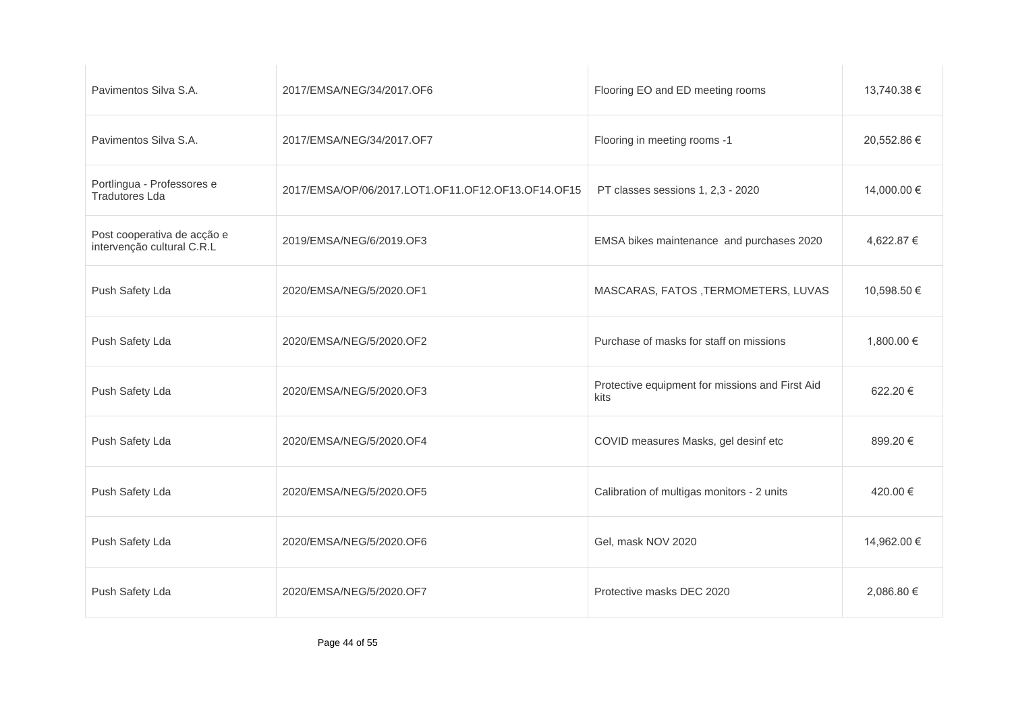| Pavimentos Silva S.A.                                     | 2017/EMSA/NEG/34/2017.OF6                          | Flooring EO and ED meeting rooms                        | 13,740.38 € |
|-----------------------------------------------------------|----------------------------------------------------|---------------------------------------------------------|-------------|
| Pavimentos Silva S.A.                                     | 2017/EMSA/NEG/34/2017.OF7                          | Flooring in meeting rooms -1                            | 20,552.86 € |
| Portlingua - Professores e<br><b>Tradutores Lda</b>       | 2017/EMSA/OP/06/2017.LOT1.OF11.OF12.OF13.OF14.OF15 | PT classes sessions 1, 2,3 - 2020                       | 14,000.00 € |
| Post cooperativa de acção e<br>intervenção cultural C.R.L | 2019/EMSA/NEG/6/2019.OF3                           | EMSA bikes maintenance and purchases 2020               | 4,622.87 €  |
| Push Safety Lda                                           | 2020/EMSA/NEG/5/2020.OF1                           | MASCARAS, FATOS, TERMOMETERS, LUVAS                     | 10,598.50 € |
| Push Safety Lda                                           | 2020/EMSA/NEG/5/2020.OF2                           | Purchase of masks for staff on missions                 | 1,800.00 €  |
| Push Safety Lda                                           | 2020/EMSA/NEG/5/2020.OF3                           | Protective equipment for missions and First Aid<br>kits | 622.20€     |
| Push Safety Lda                                           | 2020/EMSA/NEG/5/2020.OF4                           | COVID measures Masks, gel desinf etc                    | 899.20€     |
| Push Safety Lda                                           | 2020/EMSA/NEG/5/2020.OF5                           | Calibration of multigas monitors - 2 units              | 420.00 €    |
| Push Safety Lda                                           | 2020/EMSA/NEG/5/2020.OF6                           | Gel, mask NOV 2020                                      | 14,962.00 € |
| Push Safety Lda                                           | 2020/EMSA/NEG/5/2020.OF7                           | Protective masks DEC 2020                               | 2,086.80 €  |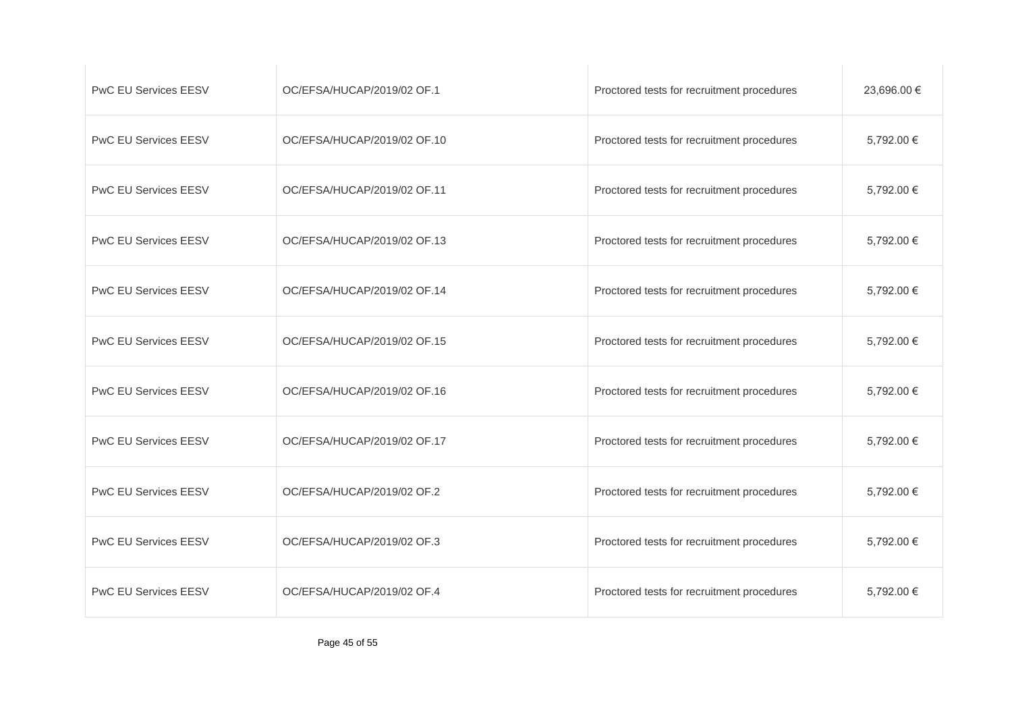| <b>PwC EU Services EESV</b> | OC/EFSA/HUCAP/2019/02 OF.1  | Proctored tests for recruitment procedures | 23,696.00 € |
|-----------------------------|-----------------------------|--------------------------------------------|-------------|
| <b>PwC EU Services EESV</b> | OC/EFSA/HUCAP/2019/02 OF.10 | Proctored tests for recruitment procedures | 5,792.00 €  |
| <b>PwC EU Services EESV</b> | OC/EFSA/HUCAP/2019/02 OF.11 | Proctored tests for recruitment procedures | 5,792.00 €  |
| <b>PwC EU Services EESV</b> | OC/EFSA/HUCAP/2019/02 OF.13 | Proctored tests for recruitment procedures | 5,792.00 €  |
| <b>PwC EU Services EESV</b> | OC/EFSA/HUCAP/2019/02 OF.14 | Proctored tests for recruitment procedures | 5,792.00 €  |
| <b>PwC EU Services EESV</b> | OC/EFSA/HUCAP/2019/02 OF.15 | Proctored tests for recruitment procedures | 5,792.00 €  |
| <b>PwC EU Services EESV</b> | OC/EFSA/HUCAP/2019/02 OF.16 | Proctored tests for recruitment procedures | 5,792.00 €  |
| <b>PwC EU Services EESV</b> | OC/EFSA/HUCAP/2019/02 OF.17 | Proctored tests for recruitment procedures | 5,792.00 €  |
| <b>PwC EU Services EESV</b> | OC/EFSA/HUCAP/2019/02 OF.2  | Proctored tests for recruitment procedures | 5,792.00 €  |
| <b>PwC EU Services EESV</b> | OC/EFSA/HUCAP/2019/02 OF.3  | Proctored tests for recruitment procedures | 5,792.00 €  |
| <b>PwC EU Services EESV</b> | OC/EFSA/HUCAP/2019/02 OF.4  | Proctored tests for recruitment procedures | 5,792.00 €  |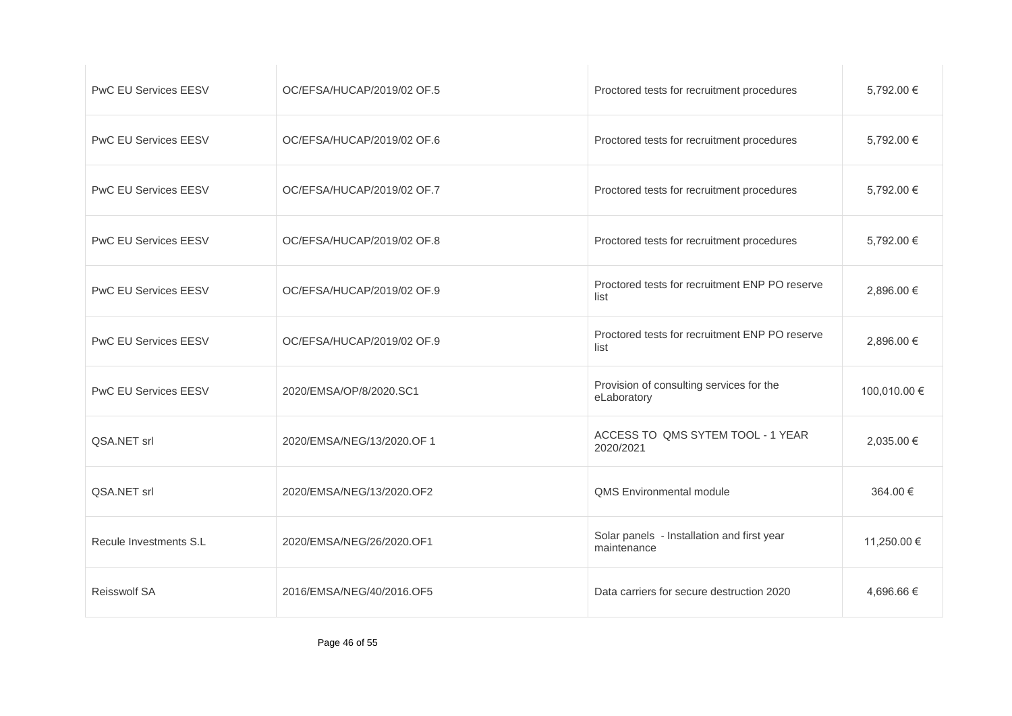| <b>PwC EU Services EESV</b> | OC/EFSA/HUCAP/2019/02 OF.5 | Proctored tests for recruitment procedures                | 5,792.00 €   |
|-----------------------------|----------------------------|-----------------------------------------------------------|--------------|
| <b>PwC EU Services EESV</b> | OC/EFSA/HUCAP/2019/02 OF.6 | Proctored tests for recruitment procedures                | 5,792.00 €   |
| PwC EU Services EESV        | OC/EFSA/HUCAP/2019/02 OF.7 | Proctored tests for recruitment procedures                | 5,792.00 €   |
| <b>PwC EU Services EESV</b> | OC/EFSA/HUCAP/2019/02 OF.8 | Proctored tests for recruitment procedures                | 5.792.00 €   |
| PwC EU Services EESV        | OC/EFSA/HUCAP/2019/02 OF.9 | Proctored tests for recruitment ENP PO reserve<br>list    | 2,896.00 €   |
| <b>PwC EU Services EESV</b> | OC/EFSA/HUCAP/2019/02 OF.9 | Proctored tests for recruitment ENP PO reserve<br>list    | 2,896.00 €   |
| <b>PwC EU Services EESV</b> | 2020/EMSA/OP/8/2020.SC1    | Provision of consulting services for the<br>eLaboratory   | 100,010.00 € |
| QSA.NET srl                 | 2020/EMSA/NEG/13/2020.OF 1 | ACCESS TO QMS SYTEM TOOL - 1 YEAR<br>2020/2021            | 2,035.00 €   |
| QSA.NET srl                 | 2020/EMSA/NEG/13/2020.OF2  | QMS Environmental module                                  | 364.00 €     |
| Recule Investments S.L      | 2020/EMSA/NEG/26/2020.OF1  | Solar panels - Installation and first year<br>maintenance | 11,250.00 €  |
| Reisswolf SA                | 2016/EMSA/NEG/40/2016.OF5  | Data carriers for secure destruction 2020                 | 4,696.66 €   |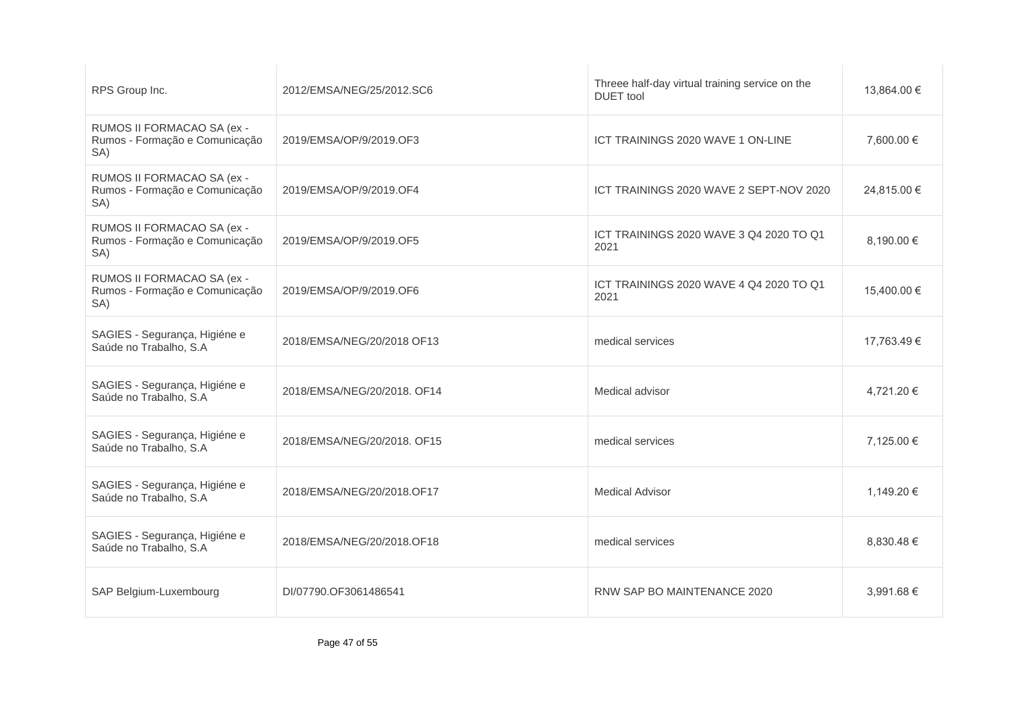| RPS Group Inc.                                                      | 2012/EMSA/NEG/25/2012.SC6   | Threee half-day virtual training service on the<br><b>DUET</b> tool | 13,864.00 € |
|---------------------------------------------------------------------|-----------------------------|---------------------------------------------------------------------|-------------|
| RUMOS II FORMACAO SA (ex -<br>Rumos - Formação e Comunicação<br>SA) | 2019/EMSA/OP/9/2019.OF3     | ICT TRAININGS 2020 WAVE 1 ON-LINE                                   | 7,600.00 €  |
| RUMOS II FORMACAO SA (ex -<br>Rumos - Formação e Comunicação<br>SA) | 2019/EMSA/OP/9/2019.OF4     | ICT TRAININGS 2020 WAVE 2 SEPT-NOV 2020                             | 24,815.00 € |
| RUMOS II FORMACAO SA (ex -<br>Rumos - Formação e Comunicação<br>SA) | 2019/EMSA/OP/9/2019.OF5     | ICT TRAININGS 2020 WAVE 3 Q4 2020 TO Q1<br>2021                     | 8,190.00 €  |
| RUMOS II FORMACAO SA (ex -<br>Rumos - Formação e Comunicação<br>SA) | 2019/EMSA/OP/9/2019.OF6     | ICT TRAININGS 2020 WAVE 4 Q4 2020 TO Q1<br>2021                     | 15,400.00 € |
| SAGIES - Segurança, Higiéne e<br>Saúde no Trabalho, S.A             | 2018/EMSA/NEG/20/2018 OF13  | medical services                                                    | 17,763.49 € |
| SAGIES - Segurança, Higiéne e<br>Saúde no Trabalho, S.A             | 2018/EMSA/NEG/20/2018, OF14 | Medical advisor                                                     | 4,721.20 €  |
| SAGIES - Segurança, Higiéne e<br>Saúde no Trabalho, S.A             | 2018/EMSA/NEG/20/2018, OF15 | medical services                                                    | 7,125.00 €  |
| SAGIES - Segurança, Higiéne e<br>Saúde no Trabalho, S.A             | 2018/EMSA/NEG/20/2018.OF17  | <b>Medical Advisor</b>                                              | 1,149.20 €  |
| SAGIES - Segurança, Higiéne e<br>Saúde no Trabalho, S.A             | 2018/EMSA/NEG/20/2018.OF18  | medical services                                                    | 8,830.48 €  |
| SAP Belgium-Luxembourg                                              | DI/07790.OF3061486541       | RNW SAP BO MAINTENANCE 2020                                         | 3,991.68 €  |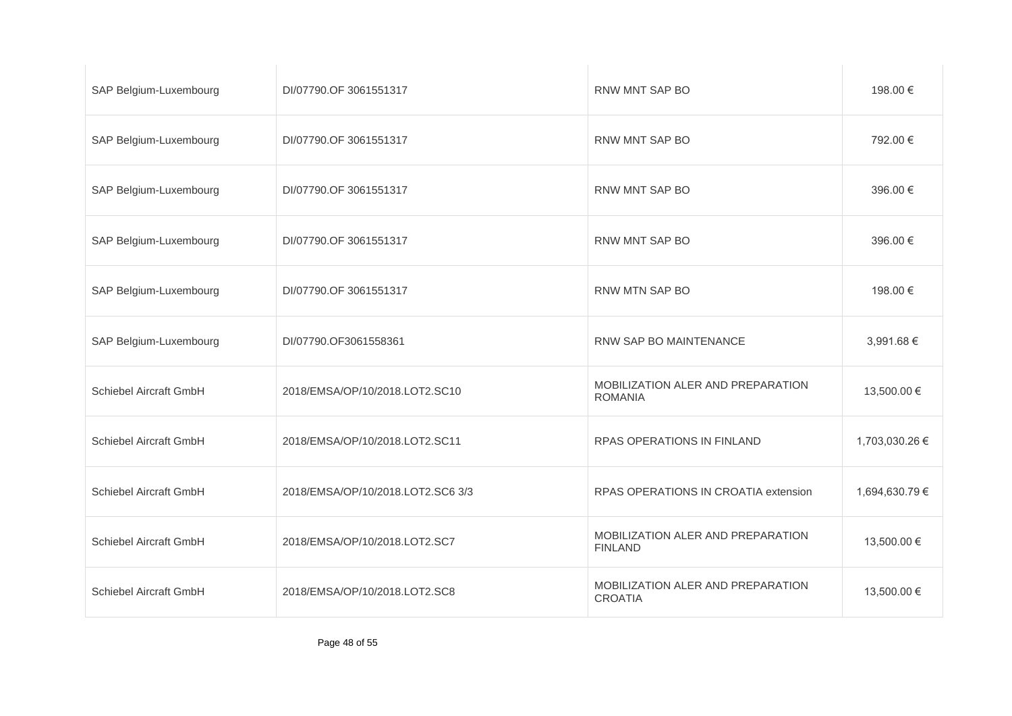| SAP Belgium-Luxembourg | DI/07790.OF 3061551317            | RNW MNT SAP BO                                      | 198.00 €       |
|------------------------|-----------------------------------|-----------------------------------------------------|----------------|
| SAP Belgium-Luxembourg | DI/07790.OF 3061551317            | RNW MNT SAP BO                                      | 792.00 €       |
| SAP Belgium-Luxembourg | DI/07790.OF 3061551317            | RNW MNT SAP BO                                      | 396.00 €       |
| SAP Belgium-Luxembourg | DI/07790.OF 3061551317            | RNW MNT SAP BO                                      | 396.00 €       |
| SAP Belgium-Luxembourg | DI/07790.OF 3061551317            | RNW MTN SAP BO                                      | 198.00 €       |
| SAP Belgium-Luxembourg | DI/07790.OF3061558361             | RNW SAP BO MAINTENANCE                              | 3,991.68 €     |
| Schiebel Aircraft GmbH | 2018/EMSA/OP/10/2018.LOT2.SC10    | MOBILIZATION ALER AND PREPARATION<br><b>ROMANIA</b> | 13,500.00 €    |
| Schiebel Aircraft GmbH | 2018/EMSA/OP/10/2018.LOT2.SC11    | RPAS OPERATIONS IN FINLAND                          | 1,703,030.26 € |
| Schiebel Aircraft GmbH | 2018/EMSA/OP/10/2018.LOT2.SC6 3/3 | RPAS OPERATIONS IN CROATIA extension                | 1,694,630.79 € |
| Schiebel Aircraft GmbH | 2018/EMSA/OP/10/2018.LOT2.SC7     | MOBILIZATION ALER AND PREPARATION<br><b>FINLAND</b> | 13,500.00 €    |
| Schiebel Aircraft GmbH | 2018/EMSA/OP/10/2018.LOT2.SC8     | MOBILIZATION ALER AND PREPARATION<br><b>CROATIA</b> | 13,500.00 €    |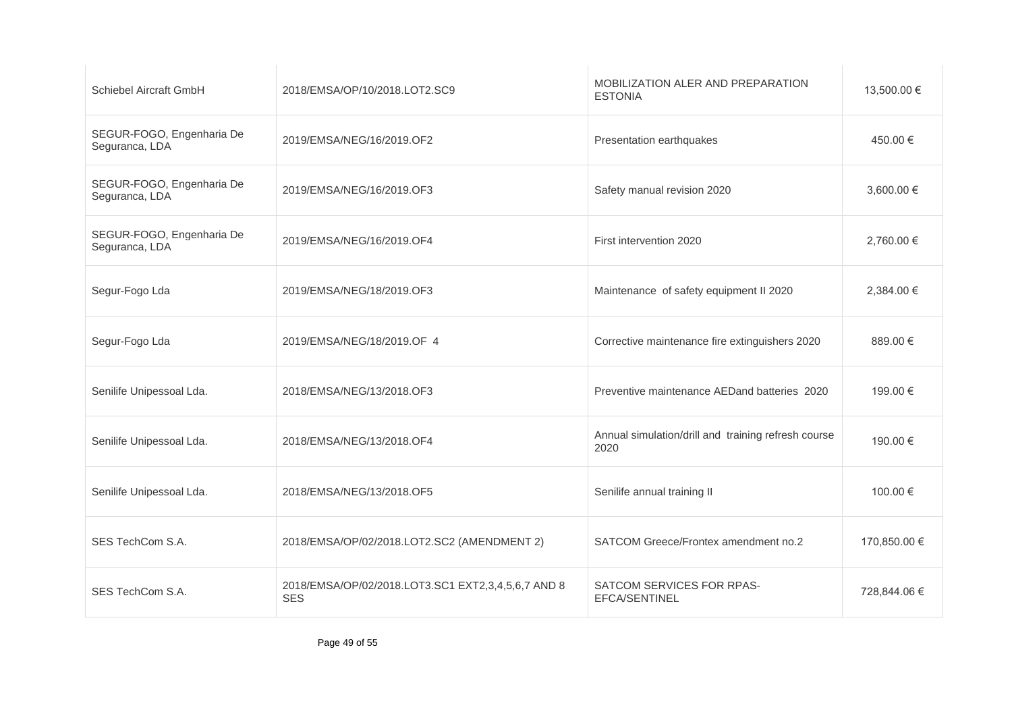| Schiebel Aircraft GmbH                      | 2018/EMSA/OP/10/2018.LOT2.SC9                                    | MOBILIZATION ALER AND PREPARATION<br><b>ESTONIA</b>         | 13,500.00 €  |
|---------------------------------------------|------------------------------------------------------------------|-------------------------------------------------------------|--------------|
| SEGUR-FOGO, Engenharia De<br>Seguranca, LDA | 2019/EMSA/NEG/16/2019.OF2                                        | Presentation earthquakes                                    | 450.00 €     |
| SEGUR-FOGO, Engenharia De<br>Seguranca, LDA | 2019/EMSA/NEG/16/2019.OF3                                        | Safety manual revision 2020                                 | 3,600.00 €   |
| SEGUR-FOGO, Engenharia De<br>Seguranca, LDA | 2019/EMSA/NEG/16/2019.OF4                                        | First intervention 2020                                     | 2,760.00 €   |
| Segur-Fogo Lda                              | 2019/EMSA/NEG/18/2019.OF3                                        | Maintenance of safety equipment II 2020                     | 2,384.00 €   |
| Segur-Fogo Lda                              | 2019/EMSA/NEG/18/2019.OF 4                                       | Corrective maintenance fire extinguishers 2020              | 889.00€      |
| Senilife Unipessoal Lda.                    | 2018/EMSA/NEG/13/2018.OF3                                        | Preventive maintenance AEDand batteries 2020                | 199.00 €     |
| Senilife Unipessoal Lda.                    | 2018/EMSA/NEG/13/2018.OF4                                        | Annual simulation/drill and training refresh course<br>2020 | 190.00 €     |
| Senilife Unipessoal Lda.                    | 2018/EMSA/NEG/13/2018.OF5                                        | Senilife annual training II                                 | 100.00 €     |
| SES TechCom S.A.                            | 2018/EMSA/OP/02/2018.LOT2.SC2 (AMENDMENT 2)                      | SATCOM Greece/Frontex amendment no.2                        | 170,850.00 € |
| SES TechCom S.A.                            | 2018/EMSA/OP/02/2018.LOT3.SC1 EXT2,3,4,5,6,7 AND 8<br><b>SES</b> | SATCOM SERVICES FOR RPAS-<br>EFCA/SENTINEL                  | 728,844.06 € |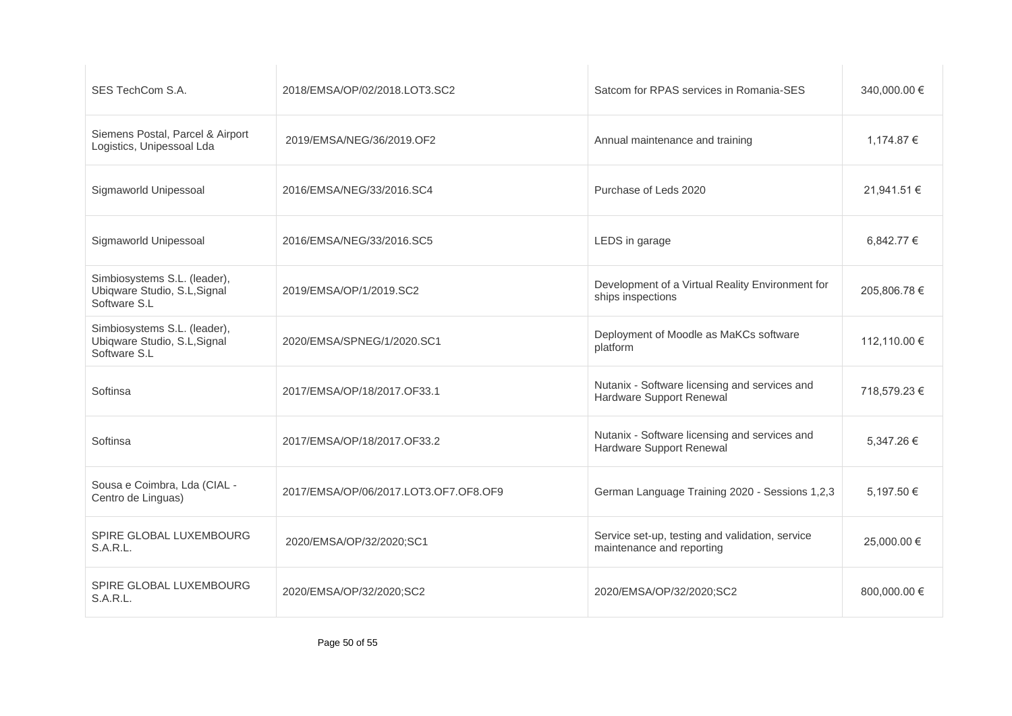| SES TechCom S.A.                                                             | 2018/EMSA/OP/02/2018.LOT3.SC2         | Satcom for RPAS services in Romania-SES                                      | 340,000.00 € |
|------------------------------------------------------------------------------|---------------------------------------|------------------------------------------------------------------------------|--------------|
| Siemens Postal, Parcel & Airport<br>Logistics, Unipessoal Lda                | 2019/EMSA/NEG/36/2019.OF2             | Annual maintenance and training                                              | 1,174.87 €   |
| Sigmaworld Unipessoal                                                        | 2016/EMSA/NEG/33/2016.SC4             | Purchase of Leds 2020                                                        | 21.941.51 €  |
| Sigmaworld Unipessoal                                                        | 2016/EMSA/NEG/33/2016.SC5             | LEDS in garage                                                               | 6.842.77 €   |
| Simbiosystems S.L. (leader),<br>Ubiqware Studio, S.L, Signal<br>Software S.L | 2019/EMSA/OP/1/2019.SC2               | Development of a Virtual Reality Environment for<br>ships inspections        | 205,806.78 € |
| Simbiosystems S.L. (leader),<br>Ubiqware Studio, S.L, Signal<br>Software S.L | 2020/EMSA/SPNEG/1/2020.SC1            | Deployment of Moodle as MaKCs software<br>platform                           | 112,110.00 € |
| Softinsa                                                                     | 2017/EMSA/OP/18/2017.OF33.1           | Nutanix - Software licensing and services and<br>Hardware Support Renewal    | 718.579.23 € |
| Softinsa                                                                     | 2017/EMSA/OP/18/2017.OF33.2           | Nutanix - Software licensing and services and<br>Hardware Support Renewal    | 5,347.26 €   |
| Sousa e Coimbra, Lda (CIAL -<br>Centro de Linguas)                           | 2017/EMSA/OP/06/2017.LOT3.OF7.OF8.OF9 | German Language Training 2020 - Sessions 1,2,3                               | 5,197.50 €   |
| SPIRE GLOBAL LUXEMBOURG<br>S.A.R.L.                                          | 2020/EMSA/OP/32/2020;SC1              | Service set-up, testing and validation, service<br>maintenance and reporting | 25,000,00 €  |
| SPIRE GLOBAL LUXEMBOURG<br>S.A.R.L.                                          | 2020/EMSA/OP/32/2020;SC2              | 2020/EMSA/OP/32/2020;SC2                                                     | 800,000.00 € |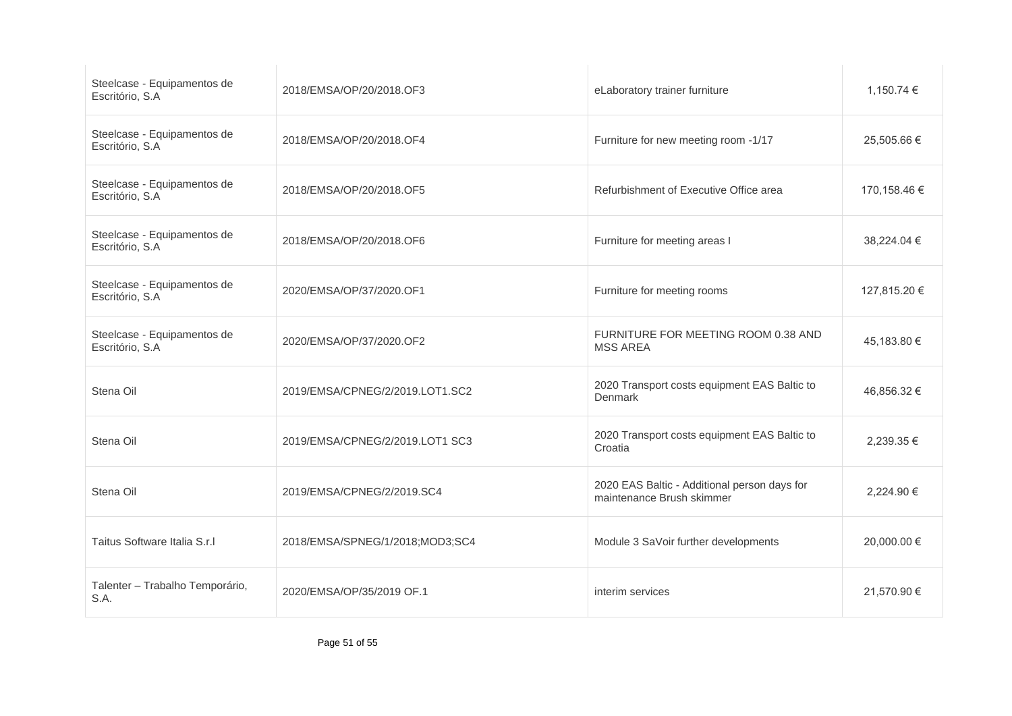| Steelcase - Equipamentos de<br>Escritório, S.A | 2018/EMSA/OP/20/2018.OF3        | eLaboratory trainer furniture                                             | 1,150.74 €   |
|------------------------------------------------|---------------------------------|---------------------------------------------------------------------------|--------------|
| Steelcase - Equipamentos de<br>Escritório, S.A | 2018/EMSA/OP/20/2018.OF4        | Furniture for new meeting room -1/17                                      | 25,505.66 €  |
| Steelcase - Equipamentos de<br>Escritório, S.A | 2018/EMSA/OP/20/2018.OF5        | Refurbishment of Executive Office area                                    | 170,158.46 € |
| Steelcase - Equipamentos de<br>Escritório, S.A | 2018/EMSA/OP/20/2018.OF6        | Furniture for meeting areas I                                             | 38,224.04 €  |
| Steelcase - Equipamentos de<br>Escritório, S.A | 2020/EMSA/OP/37/2020.OF1        | Furniture for meeting rooms                                               | 127,815.20 € |
| Steelcase - Equipamentos de<br>Escritório, S.A | 2020/EMSA/OP/37/2020.OF2        | FURNITURE FOR MEETING ROOM 0.38 AND<br><b>MSS AREA</b>                    | 45,183.80 €  |
| Stena Oil                                      | 2019/EMSA/CPNEG/2/2019.LOT1.SC2 | 2020 Transport costs equipment EAS Baltic to<br>Denmark                   | 46,856.32 €  |
| Stena Oil                                      | 2019/EMSA/CPNEG/2/2019.LOT1 SC3 | 2020 Transport costs equipment EAS Baltic to<br>Croatia                   | 2.239.35 €   |
| Stena Oil                                      | 2019/EMSA/CPNEG/2/2019.SC4      | 2020 EAS Baltic - Additional person days for<br>maintenance Brush skimmer | 2,224.90 €   |
| Taitus Software Italia S.r.I                   | 2018/EMSA/SPNEG/1/2018;MOD3;SC4 | Module 3 SaVoir further developments                                      | 20,000.00 €  |
| Talenter - Trabalho Temporário,<br>S.A.        | 2020/EMSA/OP/35/2019 OF.1       | interim services                                                          | 21,570.90 €  |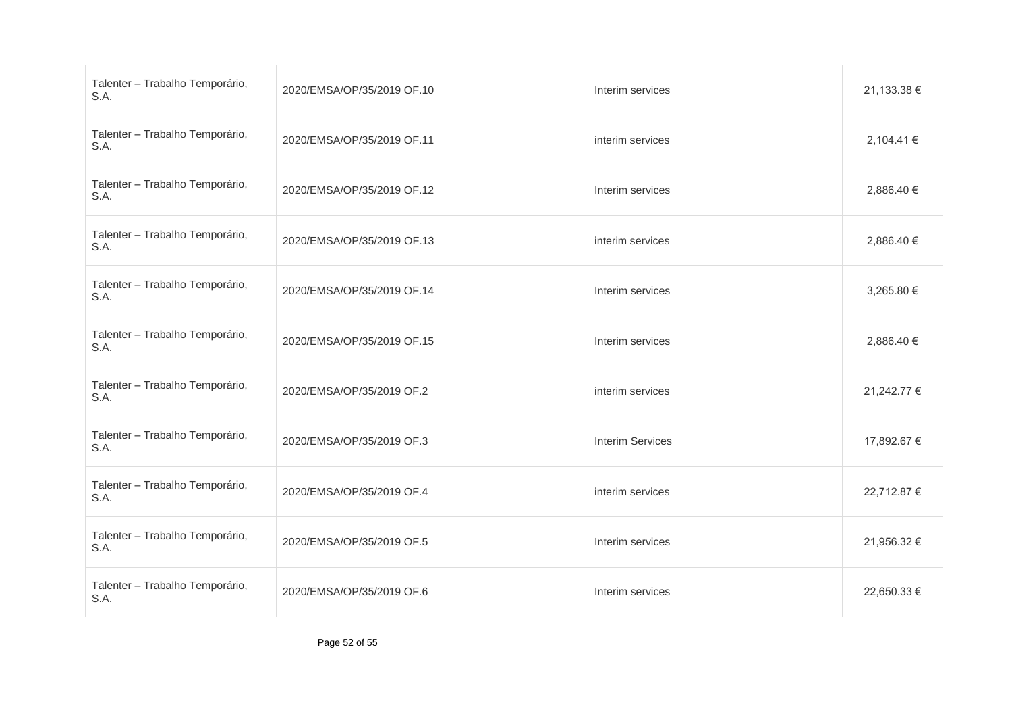| Talenter - Trabalho Temporário,<br>S.A. | 2020/EMSA/OP/35/2019 OF.10 | Interim services        | 21,133.38 € |
|-----------------------------------------|----------------------------|-------------------------|-------------|
| Talenter - Trabalho Temporário,<br>S.A. | 2020/EMSA/OP/35/2019 OF.11 | interim services        | 2,104.41 €  |
| Talenter - Trabalho Temporário,<br>S.A. | 2020/EMSA/OP/35/2019 OF.12 | Interim services        | 2,886.40 €  |
| Talenter - Trabalho Temporário,<br>S.A. | 2020/EMSA/OP/35/2019 OF.13 | interim services        | 2,886.40 €  |
| Talenter - Trabalho Temporário,<br>S.A. | 2020/EMSA/OP/35/2019 OF.14 | Interim services        | 3,265.80 €  |
| Talenter - Trabalho Temporário,<br>S.A. | 2020/EMSA/OP/35/2019 OF.15 | Interim services        | 2,886.40 €  |
| Talenter - Trabalho Temporário,<br>S.A. | 2020/EMSA/OP/35/2019 OF.2  | interim services        | 21,242.77 € |
| Talenter - Trabalho Temporário,<br>S.A. | 2020/EMSA/OP/35/2019 OF.3  | <b>Interim Services</b> | 17,892.67 € |
| Talenter - Trabalho Temporário,<br>S.A. | 2020/EMSA/OP/35/2019 OF.4  | interim services        | 22,712.87 € |
| Talenter - Trabalho Temporário,<br>S.A. | 2020/EMSA/OP/35/2019 OF.5  | Interim services        | 21,956.32 € |
| Talenter - Trabalho Temporário,<br>S.A. | 2020/EMSA/OP/35/2019 OF.6  | Interim services        | 22,650.33 € |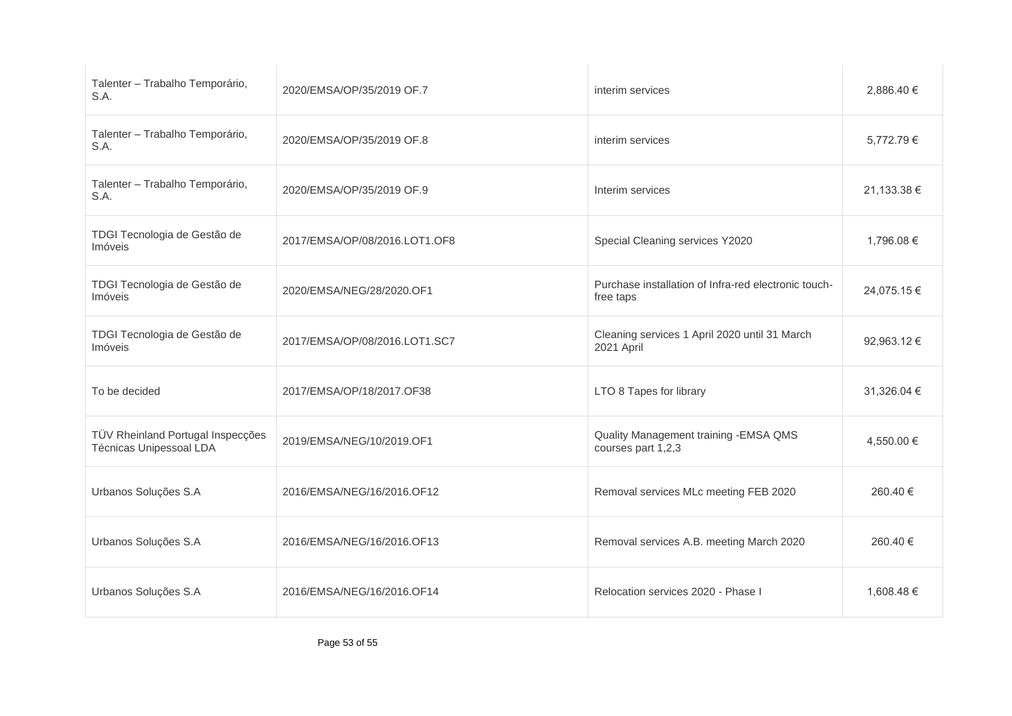| Talenter - Trabalho Temporário,<br>S.A.                      | 2020/EMSA/OP/35/2019 OF.7     | interim services                                                  | 2,886.40 €  |
|--------------------------------------------------------------|-------------------------------|-------------------------------------------------------------------|-------------|
| Talenter - Trabalho Temporário,<br>S.A.                      | 2020/EMSA/OP/35/2019 OF.8     | interim services                                                  | 5,772.79€   |
| Talenter - Trabalho Temporário,<br>S.A.                      | 2020/EMSA/OP/35/2019 OF.9     | Interim services                                                  | 21,133.38 € |
| TDGI Tecnologia de Gestão de<br>Imóveis                      | 2017/EMSA/OP/08/2016.LOT1.OF8 | Special Cleaning services Y2020                                   | 1,796.08 €  |
| TDGI Tecnologia de Gestão de<br>Imóveis                      | 2020/EMSA/NEG/28/2020.OF1     | Purchase installation of Infra-red electronic touch-<br>free taps | 24,075.15 € |
| TDGI Tecnologia de Gestão de<br>Imóveis                      | 2017/EMSA/OP/08/2016.LOT1.SC7 | Cleaning services 1 April 2020 until 31 March<br>2021 April       | 92,963.12 € |
| To be decided                                                | 2017/EMSA/OP/18/2017.OF38     | LTO 8 Tapes for library                                           | 31,326.04 € |
| TÜV Rheinland Portugal Inspecções<br>Técnicas Unipessoal LDA | 2019/EMSA/NEG/10/2019.OF1     | Quality Management training - EMSA QMS<br>courses part 1,2,3      | 4,550.00 €  |
| Urbanos Soluções S.A                                         | 2016/EMSA/NEG/16/2016.OF12    | Removal services MLc meeting FEB 2020                             | 260.40 €    |
| Urbanos Soluções S.A                                         | 2016/EMSA/NEG/16/2016.OF13    | Removal services A.B. meeting March 2020                          | 260.40 €    |
| Urbanos Soluções S.A                                         | 2016/EMSA/NEG/16/2016.OF14    | Relocation services 2020 - Phase I                                | 1,608.48 €  |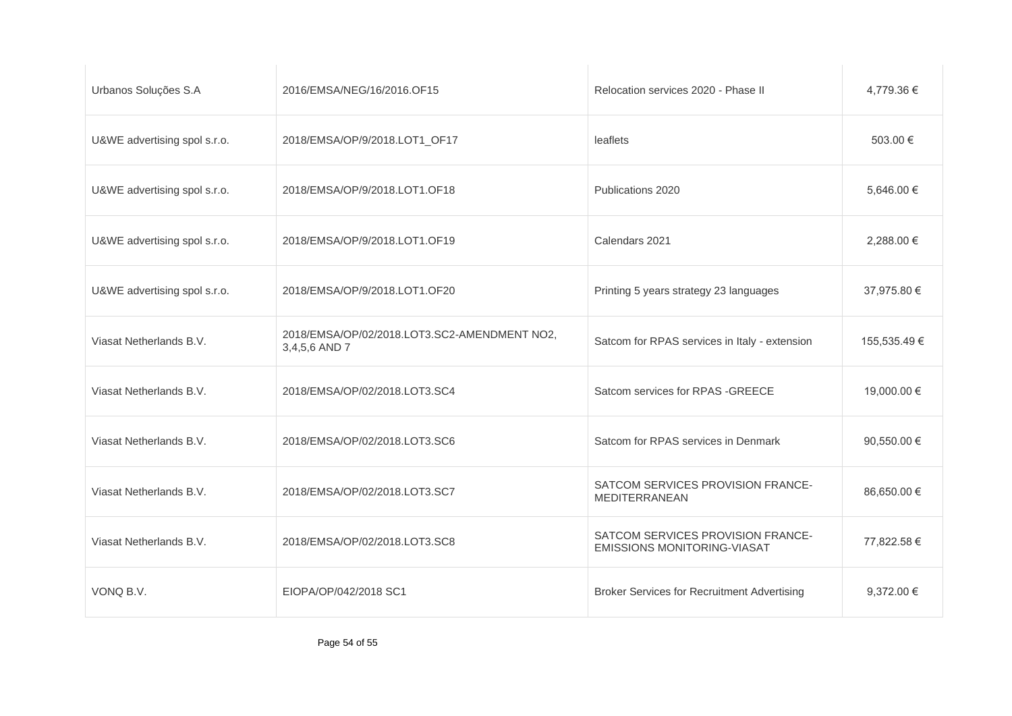| Urbanos Soluções S.A         | 2016/EMSA/NEG/16/2016.OF15                                    | Relocation services 2020 - Phase II                                     | 4.779.36 €   |
|------------------------------|---------------------------------------------------------------|-------------------------------------------------------------------------|--------------|
| U&WE advertising spol s.r.o. | 2018/EMSA/OP/9/2018.LOT1_OF17                                 | leaflets                                                                | 503.00 €     |
| U&WE advertising spol s.r.o. | 2018/EMSA/OP/9/2018.LOT1.OF18                                 | Publications 2020                                                       | 5,646.00 €   |
| U&WE advertising spol s.r.o. | 2018/EMSA/OP/9/2018.LOT1.OF19                                 | Calendars 2021                                                          | 2,288.00 €   |
| U&WE advertising spol s.r.o. | 2018/EMSA/OP/9/2018.LOT1.OF20                                 | Printing 5 years strategy 23 languages                                  | 37,975.80 €  |
| Viasat Netherlands B.V.      | 2018/EMSA/OP/02/2018.LOT3.SC2-AMENDMENT NO2,<br>3,4,5,6 AND 7 | Satcom for RPAS services in Italy - extension                           | 155,535.49 € |
| Viasat Netherlands B.V.      | 2018/EMSA/OP/02/2018.LOT3.SC4                                 | Satcom services for RPAS - GREECE                                       | 19,000.00 €  |
| Viasat Netherlands B.V.      | 2018/EMSA/OP/02/2018.LOT3.SC6                                 | Satcom for RPAS services in Denmark                                     | 90,550.00 €  |
| Viasat Netherlands B.V.      | 2018/EMSA/OP/02/2018.LOT3.SC7                                 | SATCOM SERVICES PROVISION FRANCE-<br><b>MEDITERRANEAN</b>               | 86,650.00 €  |
| Viasat Netherlands B.V.      | 2018/EMSA/OP/02/2018.LOT3.SC8                                 | SATCOM SERVICES PROVISION FRANCE-<br><b>EMISSIONS MONITORING-VIASAT</b> | 77,822.58 €  |
| VONQ B.V.                    | EIOPA/OP/042/2018 SC1                                         | <b>Broker Services for Recruitment Advertising</b>                      | 9,372.00 €   |